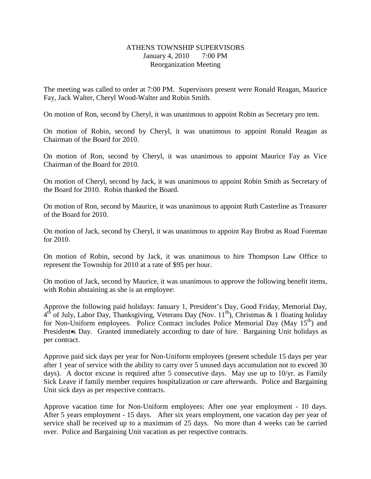### ATHENS TOWNSHIP SUPERVISORS January 4, 2010 7:00 PM Reorganization Meeting

The meeting was called to order at 7:00 PM. Supervisors present were Ronald Reagan, Maurice Fay, Jack Walter, Cheryl Wood-Walter and Robin Smith.

On motion of Ron, second by Cheryl, it was unanimous to appoint Robin as Secretary pro tem.

On motion of Robin, second by Cheryl, it was unanimous to appoint Ronald Reagan as Chairman of the Board for 2010.

On motion of Ron, second by Cheryl, it was unanimous to appoint Maurice Fay as Vice Chairman of the Board for 2010.

On motion of Cheryl, second by Jack, it was unanimous to appoint Robin Smith as Secretary of the Board for 2010. Robin thanked the Board.

On motion of Ron, second by Maurice, it was unanimous to appoint Ruth Casterline as Treasurer of the Board for 2010.

On motion of Jack, second by Cheryl, it was unanimous to appoint Ray Brobst as Road Foreman for 2010.

On motion of Robin, second by Jack, it was unanimous to hire Thompson Law Office to represent the Township for 2010 at a rate of \$95 per hour.

On motion of Jack, second by Maurice, it was unanimous to approve the following benefit items, with Robin abstaining as she is an employee:

Approve the following paid holidays: January 1, President's Day, Good Friday, Memorial Day,  $4<sup>th</sup>$  of July, Labor Day, Thanksgiving, Veterans Day (Nov. 11<sup>th</sup>), Christmas & 1 floating holiday for Non-Uniform employees. Police Contract includes Police Memorial Day (May  $15<sup>th</sup>$ ) and President Servelson. Granted immediately according to date of hire. Bargaining Unit holidays as per contract.

Approve paid sick days per year for Non-Uniform employees (present schedule 15 days per year after 1 year of service with the ability to carry over 5 unused days accumulation not to exceed 30 days). A doctor excuse is required after 5 consecutive days. May use up to 10/yr. as Family Sick Leave if family member requires hospitalization or care afterwards. Police and Bargaining Unit sick days as per respective contracts.

Approve vacation time for Non-Uniform employees: After one year employment - 10 days. After 5 years employment - 15 days. After six years employment, one vacation day per year of service shall be received up to a maximum of 25 days. No more than 4 weeks can be carried over. Police and Bargaining Unit vacation as per respective contracts.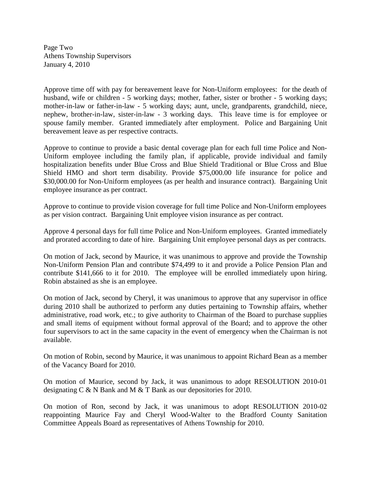Page Two Athens Township Supervisors January 4, 2010

Approve time off with pay for bereavement leave for Non-Uniform employees: for the death of husband, wife or children - 5 working days; mother, father, sister or brother - 5 working days; mother-in-law or father-in-law - 5 working days; aunt, uncle, grandparents, grandchild, niece, nephew, brother-in-law, sister-in-law - 3 working days. This leave time is for employee or spouse family member. Granted immediately after employment. Police and Bargaining Unit bereavement leave as per respective contracts.

Approve to continue to provide a basic dental coverage plan for each full time Police and Non-Uniform employee including the family plan, if applicable, provide individual and family hospitalization benefits under Blue Cross and Blue Shield Traditional or Blue Cross and Blue Shield HMO and short term disability. Provide \$75,000.00 life insurance for police and \$30,000.00 for Non-Uniform employees (as per health and insurance contract). Bargaining Unit employee insurance as per contract.

Approve to continue to provide vision coverage for full time Police and Non-Uniform employees as per vision contract. Bargaining Unit employee vision insurance as per contract.

Approve 4 personal days for full time Police and Non-Uniform employees. Granted immediately and prorated according to date of hire. Bargaining Unit employee personal days as per contracts.

On motion of Jack, second by Maurice, it was unanimous to approve and provide the Township Non-Uniform Pension Plan and contribute \$74,499 to it and provide a Police Pension Plan and contribute \$141,666 to it for 2010. The employee will be enrolled immediately upon hiring. Robin abstained as she is an employee.

On motion of Jack, second by Cheryl, it was unanimous to approve that any supervisor in office during 2010 shall be authorized to perform any duties pertaining to Township affairs, whether administrative, road work, etc.; to give authority to Chairman of the Board to purchase supplies and small items of equipment without formal approval of the Board; and to approve the other four supervisors to act in the same capacity in the event of emergency when the Chairman is not available.

On motion of Robin, second by Maurice, it was unanimous to appoint Richard Bean as a member of the Vacancy Board for 2010.

On motion of Maurice, second by Jack, it was unanimous to adopt RESOLUTION 2010-01 designating C & N Bank and M & T Bank as our depositories for 2010.

On motion of Ron, second by Jack, it was unanimous to adopt RESOLUTION 2010-02 reappointing Maurice Fay and Cheryl Wood-Walter to the Bradford County Sanitation Committee Appeals Board as representatives of Athens Township for 2010.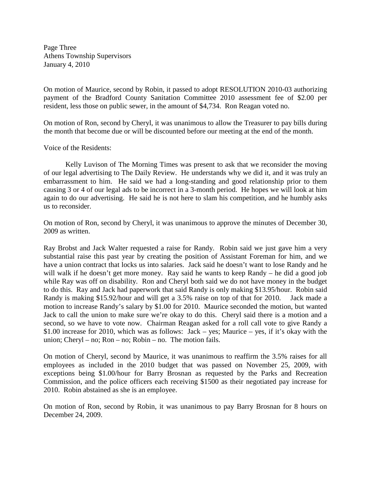Page Three Athens Township Supervisors January 4, 2010

On motion of Maurice, second by Robin, it passed to adopt RESOLUTION 2010-03 authorizing payment of the Bradford County Sanitation Committee 2010 assessment fee of \$2.00 per resident, less those on public sewer, in the amount of \$4,734. Ron Reagan voted no.

On motion of Ron, second by Cheryl, it was unanimous to allow the Treasurer to pay bills during the month that become due or will be discounted before our meeting at the end of the month.

#### Voice of the Residents:

 Kelly Luvison of The Morning Times was present to ask that we reconsider the moving of our legal advertising to The Daily Review. He understands why we did it, and it was truly an embarrassment to him. He said we had a long-standing and good relationship prior to them causing 3 or 4 of our legal ads to be incorrect in a 3-month period. He hopes we will look at him again to do our advertising. He said he is not here to slam his competition, and he humbly asks us to reconsider.

On motion of Ron, second by Cheryl, it was unanimous to approve the minutes of December 30, 2009 as written.

Ray Brobst and Jack Walter requested a raise for Randy. Robin said we just gave him a very substantial raise this past year by creating the position of Assistant Foreman for him, and we have a union contract that locks us into salaries. Jack said he doesn't want to lose Randy and he will walk if he doesn't get more money. Ray said he wants to keep Randy – he did a good job while Ray was off on disability. Ron and Cheryl both said we do not have money in the budget to do this. Ray and Jack had paperwork that said Randy is only making \$13.95/hour. Robin said Randy is making \$15.92/hour and will get a 3.5% raise on top of that for 2010. Jack made a motion to increase Randy's salary by \$1.00 for 2010. Maurice seconded the motion, but wanted Jack to call the union to make sure we're okay to do this. Cheryl said there is a motion and a second, so we have to vote now. Chairman Reagan asked for a roll call vote to give Randy a \$1.00 increase for 2010, which was as follows: Jack – yes; Maurice – yes, if it's okay with the union; Cheryl – no; Ron – no; Robin – no. The motion fails.

On motion of Cheryl, second by Maurice, it was unanimous to reaffirm the 3.5% raises for all employees as included in the 2010 budget that was passed on November 25, 2009, with exceptions being \$1.00/hour for Barry Brosnan as requested by the Parks and Recreation Commission, and the police officers each receiving \$1500 as their negotiated pay increase for 2010. Robin abstained as she is an employee.

On motion of Ron, second by Robin, it was unanimous to pay Barry Brosnan for 8 hours on December 24, 2009.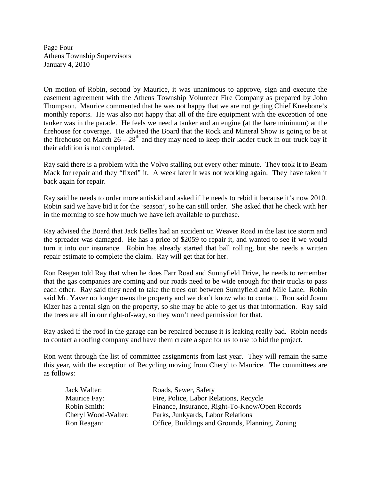Page Four Athens Township Supervisors January 4, 2010

On motion of Robin, second by Maurice, it was unanimous to approve, sign and execute the easement agreement with the Athens Township Volunteer Fire Company as prepared by John Thompson. Maurice commented that he was not happy that we are not getting Chief Kneebone's monthly reports. He was also not happy that all of the fire equipment with the exception of one tanker was in the parade. He feels we need a tanker and an engine (at the bare minimum) at the firehouse for coverage. He advised the Board that the Rock and Mineral Show is going to be at the firehouse on March  $26 - 28$ <sup>th</sup> and they may need to keep their ladder truck in our truck bay if their addition is not completed.

Ray said there is a problem with the Volvo stalling out every other minute. They took it to Beam Mack for repair and they "fixed" it. A week later it was not working again. They have taken it back again for repair.

Ray said he needs to order more antiskid and asked if he needs to rebid it because it's now 2010. Robin said we have bid it for the 'season', so he can still order. She asked that he check with her in the morning to see how much we have left available to purchase.

Ray advised the Board that Jack Belles had an accident on Weaver Road in the last ice storm and the spreader was damaged. He has a price of \$2059 to repair it, and wanted to see if we would turn it into our insurance. Robin has already started that ball rolling, but she needs a written repair estimate to complete the claim. Ray will get that for her.

Ron Reagan told Ray that when he does Farr Road and Sunnyfield Drive, he needs to remember that the gas companies are coming and our roads need to be wide enough for their trucks to pass each other. Ray said they need to take the trees out between Sunnyfield and Mile Lane. Robin said Mr. Yaver no longer owns the property and we don't know who to contact. Ron said Joann Kizer has a rental sign on the property, so she may be able to get us that information. Ray said the trees are all in our right-of-way, so they won't need permission for that.

Ray asked if the roof in the garage can be repaired because it is leaking really bad. Robin needs to contact a roofing company and have them create a spec for us to use to bid the project.

Ron went through the list of committee assignments from last year. They will remain the same this year, with the exception of Recycling moving from Cheryl to Maurice. The committees are as follows:

| Jack Walter:        | Roads, Sewer, Safety                            |
|---------------------|-------------------------------------------------|
| Maurice Fay:        | Fire, Police, Labor Relations, Recycle          |
| Robin Smith:        | Finance, Insurance, Right-To-Know/Open Records  |
| Cheryl Wood-Walter: | Parks, Junkyards, Labor Relations               |
| Ron Reagan:         | Office, Buildings and Grounds, Planning, Zoning |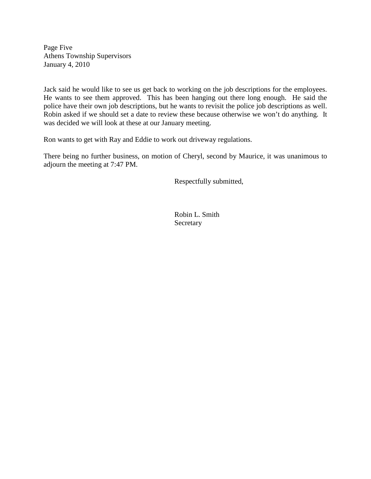Page Five Athens Township Supervisors January 4, 2010

Jack said he would like to see us get back to working on the job descriptions for the employees. He wants to see them approved. This has been hanging out there long enough. He said the police have their own job descriptions, but he wants to revisit the police job descriptions as well. Robin asked if we should set a date to review these because otherwise we won't do anything. It was decided we will look at these at our January meeting.

Ron wants to get with Ray and Eddie to work out driveway regulations.

There being no further business, on motion of Cheryl, second by Maurice, it was unanimous to adjourn the meeting at 7:47 PM.

Respectfully submitted,

 Robin L. Smith **Secretary**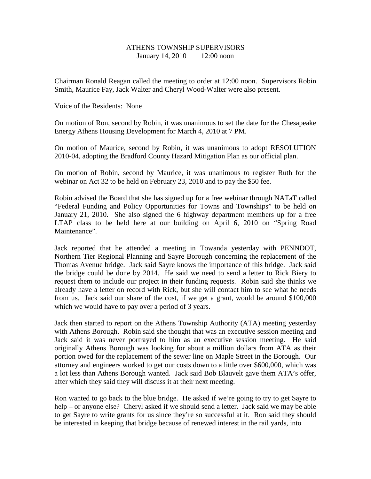## ATHENS TOWNSHIP SUPERVISORS January 14, 2010 12:00 noon

Chairman Ronald Reagan called the meeting to order at 12:00 noon. Supervisors Robin Smith, Maurice Fay, Jack Walter and Cheryl Wood-Walter were also present.

Voice of the Residents: None

On motion of Ron, second by Robin, it was unanimous to set the date for the Chesapeake Energy Athens Housing Development for March 4, 2010 at 7 PM.

On motion of Maurice, second by Robin, it was unanimous to adopt RESOLUTION 2010-04, adopting the Bradford County Hazard Mitigation Plan as our official plan.

On motion of Robin, second by Maurice, it was unanimous to register Ruth for the webinar on Act 32 to be held on February 23, 2010 and to pay the \$50 fee.

Robin advised the Board that she has signed up for a free webinar through NATaT called "Federal Funding and Policy Opportunities for Towns and Townships" to be held on January 21, 2010. She also signed the 6 highway department members up for a free LTAP class to be held here at our building on April 6, 2010 on "Spring Road Maintenance".

Jack reported that he attended a meeting in Towanda yesterday with PENNDOT, Northern Tier Regional Planning and Sayre Borough concerning the replacement of the Thomas Avenue bridge. Jack said Sayre knows the importance of this bridge. Jack said the bridge could be done by 2014. He said we need to send a letter to Rick Biery to request them to include our project in their funding requests. Robin said she thinks we already have a letter on record with Rick, but she will contact him to see what he needs from us. Jack said our share of the cost, if we get a grant, would be around \$100,000 which we would have to pay over a period of 3 years.

Jack then started to report on the Athens Township Authority (ATA) meeting yesterday with Athens Borough. Robin said she thought that was an executive session meeting and Jack said it was never portrayed to him as an executive session meeting. He said originally Athens Borough was looking for about a million dollars from ATA as their portion owed for the replacement of the sewer line on Maple Street in the Borough. Our attorney and engineers worked to get our costs down to a little over \$600,000, which was a lot less than Athens Borough wanted. Jack said Bob Blauvelt gave them ATA's offer, after which they said they will discuss it at their next meeting.

Ron wanted to go back to the blue bridge. He asked if we're going to try to get Sayre to help – or anyone else? Cheryl asked if we should send a letter. Jack said we may be able to get Sayre to write grants for us since they're so successful at it. Ron said they should be interested in keeping that bridge because of renewed interest in the rail yards, into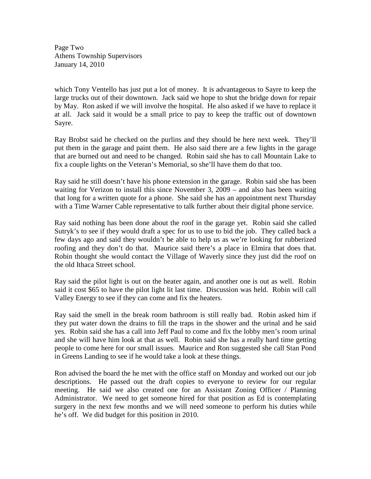Page Two Athens Township Supervisors January 14, 2010

which Tony Ventello has just put a lot of money. It is advantageous to Sayre to keep the large trucks out of their downtown. Jack said we hope to shut the bridge down for repair by May. Ron asked if we will involve the hospital. He also asked if we have to replace it at all. Jack said it would be a small price to pay to keep the traffic out of downtown Sayre.

Ray Brobst said he checked on the purlins and they should be here next week. They'll put them in the garage and paint them. He also said there are a few lights in the garage that are burned out and need to be changed. Robin said she has to call Mountain Lake to fix a couple lights on the Veteran's Memorial, so she'll have them do that too.

Ray said he still doesn't have his phone extension in the garage. Robin said she has been waiting for Verizon to install this since November 3, 2009 – and also has been waiting that long for a written quote for a phone. She said she has an appointment next Thursday with a Time Warner Cable representative to talk further about their digital phone service.

Ray said nothing has been done about the roof in the garage yet. Robin said she called Sutryk's to see if they would draft a spec for us to use to bid the job. They called back a few days ago and said they wouldn't be able to help us as we're looking for rubberized roofing and they don't do that. Maurice said there's a place in Elmira that does that. Robin thought she would contact the Village of Waverly since they just did the roof on the old Ithaca Street school.

Ray said the pilot light is out on the heater again, and another one is out as well. Robin said it cost \$65 to have the pilot light lit last time. Discussion was held. Robin will call Valley Energy to see if they can come and fix the heaters.

Ray said the smell in the break room bathroom is still really bad. Robin asked him if they put water down the drains to fill the traps in the shower and the urinal and he said yes. Robin said she has a call into Jeff Paul to come and fix the lobby men's room urinal and she will have him look at that as well. Robin said she has a really hard time getting people to come here for our small issues. Maurice and Ron suggested she call Stan Pond in Greens Landing to see if he would take a look at these things.

Ron advised the board the he met with the office staff on Monday and worked out our job descriptions. He passed out the draft copies to everyone to review for our regular meeting. He said we also created one for an Assistant Zoning Officer / Planning Administrator. We need to get someone hired for that position as Ed is contemplating surgery in the next few months and we will need someone to perform his duties while he's off. We did budget for this position in 2010.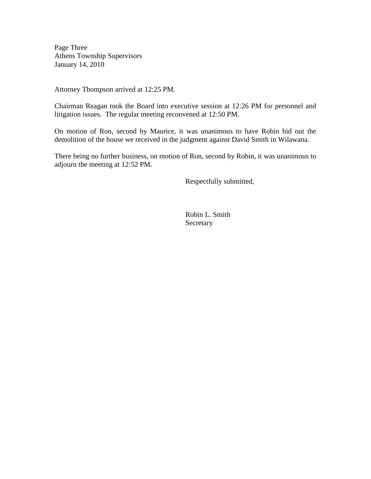Page Three Athens Township Supervisors January 14, 2010

Attorney Thompson arrived at 12:25 PM.

Chairman Reagan took the Board into executive session at 12:26 PM for personnel and litigation issues. The regular meeting reconvened at 12:50 PM.

On motion of Ron, second by Maurice, it was unanimous to have Robin bid out the demolition of the house we received in the judgment against David Smith in Wilawana.

There being no further business, on motion of Ron, second by Robin, it was unanimous to adjourn the meeting at 12:52 PM.

Respectfully submitted,

 Robin L. Smith **Secretary**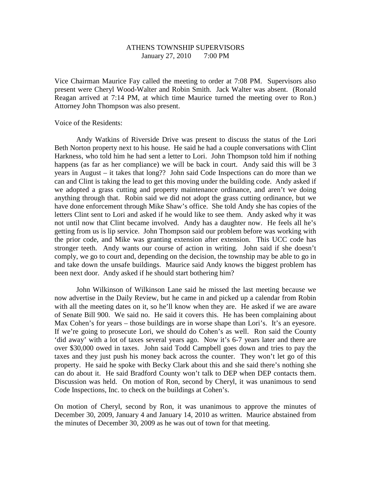## ATHENS TOWNSHIP SUPERVISORS January 27, 2010 7:00 PM

Vice Chairman Maurice Fay called the meeting to order at 7:08 PM. Supervisors also present were Cheryl Wood-Walter and Robin Smith. Jack Walter was absent. (Ronald Reagan arrived at 7:14 PM, at which time Maurice turned the meeting over to Ron.) Attorney John Thompson was also present.

Voice of the Residents:

 Andy Watkins of Riverside Drive was present to discuss the status of the Lori Beth Norton property next to his house. He said he had a couple conversations with Clint Harkness, who told him he had sent a letter to Lori. John Thompson told him if nothing happens (as far as her compliance) we will be back in court. Andy said this will be 3 years in August – it takes that long?? John said Code Inspections can do more than we can and Clint is taking the lead to get this moving under the building code. Andy asked if we adopted a grass cutting and property maintenance ordinance, and aren't we doing anything through that. Robin said we did not adopt the grass cutting ordinance, but we have done enforcement through Mike Shaw's office. She told Andy she has copies of the letters Clint sent to Lori and asked if he would like to see them. Andy asked why it was not until now that Clint became involved. Andy has a daughter now. He feels all he's getting from us is lip service. John Thompson said our problem before was working with the prior code, and Mike was granting extension after extension. This UCC code has stronger teeth. Andy wants our course of action in writing. John said if she doesn't comply, we go to court and, depending on the decision, the township may be able to go in and take down the unsafe buildings. Maurice said Andy knows the biggest problem has been next door. Andy asked if he should start bothering him?

 John Wilkinson of Wilkinson Lane said he missed the last meeting because we now advertise in the Daily Review, but he came in and picked up a calendar from Robin with all the meeting dates on it, so he'll know when they are. He asked if we are aware of Senate Bill 900. We said no. He said it covers this. He has been complaining about Max Cohen's for years – those buildings are in worse shape than Lori's. It's an eyesore. If we're going to prosecute Lori, we should do Cohen's as well. Ron said the County 'did away' with a lot of taxes several years ago. Now it's 6-7 years later and there are over \$30,000 owed in taxes. John said Todd Campbell goes down and tries to pay the taxes and they just push his money back across the counter. They won't let go of this property. He said he spoke with Becky Clark about this and she said there's nothing she can do about it. He said Bradford County won't talk to DEP when DEP contacts them. Discussion was held. On motion of Ron, second by Cheryl, it was unanimous to send Code Inspections, Inc. to check on the buildings at Cohen's.

On motion of Cheryl, second by Ron, it was unanimous to approve the minutes of December 30, 2009, January 4 and January 14, 2010 as written. Maurice abstained from the minutes of December 30, 2009 as he was out of town for that meeting.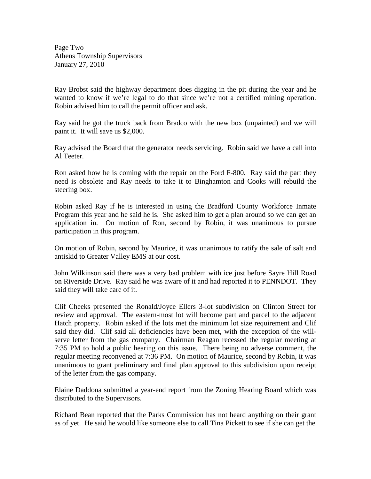Page Two Athens Township Supervisors January 27, 2010

Ray Brobst said the highway department does digging in the pit during the year and he wanted to know if we're legal to do that since we're not a certified mining operation. Robin advised him to call the permit officer and ask.

Ray said he got the truck back from Bradco with the new box (unpainted) and we will paint it. It will save us \$2,000.

Ray advised the Board that the generator needs servicing. Robin said we have a call into Al Teeter.

Ron asked how he is coming with the repair on the Ford F-800. Ray said the part they need is obsolete and Ray needs to take it to Binghamton and Cooks will rebuild the steering box.

Robin asked Ray if he is interested in using the Bradford County Workforce Inmate Program this year and he said he is. She asked him to get a plan around so we can get an application in. On motion of Ron, second by Robin, it was unanimous to pursue participation in this program.

On motion of Robin, second by Maurice, it was unanimous to ratify the sale of salt and antiskid to Greater Valley EMS at our cost.

John Wilkinson said there was a very bad problem with ice just before Sayre Hill Road on Riverside Drive. Ray said he was aware of it and had reported it to PENNDOT. They said they will take care of it.

Clif Cheeks presented the Ronald/Joyce Ellers 3-lot subdivision on Clinton Street for review and approval. The eastern-most lot will become part and parcel to the adjacent Hatch property. Robin asked if the lots met the minimum lot size requirement and Clif said they did. Clif said all deficiencies have been met, with the exception of the willserve letter from the gas company. Chairman Reagan recessed the regular meeting at 7:35 PM to hold a public hearing on this issue. There being no adverse comment, the regular meeting reconvened at 7:36 PM. On motion of Maurice, second by Robin, it was unanimous to grant preliminary and final plan approval to this subdivision upon receipt of the letter from the gas company.

Elaine Daddona submitted a year-end report from the Zoning Hearing Board which was distributed to the Supervisors.

Richard Bean reported that the Parks Commission has not heard anything on their grant as of yet. He said he would like someone else to call Tina Pickett to see if she can get the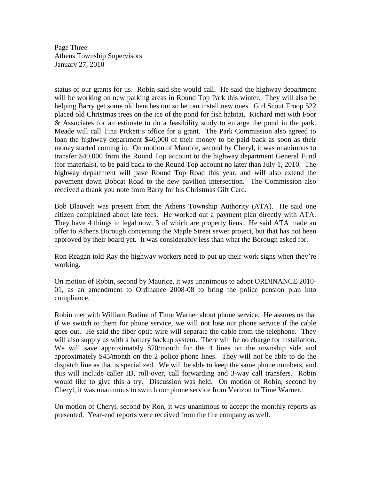Page Three Athens Township Supervisors January 27, 2010

status of our grants for us. Robin said she would call. He said the highway department will be working on new parking areas in Round Top Park this winter. They will also be helping Barry get some old benches out so he can install new ones. Girl Scout Troop 522 placed old Christmas trees on the ice of the pond for fish habitat. Richard met with Foor & Associates for an estimate to do a feasibility study to enlarge the pond in the park. Meade will call Tina Pickett's office for a grant. The Park Commission also agreed to loan the highway department \$40,000 of their money to be paid back as soon as their money started coming in. On motion of Maurice, second by Cheryl, it was unanimous to transfer \$40,000 from the Round Top account to the highway department General Fund (for materials), to be paid back to the Round Top account no later than July 1, 2010. The highway department will pave Round Top Road this year, and will also extend the pavement down Bobcat Road to the new pavilion intersection. The Commission also received a thank you note from Barry for his Christmas Gift Card.

Bob Blauvelt was present from the Athens Township Authority (ATA). He said one citizen complained about late fees. He worked out a payment plan directly with ATA. They have 4 things in legal now, 3 of which are property liens. He said ATA made an offer to Athens Borough concerning the Maple Street sewer project, but that has not been approved by their board yet. It was considerably less than what the Borough asked for.

Ron Reagan told Ray the highway workers need to put up their work signs when they're working.

On motion of Robin, second by Maurice, it was unanimous to adopt ORDINANCE 2010- 01, as an amendment to Ordinance 2008-08 to bring the police pension plan into compliance.

Robin met with William Budine of Time Warner about phone service. He assures us that if we switch to them for phone service, we will not lose our phone service if the cable goes out. He said the fiber optic wire will separate the cable from the telephone. They will also supply us with a battery backup system. There will be no charge for installation. We will save approximately \$70/month for the 4 lines on the township side and approximately \$45/month on the 2 police phone lines. They will not be able to do the dispatch line as that is specialized. We will be able to keep the same phone numbers, and this will include caller ID, roll-over, call forwarding and 3-way call transfers. Robin would like to give this a try. Discussion was held. On motion of Robin, second by Cheryl, it was unanimous to switch our phone service from Verizon to Time Warner.

On motion of Cheryl, second by Ron, it was unanimous to accept the monthly reports as presented. Year-end reports were received from the fire company as well.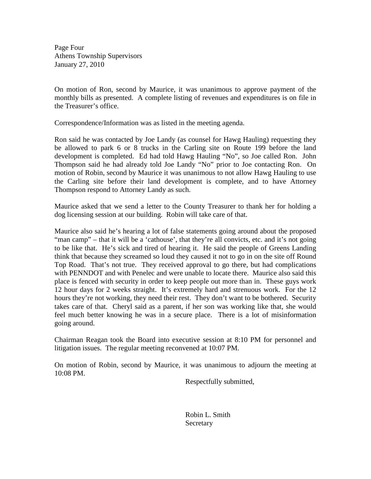Page Four Athens Township Supervisors January 27, 2010

On motion of Ron, second by Maurice, it was unanimous to approve payment of the monthly bills as presented. A complete listing of revenues and expenditures is on file in the Treasurer's office.

Correspondence/Information was as listed in the meeting agenda.

Ron said he was contacted by Joe Landy (as counsel for Hawg Hauling) requesting they be allowed to park 6 or 8 trucks in the Carling site on Route 199 before the land development is completed. Ed had told Hawg Hauling "No", so Joe called Ron. John Thompson said he had already told Joe Landy "No" prior to Joe contacting Ron. On motion of Robin, second by Maurice it was unanimous to not allow Hawg Hauling to use the Carling site before their land development is complete, and to have Attorney Thompson respond to Attorney Landy as such.

Maurice asked that we send a letter to the County Treasurer to thank her for holding a dog licensing session at our building. Robin will take care of that.

Maurice also said he's hearing a lot of false statements going around about the proposed "man camp" – that it will be a 'cathouse', that they're all convicts, etc. and it's not going to be like that. He's sick and tired of hearing it. He said the people of Greens Landing think that because they screamed so loud they caused it not to go in on the site off Round Top Road. That's not true. They received approval to go there, but had complications with PENNDOT and with Penelec and were unable to locate there. Maurice also said this place is fenced with security in order to keep people out more than in. These guys work 12 hour days for 2 weeks straight. It's extremely hard and strenuous work. For the 12 hours they're not working, they need their rest. They don't want to be bothered. Security takes care of that. Cheryl said as a parent, if her son was working like that, she would feel much better knowing he was in a secure place. There is a lot of misinformation going around.

Chairman Reagan took the Board into executive session at 8:10 PM for personnel and litigation issues. The regular meeting reconvened at 10:07 PM.

On motion of Robin, second by Maurice, it was unanimous to adjourn the meeting at 10:08 PM.

Respectfully submitted,

 Robin L. Smith **Secretary**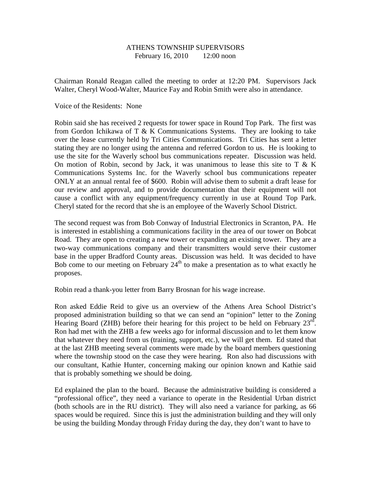### ATHENS TOWNSHIP SUPERVISORS February 16, 2010 12:00 noon

Chairman Ronald Reagan called the meeting to order at 12:20 PM. Supervisors Jack Walter, Cheryl Wood-Walter, Maurice Fay and Robin Smith were also in attendance.

#### Voice of the Residents: None

Robin said she has received 2 requests for tower space in Round Top Park. The first was from Gordon Ichikawa of T & K Communications Systems. They are looking to take over the lease currently held by Tri Cities Communications. Tri Cities has sent a letter stating they are no longer using the antenna and referred Gordon to us. He is looking to use the site for the Waverly school bus communications repeater. Discussion was held. On motion of Robin, second by Jack, it was unanimous to lease this site to  $T \& K$ Communications Systems Inc. for the Waverly school bus communications repeater ONLY at an annual rental fee of \$600. Robin will advise them to submit a draft lease for our review and approval, and to provide documentation that their equipment will not cause a conflict with any equipment/frequency currently in use at Round Top Park. Cheryl stated for the record that she is an employee of the Waverly School District.

The second request was from Bob Conway of Industrial Electronics in Scranton, PA. He is interested in establishing a communications facility in the area of our tower on Bobcat Road. They are open to creating a new tower or expanding an existing tower. They are a two-way communications company and their transmitters would serve their customer base in the upper Bradford County areas. Discussion was held. It was decided to have Bob come to our meeting on February  $24<sup>th</sup>$  to make a presentation as to what exactly he proposes.

Robin read a thank-you letter from Barry Brosnan for his wage increase.

Ron asked Eddie Reid to give us an overview of the Athens Area School District's proposed administration building so that we can send an "opinion" letter to the Zoning Hearing Board (ZHB) before their hearing for this project to be held on February  $23^{\text{rd}}$ . Ron had met with the ZHB a few weeks ago for informal discussion and to let them know that whatever they need from us (training, support, etc.), we will get them. Ed stated that at the last ZHB meeting several comments were made by the board members questioning where the township stood on the case they were hearing. Ron also had discussions with our consultant, Kathie Hunter, concerning making our opinion known and Kathie said that is probably something we should be doing.

Ed explained the plan to the board. Because the administrative building is considered a "professional office", they need a variance to operate in the Residential Urban district (both schools are in the RU district). They will also need a variance for parking, as 66 spaces would be required. Since this is just the administration building and they will only be using the building Monday through Friday during the day, they don't want to have to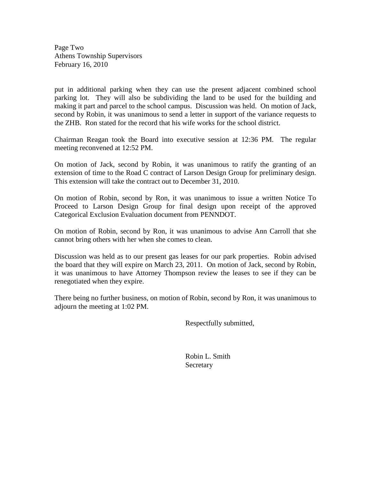Page Two Athens Township Supervisors February 16, 2010

put in additional parking when they can use the present adjacent combined school parking lot. They will also be subdividing the land to be used for the building and making it part and parcel to the school campus. Discussion was held. On motion of Jack, second by Robin, it was unanimous to send a letter in support of the variance requests to the ZHB. Ron stated for the record that his wife works for the school district.

Chairman Reagan took the Board into executive session at 12:36 PM. The regular meeting reconvened at 12:52 PM.

On motion of Jack, second by Robin, it was unanimous to ratify the granting of an extension of time to the Road C contract of Larson Design Group for preliminary design. This extension will take the contract out to December 31, 2010.

On motion of Robin, second by Ron, it was unanimous to issue a written Notice To Proceed to Larson Design Group for final design upon receipt of the approved Categorical Exclusion Evaluation document from PENNDOT.

On motion of Robin, second by Ron, it was unanimous to advise Ann Carroll that she cannot bring others with her when she comes to clean.

Discussion was held as to our present gas leases for our park properties. Robin advised the board that they will expire on March 23, 2011. On motion of Jack, second by Robin, it was unanimous to have Attorney Thompson review the leases to see if they can be renegotiated when they expire.

There being no further business, on motion of Robin, second by Ron, it was unanimous to adjourn the meeting at 1:02 PM.

Respectfully submitted,

 Robin L. Smith Secretary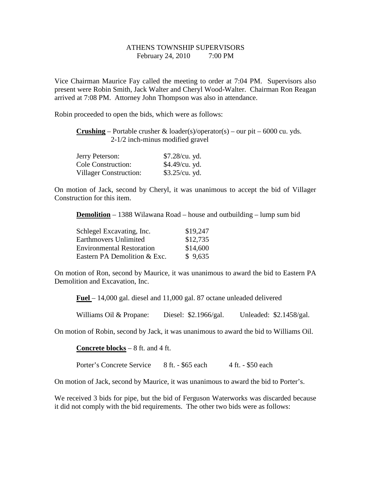# ATHENS TOWNSHIP SUPERVISORS February 24, 2010 7:00 PM

Vice Chairman Maurice Fay called the meeting to order at 7:04 PM. Supervisors also present were Robin Smith, Jack Walter and Cheryl Wood-Walter. Chairman Ron Reagan arrived at 7:08 PM. Attorney John Thompson was also in attendance.

Robin proceeded to open the bids, which were as follows:

**Crushing** – Portable crusher  $\&$  loader(s)/operator(s) – our pit – 6000 cu. yds. 2-1/2 inch-minus modified gravel

| Jerry Peterson:               | \$7.28/cu. yd. |
|-------------------------------|----------------|
| <b>Cole Construction:</b>     | \$4.49/cu. yd. |
| <b>Villager Construction:</b> | \$3.25/cu. yd. |

On motion of Jack, second by Cheryl, it was unanimous to accept the bid of Villager Construction for this item.

**Demolition** – 1388 Wilawana Road – house and outbuilding – lump sum bid

| Schlegel Excavating, Inc.        | \$19,247 |
|----------------------------------|----------|
| Earthmovers Unlimited            | \$12,735 |
| <b>Environmental Restoration</b> | \$14,600 |
| Eastern PA Demolition & Exc.     | \$9,635  |

On motion of Ron, second by Maurice, it was unanimous to award the bid to Eastern PA Demolition and Excavation, Inc.

**Fuel** – 14,000 gal. diesel and 11,000 gal. 87 octane unleaded delivered

Williams Oil & Propane: Diesel: \$2.1966/gal. Unleaded: \$2.1458/gal.

On motion of Robin, second by Jack, it was unanimous to award the bid to Williams Oil.

**Concrete blocks** – 8 ft. and 4 ft.

Porter's Concrete Service 8 ft. - \$65 each 4 ft. - \$50 each

On motion of Jack, second by Maurice, it was unanimous to award the bid to Porter's.

We received 3 bids for pipe, but the bid of Ferguson Waterworks was discarded because it did not comply with the bid requirements. The other two bids were as follows: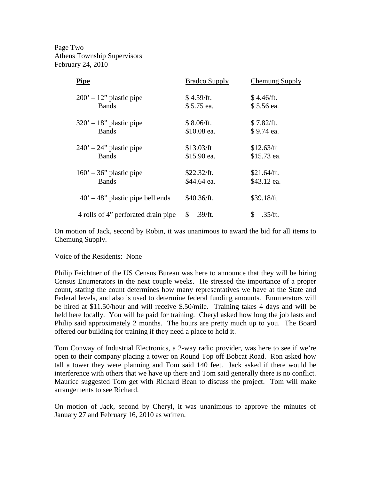Page Two Athens Township Supervisors February 24, 2010

| <b>Pipe</b>                                      | <b>Bradco Supply</b>    | <b>Chemung Supply</b>    |
|--------------------------------------------------|-------------------------|--------------------------|
| $200' - 12'$ plastic pipe                        | \$4.59/ft.              | \$4.46/ft.               |
| <b>Bands</b>                                     | \$5.75 ea.              | \$5.56 ea.               |
| $320' - 18''$ plastic pipe                       | \$8.06/ft.              | \$7.82/ft.               |
| Bands                                            | \$10.08 ea.             | \$9.74 ea.               |
| $240' - 24$ " plastic pipe                       | \$13.03/ft              | \$12.63/ft               |
| Bands                                            | \$15.90 ea.             | \$15.73 ea.              |
| $160' - 36"$ plastic pipe                        | \$22.32/ft.             | \$21.64/ft.              |
| <b>Bands</b>                                     | \$44.64 ea.             | \$43.12 ea.              |
| $40^{\circ} - 48^{\circ}$ plastic pipe bell ends | \$40.36/ft.             | \$39.18/ft               |
| 4 rolls of 4" perforated drain pipe              | $\mathbb{S}$<br>.39/ft. | \$.<br>$.35/\text{ft}$ . |

On motion of Jack, second by Robin, it was unanimous to award the bid for all items to Chemung Supply.

Voice of the Residents: None

Philip Feichtner of the US Census Bureau was here to announce that they will be hiring Census Enumerators in the next couple weeks. He stressed the importance of a proper count, stating the count determines how many representatives we have at the State and Federal levels, and also is used to determine federal funding amounts. Enumerators will be hired at \$11.50/hour and will receive \$.50/mile. Training takes 4 days and will be held here locally. You will be paid for training. Cheryl asked how long the job lasts and Philip said approximately 2 months. The hours are pretty much up to you. The Board offered our building for training if they need a place to hold it.

Tom Conway of Industrial Electronics, a 2-way radio provider, was here to see if we're open to their company placing a tower on Round Top off Bobcat Road. Ron asked how tall a tower they were planning and Tom said 140 feet. Jack asked if there would be interference with others that we have up there and Tom said generally there is no conflict. Maurice suggested Tom get with Richard Bean to discuss the project. Tom will make arrangements to see Richard.

On motion of Jack, second by Cheryl, it was unanimous to approve the minutes of January 27 and February 16, 2010 as written.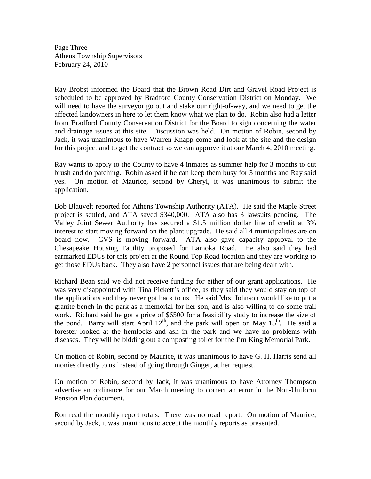Page Three Athens Township Supervisors February 24, 2010

Ray Brobst informed the Board that the Brown Road Dirt and Gravel Road Project is scheduled to be approved by Bradford County Conservation District on Monday. We will need to have the surveyor go out and stake our right-of-way, and we need to get the affected landowners in here to let them know what we plan to do. Robin also had a letter from Bradford County Conservation District for the Board to sign concerning the water and drainage issues at this site. Discussion was held. On motion of Robin, second by Jack, it was unanimous to have Warren Knapp come and look at the site and the design for this project and to get the contract so we can approve it at our March 4, 2010 meeting.

Ray wants to apply to the County to have 4 inmates as summer help for 3 months to cut brush and do patching. Robin asked if he can keep them busy for 3 months and Ray said yes. On motion of Maurice, second by Cheryl, it was unanimous to submit the application.

Bob Blauvelt reported for Athens Township Authority (ATA). He said the Maple Street project is settled, and ATA saved \$340,000. ATA also has 3 lawsuits pending. The Valley Joint Sewer Authority has secured a \$1.5 million dollar line of credit at 3% interest to start moving forward on the plant upgrade. He said all 4 municipalities are on board now. CVS is moving forward. ATA also gave capacity approval to the Chesapeake Housing Facility proposed for Lamoka Road. He also said they had earmarked EDUs for this project at the Round Top Road location and they are working to get those EDUs back. They also have 2 personnel issues that are being dealt with.

Richard Bean said we did not receive funding for either of our grant applications. He was very disappointed with Tina Pickett's office, as they said they would stay on top of the applications and they never got back to us. He said Mrs. Johnson would like to put a granite bench in the park as a memorial for her son, and is also willing to do some trail work. Richard said he got a price of \$6500 for a feasibility study to increase the size of the pond. Barry will start April  $12<sup>th</sup>$ , and the park will open on May  $15<sup>th</sup>$ . He said a forester looked at the hemlocks and ash in the park and we have no problems with diseases. They will be bidding out a composting toilet for the Jim King Memorial Park.

On motion of Robin, second by Maurice, it was unanimous to have G. H. Harris send all monies directly to us instead of going through Ginger, at her request.

On motion of Robin, second by Jack, it was unanimous to have Attorney Thompson advertise an ordinance for our March meeting to correct an error in the Non-Uniform Pension Plan document.

Ron read the monthly report totals. There was no road report. On motion of Maurice, second by Jack, it was unanimous to accept the monthly reports as presented.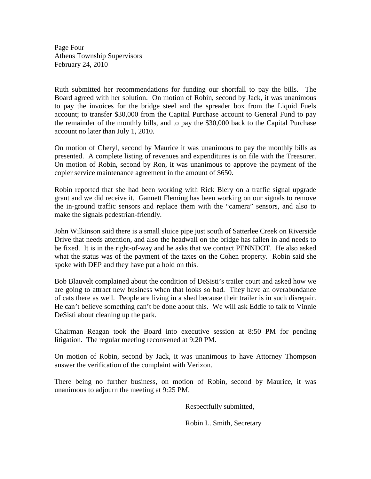Page Four Athens Township Supervisors February 24, 2010

Ruth submitted her recommendations for funding our shortfall to pay the bills. The Board agreed with her solution. On motion of Robin, second by Jack, it was unanimous to pay the invoices for the bridge steel and the spreader box from the Liquid Fuels account; to transfer \$30,000 from the Capital Purchase account to General Fund to pay the remainder of the monthly bills, and to pay the \$30,000 back to the Capital Purchase account no later than July 1, 2010.

On motion of Cheryl, second by Maurice it was unanimous to pay the monthly bills as presented. A complete listing of revenues and expenditures is on file with the Treasurer. On motion of Robin, second by Ron, it was unanimous to approve the payment of the copier service maintenance agreement in the amount of \$650.

Robin reported that she had been working with Rick Biery on a traffic signal upgrade grant and we did receive it. Gannett Fleming has been working on our signals to remove the in-ground traffic sensors and replace them with the "camera" sensors, and also to make the signals pedestrian-friendly.

John Wilkinson said there is a small sluice pipe just south of Satterlee Creek on Riverside Drive that needs attention, and also the headwall on the bridge has fallen in and needs to be fixed. It is in the right-of-way and he asks that we contact PENNDOT. He also asked what the status was of the payment of the taxes on the Cohen property. Robin said she spoke with DEP and they have put a hold on this.

Bob Blauvelt complained about the condition of DeSisti's trailer court and asked how we are going to attract new business when that looks so bad. They have an overabundance of cats there as well. People are living in a shed because their trailer is in such disrepair. He can't believe something can't be done about this. We will ask Eddie to talk to Vinnie DeSisti about cleaning up the park.

Chairman Reagan took the Board into executive session at 8:50 PM for pending litigation. The regular meeting reconvened at 9:20 PM.

On motion of Robin, second by Jack, it was unanimous to have Attorney Thompson answer the verification of the complaint with Verizon.

There being no further business, on motion of Robin, second by Maurice, it was unanimous to adjourn the meeting at 9:25 PM.

Respectfully submitted,

Robin L. Smith, Secretary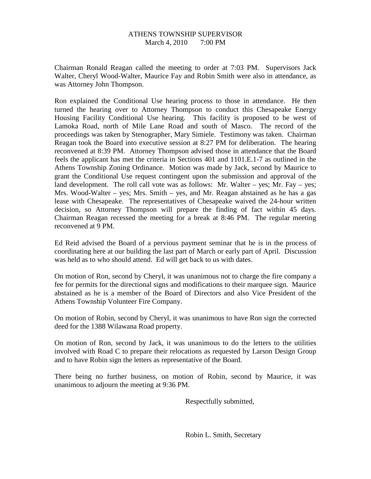#### ATHENS TOWNSHIP SUPERVISOR March 4, 2010 7:00 PM

Chairman Ronald Reagan called the meeting to order at 7:03 PM. Supervisors Jack Walter, Cheryl Wood-Walter, Maurice Fay and Robin Smith were also in attendance, as was Attorney John Thompson.

Ron explained the Conditional Use hearing process to those in attendance. He then turned the hearing over to Attorney Thompson to conduct this Chesapeake Energy Housing Facility Conditional Use hearing. This facility is proposed to be west of Lamoka Road, north of Mile Lane Road and south of Masco. The record of the proceedings was taken by Stenographer, Mary Simiele. Testimony was taken. Chairman Reagan took the Board into executive session at 8:27 PM for deliberation. The hearing reconvened at 8:39 PM. Attorney Thompson advised those in attendance that the Board feels the applicant has met the criteria in Sections 401 and 1101.E.1-7 as outlined in the Athens Township Zoning Ordinance. Motion was made by Jack, second by Maurice to grant the Conditional Use request contingent upon the submission and approval of the land development. The roll call vote was as follows: Mr. Walter – yes; Mr. Fay – yes; Mrs. Wood-Walter – yes; Mrs. Smith – yes, and Mr. Reagan abstained as he has a gas lease with Chesapeake. The representatives of Chesapeake waived the 24-hour written decision, so Attorney Thompson will prepare the finding of fact within 45 days. Chairman Reagan recessed the meeting for a break at 8:46 PM. The regular meeting reconvened at 9 PM.

Ed Reid advised the Board of a pervious payment seminar that he is in the process of coordinating here at our building the last part of March or early part of April. Discussion was held as to who should attend. Ed will get back to us with dates.

On motion of Ron, second by Cheryl, it was unanimous not to charge the fire company a fee for permits for the directional signs and modifications to their marquee sign. Maurice abstained as he is a member of the Board of Directors and also Vice President of the Athens Township Volunteer Fire Company.

On motion of Robin, second by Cheryl, it was unanimous to have Ron sign the corrected deed for the 1388 Wilawana Road property.

On motion of Ron, second by Jack, it was unanimous to do the letters to the utilities involved with Road C to prepare their relocations as requested by Larson Design Group and to have Robin sign the letters as representative of the Board.

There being no further business, on motion of Robin, second by Maurice, it was unanimous to adjourn the meeting at 9:36 PM.

Respectfully submitted,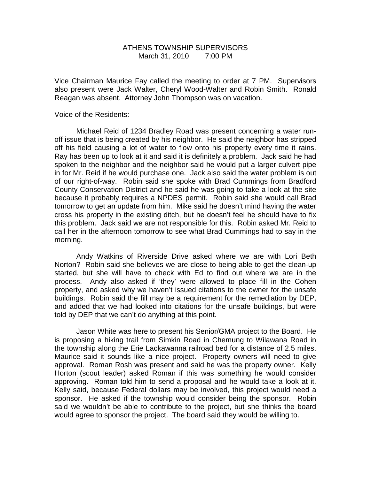## ATHENS TOWNSHIP SUPERVISORS March 31, 2010 7:00 PM

Vice Chairman Maurice Fay called the meeting to order at 7 PM. Supervisors also present were Jack Walter, Cheryl Wood-Walter and Robin Smith. Ronald Reagan was absent. Attorney John Thompson was on vacation.

Voice of the Residents:

 Michael Reid of 1234 Bradley Road was present concerning a water runoff issue that is being created by his neighbor. He said the neighbor has stripped off his field causing a lot of water to flow onto his property every time it rains. Ray has been up to look at it and said it is definitely a problem. Jack said he had spoken to the neighbor and the neighbor said he would put a larger culvert pipe in for Mr. Reid if he would purchase one. Jack also said the water problem is out of our right-of-way. Robin said she spoke with Brad Cummings from Bradford County Conservation District and he said he was going to take a look at the site because it probably requires a NPDES permit. Robin said she would call Brad tomorrow to get an update from him. Mike said he doesn't mind having the water cross his property in the existing ditch, but he doesn't feel he should have to fix this problem. Jack said we are not responsible for this. Robin asked Mr. Reid to call her in the afternoon tomorrow to see what Brad Cummings had to say in the morning.

 Andy Watkins of Riverside Drive asked where we are with Lori Beth Norton? Robin said she believes we are close to being able to get the clean-up started, but she will have to check with Ed to find out where we are in the process. Andy also asked if 'they' were allowed to place fill in the Cohen property, and asked why we haven't issued citations to the owner for the unsafe buildings. Robin said the fill may be a requirement for the remediation by DEP, and added that we had looked into citations for the unsafe buildings, but were told by DEP that we can't do anything at this point.

 Jason White was here to present his Senior/GMA project to the Board. He is proposing a hiking trail from Simkin Road in Chemung to Wilawana Road in the township along the Erie Lackawanna railroad bed for a distance of 2.5 miles. Maurice said it sounds like a nice project. Property owners will need to give approval. Roman Rosh was present and said he was the property owner. Kelly Horton (scout leader) asked Roman if this was something he would consider approving. Roman told him to send a proposal and he would take a look at it. Kelly said, because Federal dollars may be involved, this project would need a sponsor. He asked if the township would consider being the sponsor. Robin said we wouldn't be able to contribute to the project, but she thinks the board would agree to sponsor the project. The board said they would be willing to.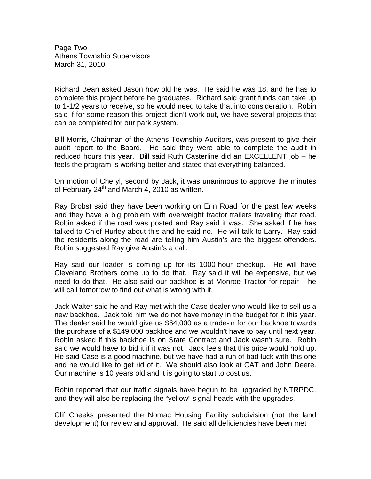Page Two Athens Township Supervisors March 31, 2010

Richard Bean asked Jason how old he was. He said he was 18, and he has to complete this project before he graduates. Richard said grant funds can take up to 1-1/2 years to receive, so he would need to take that into consideration. Robin said if for some reason this project didn't work out, we have several projects that can be completed for our park system.

Bill Morris, Chairman of the Athens Township Auditors, was present to give their audit report to the Board. He said they were able to complete the audit in reduced hours this year. Bill said Ruth Casterline did an EXCELLENT job – he feels the program is working better and stated that everything balanced.

On motion of Cheryl, second by Jack, it was unanimous to approve the minutes of February  $24<sup>th</sup>$  and March 4, 2010 as written.

Ray Brobst said they have been working on Erin Road for the past few weeks and they have a big problem with overweight tractor trailers traveling that road. Robin asked if the road was posted and Ray said it was. She asked if he has talked to Chief Hurley about this and he said no. He will talk to Larry. Ray said the residents along the road are telling him Austin's are the biggest offenders. Robin suggested Ray give Austin's a call.

Ray said our loader is coming up for its 1000-hour checkup. He will have Cleveland Brothers come up to do that. Ray said it will be expensive, but we need to do that. He also said our backhoe is at Monroe Tractor for repair – he will call tomorrow to find out what is wrong with it.

Jack Walter said he and Ray met with the Case dealer who would like to sell us a new backhoe. Jack told him we do not have money in the budget for it this year. The dealer said he would give us \$64,000 as a trade-in for our backhoe towards the purchase of a \$149,000 backhoe and we wouldn't have to pay until next year. Robin asked if this backhoe is on State Contract and Jack wasn't sure. Robin said we would have to bid it if it was not. Jack feels that this price would hold up. He said Case is a good machine, but we have had a run of bad luck with this one and he would like to get rid of it. We should also look at CAT and John Deere. Our machine is 10 years old and it is going to start to cost us.

Robin reported that our traffic signals have begun to be upgraded by NTRPDC, and they will also be replacing the "yellow" signal heads with the upgrades.

Clif Cheeks presented the Nomac Housing Facility subdivision (not the land development) for review and approval. He said all deficiencies have been met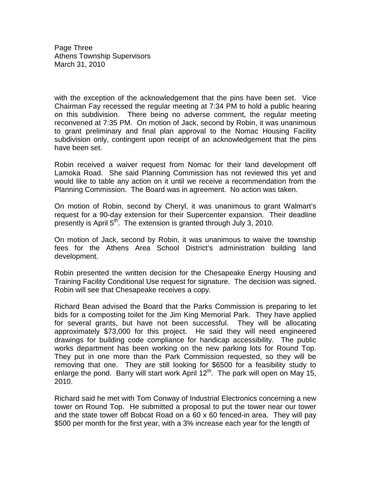Page Three Athens Township Supervisors March 31, 2010

with the exception of the acknowledgement that the pins have been set. Vice Chairman Fay recessed the regular meeting at 7:34 PM to hold a public hearing on this subdivision. There being no adverse comment, the regular meeting reconvened at 7:35 PM. On motion of Jack, second by Robin, it was unanimous to grant preliminary and final plan approval to the Nomac Housing Facility subdivision only, contingent upon receipt of an acknowledgement that the pins have been set.

Robin received a waiver request from Nomac for their land development off Lamoka Road. She said Planning Commission has not reviewed this yet and would like to table any action on it until we receive a recommendation from the Planning Commission. The Board was in agreement. No action was taken.

On motion of Robin, second by Cheryl, it was unanimous to grant Walmart's request for a 90-day extension for their Supercenter expansion. Their deadline presently is April  $5<sup>th</sup>$ . The extension is granted through July 3, 2010.

On motion of Jack, second by Robin, it was unanimous to waive the township fees for the Athens Area School District's administration building land development.

Robin presented the written decision for the Chesapeake Energy Housing and Training Facility Conditional Use request for signature. The decision was signed. Robin will see that Chesapeake receives a copy.

Richard Bean advised the Board that the Parks Commission is preparing to let bids for a composting toilet for the Jim King Memorial Park. They have applied for several grants, but have not been successful. They will be allocating approximately \$73,000 for this project. He said they will need engineered drawings for building code compliance for handicap accessibility. The public works department has been working on the new parking lots for Round Top. They put in one more than the Park Commission requested, so they will be removing that one. They are still looking for \$6500 for a feasibility study to enlarge the pond. Barry will start work April  $12<sup>th</sup>$ . The park will open on May 15, 2010.

Richard said he met with Tom Conway of Industrial Electronics concerning a new tower on Round Top. He submitted a proposal to put the tower near our tower and the state tower off Bobcat Road on a 60 x 60 fenced-in area. They will pay \$500 per month for the first year, with a 3% increase each year for the length of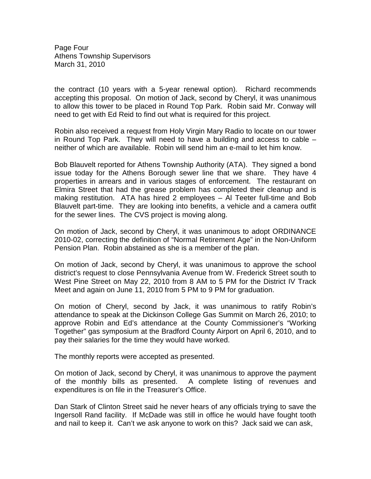Page Four Athens Township Supervisors March 31, 2010

the contract (10 years with a 5-year renewal option). Richard recommends accepting this proposal. On motion of Jack, second by Cheryl, it was unanimous to allow this tower to be placed in Round Top Park. Robin said Mr. Conway will need to get with Ed Reid to find out what is required for this project.

Robin also received a request from Holy Virgin Mary Radio to locate on our tower in Round Top Park. They will need to have a building and access to cable – neither of which are available. Robin will send him an e-mail to let him know.

Bob Blauvelt reported for Athens Township Authority (ATA). They signed a bond issue today for the Athens Borough sewer line that we share. They have 4 properties in arrears and in various stages of enforcement. The restaurant on Elmira Street that had the grease problem has completed their cleanup and is making restitution. ATA has hired 2 employees – Al Teeter full-time and Bob Blauvelt part-time. They are looking into benefits, a vehicle and a camera outfit for the sewer lines. The CVS project is moving along.

On motion of Jack, second by Cheryl, it was unanimous to adopt ORDINANCE 2010-02, correcting the definition of "Normal Retirement Age" in the Non-Uniform Pension Plan. Robin abstained as she is a member of the plan.

On motion of Jack, second by Cheryl, it was unanimous to approve the school district's request to close Pennsylvania Avenue from W. Frederick Street south to West Pine Street on May 22, 2010 from 8 AM to 5 PM for the District IV Track Meet and again on June 11, 2010 from 5 PM to 9 PM for graduation.

On motion of Cheryl, second by Jack, it was unanimous to ratify Robin's attendance to speak at the Dickinson College Gas Summit on March 26, 2010; to approve Robin and Ed's attendance at the County Commissioner's "Working Together" gas symposium at the Bradford County Airport on April 6, 2010, and to pay their salaries for the time they would have worked.

The monthly reports were accepted as presented.

On motion of Jack, second by Cheryl, it was unanimous to approve the payment of the monthly bills as presented. A complete listing of revenues and expenditures is on file in the Treasurer's Office.

Dan Stark of Clinton Street said he never hears of any officials trying to save the Ingersoll Rand facility. If McDade was still in office he would have fought tooth and nail to keep it. Can't we ask anyone to work on this? Jack said we can ask,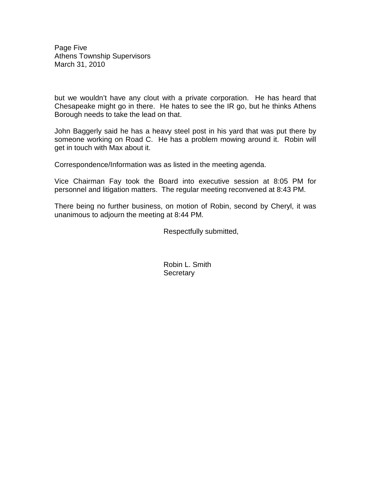Page Five Athens Township Supervisors March 31, 2010

but we wouldn't have any clout with a private corporation. He has heard that Chesapeake might go in there. He hates to see the IR go, but he thinks Athens Borough needs to take the lead on that.

John Baggerly said he has a heavy steel post in his yard that was put there by someone working on Road C. He has a problem mowing around it. Robin will get in touch with Max about it.

Correspondence/Information was as listed in the meeting agenda.

Vice Chairman Fay took the Board into executive session at 8:05 PM for personnel and litigation matters. The regular meeting reconvened at 8:43 PM.

There being no further business, on motion of Robin, second by Cheryl, it was unanimous to adjourn the meeting at 8:44 PM.

Respectfully submitted,

 Robin L. Smith **Secretary**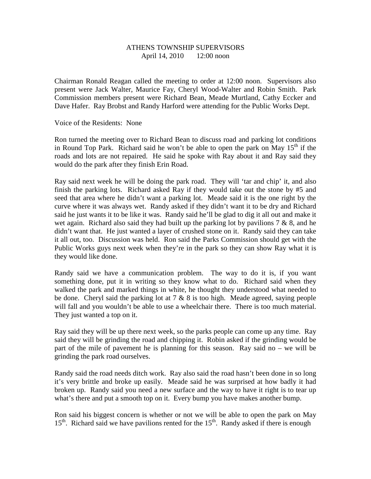# ATHENS TOWNSHIP SUPERVISORS April 14, 2010 12:00 noon

Chairman Ronald Reagan called the meeting to order at 12:00 noon. Supervisors also present were Jack Walter, Maurice Fay, Cheryl Wood-Walter and Robin Smith. Park Commission members present were Richard Bean, Meade Murtland, Cathy Eccker and Dave Hafer. Ray Brobst and Randy Harford were attending for the Public Works Dept.

Voice of the Residents: None

Ron turned the meeting over to Richard Bean to discuss road and parking lot conditions in Round Top Park. Richard said he won't be able to open the park on May  $15<sup>th</sup>$  if the roads and lots are not repaired. He said he spoke with Ray about it and Ray said they would do the park after they finish Erin Road.

Ray said next week he will be doing the park road. They will 'tar and chip' it, and also finish the parking lots. Richard asked Ray if they would take out the stone by #5 and seed that area where he didn't want a parking lot. Meade said it is the one right by the curve where it was always wet. Randy asked if they didn't want it to be dry and Richard said he just wants it to be like it was. Randy said he'll be glad to dig it all out and make it wet again. Richard also said they had built up the parking lot by pavilions  $7 \& 8$ , and he didn't want that. He just wanted a layer of crushed stone on it. Randy said they can take it all out, too. Discussion was held. Ron said the Parks Commission should get with the Public Works guys next week when they're in the park so they can show Ray what it is they would like done.

Randy said we have a communication problem. The way to do it is, if you want something done, put it in writing so they know what to do. Richard said when they walked the park and marked things in white, he thought they understood what needed to be done. Cheryl said the parking lot at  $7 \& 8$  is too high. Meade agreed, saying people will fall and you wouldn't be able to use a wheelchair there. There is too much material. They just wanted a top on it.

Ray said they will be up there next week, so the parks people can come up any time. Ray said they will be grinding the road and chipping it. Robin asked if the grinding would be part of the mile of pavement he is planning for this season. Ray said no – we will be grinding the park road ourselves.

Randy said the road needs ditch work. Ray also said the road hasn't been done in so long it's very brittle and broke up easily. Meade said he was surprised at how badly it had broken up. Randy said you need a new surface and the way to have it right is to tear up what's there and put a smooth top on it. Every bump you have makes another bump.

Ron said his biggest concern is whether or not we will be able to open the park on May  $15<sup>th</sup>$ . Richard said we have pavilions rented for the  $15<sup>th</sup>$ . Randy asked if there is enough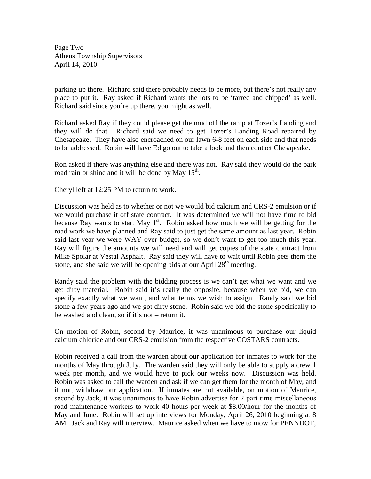Page Two Athens Township Supervisors April 14, 2010

parking up there. Richard said there probably needs to be more, but there's not really any place to put it. Ray asked if Richard wants the lots to be 'tarred and chipped' as well. Richard said since you're up there, you might as well.

Richard asked Ray if they could please get the mud off the ramp at Tozer's Landing and they will do that. Richard said we need to get Tozer's Landing Road repaired by Chesapeake. They have also encroached on our lawn 6-8 feet on each side and that needs to be addressed. Robin will have Ed go out to take a look and then contact Chesapeake.

Ron asked if there was anything else and there was not. Ray said they would do the park road rain or shine and it will be done by May  $15<sup>th</sup>$ .

Cheryl left at 12:25 PM to return to work.

Discussion was held as to whether or not we would bid calcium and CRS-2 emulsion or if we would purchase it off state contract. It was determined we will not have time to bid because Ray wants to start May  $1<sup>st</sup>$ . Robin asked how much we will be getting for the road work we have planned and Ray said to just get the same amount as last year. Robin said last year we were WAY over budget, so we don't want to get too much this year. Ray will figure the amounts we will need and will get copies of the state contract from Mike Spolar at Vestal Asphalt. Ray said they will have to wait until Robin gets them the stone, and she said we will be opening bids at our April  $28<sup>th</sup>$  meeting.

Randy said the problem with the bidding process is we can't get what we want and we get dirty material. Robin said it's really the opposite, because when we bid, we can specify exactly what we want, and what terms we wish to assign. Randy said we bid stone a few years ago and we got dirty stone. Robin said we bid the stone specifically to be washed and clean, so if it's not – return it.

On motion of Robin, second by Maurice, it was unanimous to purchase our liquid calcium chloride and our CRS-2 emulsion from the respective COSTARS contracts.

Robin received a call from the warden about our application for inmates to work for the months of May through July. The warden said they will only be able to supply a crew 1 week per month, and we would have to pick our weeks now. Discussion was held. Robin was asked to call the warden and ask if we can get them for the month of May, and if not, withdraw our application. If inmates are not available, on motion of Maurice, second by Jack, it was unanimous to have Robin advertise for 2 part time miscellaneous road maintenance workers to work 40 hours per week at \$8.00/hour for the months of May and June. Robin will set up interviews for Monday, April 26, 2010 beginning at 8 AM. Jack and Ray will interview. Maurice asked when we have to mow for PENNDOT,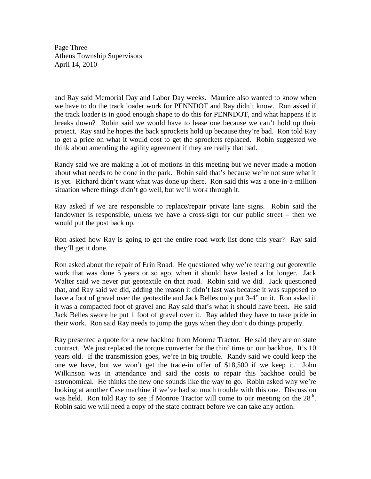Page Three Athens Township Supervisors April 14, 2010

and Ray said Memorial Day and Labor Day weeks. Maurice also wanted to know when we have to do the track loader work for PENNDOT and Ray didn't know. Ron asked if the track loader is in good enough shape to do this for PENNDOT, and what happens if it breaks down? Robin said we would have to lease one because we can't hold up their project. Ray said he hopes the back sprockets hold up because they're bad. Ron told Ray to get a price on what it would cost to get the sprockets replaced. Robin suggested we think about amending the agility agreement if they are really that bad.

Randy said we are making a lot of motions in this meeting but we never made a motion about what needs to be done in the park. Robin said that's because we're not sure what it is yet. Richard didn't want what was done up there. Ron said this was a one-in-a-million situation where things didn't go well, but we'll work through it.

Ray asked if we are responsible to replace/repair private lane signs. Robin said the landowner is responsible, unless we have a cross-sign for our public street – then we would put the post back up.

Ron asked how Ray is going to get the entire road work list done this year? Ray said they'll get it done.

Ron asked about the repair of Erin Road. He questioned why we're tearing out geotextile work that was done 5 years or so ago, when it should have lasted a lot longer. Jack Walter said we never put geotextile on that road. Robin said we did. Jack questioned that, and Ray said we did, adding the reason it didn't last was because it was supposed to have a foot of gravel over the geotextile and Jack Belles only put 3-4" on it. Ron asked if it was a compacted foot of gravel and Ray said that's what it should have been. He said Jack Belles swore he put 1 foot of gravel over it. Ray added they have to take pride in their work. Ron said Ray needs to jump the guys when they don't do things properly.

Ray presented a quote for a new backhoe from Monroe Tractor. He said they are on state contract. We just replaced the torque converter for the third time on our backhoe. It's 10 years old. If the transmission goes, we're in big trouble. Randy said we could keep the one we have, but we won't get the trade-in offer of \$18,500 if we keep it. John Wilkinson was in attendance and said the costs to repair this backhoe could be astronomical. He thinks the new one sounds like the way to go. Robin asked why we're looking at another Case machine if we've had so much trouble with this one. Discussion was held. Ron told Ray to see if Monroe Tractor will come to our meeting on the  $28<sup>th</sup>$ . Robin said we will need a copy of the state contract before we can take any action.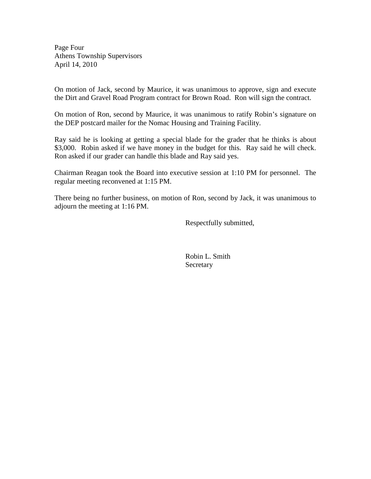Page Four Athens Township Supervisors April 14, 2010

On motion of Jack, second by Maurice, it was unanimous to approve, sign and execute the Dirt and Gravel Road Program contract for Brown Road. Ron will sign the contract.

On motion of Ron, second by Maurice, it was unanimous to ratify Robin's signature on the DEP postcard mailer for the Nomac Housing and Training Facility.

Ray said he is looking at getting a special blade for the grader that he thinks is about \$3,000. Robin asked if we have money in the budget for this. Ray said he will check. Ron asked if our grader can handle this blade and Ray said yes.

Chairman Reagan took the Board into executive session at 1:10 PM for personnel. The regular meeting reconvened at 1:15 PM.

There being no further business, on motion of Ron, second by Jack, it was unanimous to adjourn the meeting at 1:16 PM.

Respectfully submitted,

 Robin L. Smith Secretary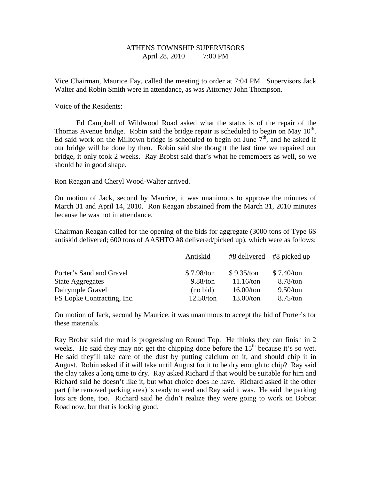#### ATHENS TOWNSHIP SUPERVISORS April 28, 2010 7:00 PM

Vice Chairman, Maurice Fay, called the meeting to order at 7:04 PM. Supervisors Jack Walter and Robin Smith were in attendance, as was Attorney John Thompson.

Voice of the Residents:

 Ed Campbell of Wildwood Road asked what the status is of the repair of the Thomas Avenue bridge. Robin said the bridge repair is scheduled to begin on May  $10<sup>th</sup>$ . Ed said work on the Milltown bridge is scheduled to begin on June  $7<sup>th</sup>$ , and he asked if our bridge will be done by then. Robin said she thought the last time we repaired our bridge, it only took 2 weeks. Ray Brobst said that's what he remembers as well, so we should be in good shape.

Ron Reagan and Cheryl Wood-Walter arrived.

On motion of Jack, second by Maurice, it was unanimous to approve the minutes of March 31 and April 14, 2010. Ron Reagan abstained from the March 31, 2010 minutes because he was not in attendance.

Chairman Reagan called for the opening of the bids for aggregate (3000 tons of Type 6S antiskid delivered; 600 tons of AASHTO #8 delivered/picked up), which were as follows:

|                            | Antiskid   |            | $#8$ delivered $#8$ picked up |
|----------------------------|------------|------------|-------------------------------|
| Porter's Sand and Gravel   | \$7.98/ton | \$9.35/ton | \$7.40/ton                    |
| <b>State Aggregates</b>    | 9.88/ton   | 11.16/ton  | 8.78/ton                      |
| Dalrymple Gravel           | (no bid)   | 16.00/ton  | 9.50/ton                      |
| FS Lopke Contracting, Inc. | 12.50/ton  | 13.00/ton  | 8.75/ton                      |

On motion of Jack, second by Maurice, it was unanimous to accept the bid of Porter's for these materials.

Ray Brobst said the road is progressing on Round Top. He thinks they can finish in 2 weeks. He said they may not get the chipping done before the  $15<sup>th</sup>$  because it's so wet. He said they'll take care of the dust by putting calcium on it, and should chip it in August. Robin asked if it will take until August for it to be dry enough to chip? Ray said the clay takes a long time to dry. Ray asked Richard if that would be suitable for him and Richard said he doesn't like it, but what choice does he have. Richard asked if the other part (the removed parking area) is ready to seed and Ray said it was. He said the parking lots are done, too. Richard said he didn't realize they were going to work on Bobcat Road now, but that is looking good.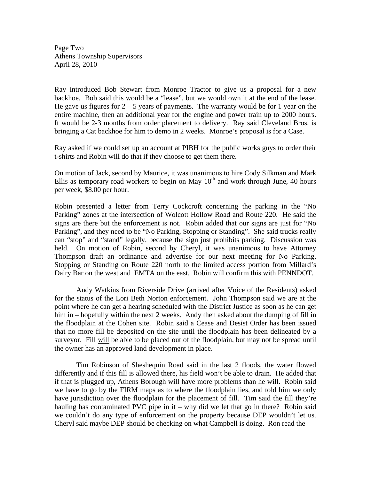Page Two Athens Township Supervisors April 28, 2010

Ray introduced Bob Stewart from Monroe Tractor to give us a proposal for a new backhoe. Bob said this would be a "lease", but we would own it at the end of the lease. He gave us figures for  $2 - 5$  years of payments. The warranty would be for 1 year on the entire machine, then an additional year for the engine and power train up to 2000 hours. It would be 2-3 months from order placement to delivery. Ray said Cleveland Bros. is bringing a Cat backhoe for him to demo in 2 weeks. Monroe's proposal is for a Case.

Ray asked if we could set up an account at PIBH for the public works guys to order their t-shirts and Robin will do that if they choose to get them there.

On motion of Jack, second by Maurice, it was unanimous to hire Cody Silkman and Mark Ellis as temporary road workers to begin on May  $10<sup>th</sup>$  and work through June, 40 hours per week, \$8.00 per hour.

Robin presented a letter from Terry Cockcroft concerning the parking in the "No Parking" zones at the intersection of Wolcott Hollow Road and Route 220. He said the signs are there but the enforcement is not. Robin added that our signs are just for "No Parking", and they need to be "No Parking, Stopping or Standing". She said trucks really can "stop" and "stand" legally, because the sign just prohibits parking. Discussion was held. On motion of Robin, second by Cheryl, it was unanimous to have Attorney Thompson draft an ordinance and advertise for our next meeting for No Parking, Stopping or Standing on Route 220 north to the limited access portion from Millard's Dairy Bar on the west and EMTA on the east. Robin will confirm this with PENNDOT.

Andy Watkins from Riverside Drive (arrived after Voice of the Residents) asked for the status of the Lori Beth Norton enforcement. John Thompson said we are at the point where he can get a hearing scheduled with the District Justice as soon as he can get him in – hopefully within the next 2 weeks. Andy then asked about the dumping of fill in the floodplain at the Cohen site. Robin said a Cease and Desist Order has been issued that no more fill be deposited on the site until the floodplain has been delineated by a surveyor. Fill will be able to be placed out of the floodplain, but may not be spread until the owner has an approved land development in place.

Tim Robinson of Sheshequin Road said in the last 2 floods, the water flowed differently and if this fill is allowed there, his field won't be able to drain. He added that if that is plugged up, Athens Borough will have more problems than he will. Robin said we have to go by the FIRM maps as to where the floodplain lies, and told him we only have jurisdiction over the floodplain for the placement of fill. Tim said the fill they're hauling has contaminated PVC pipe in it – why did we let that go in there? Robin said we couldn't do any type of enforcement on the property because DEP wouldn't let us. Cheryl said maybe DEP should be checking on what Campbell is doing. Ron read the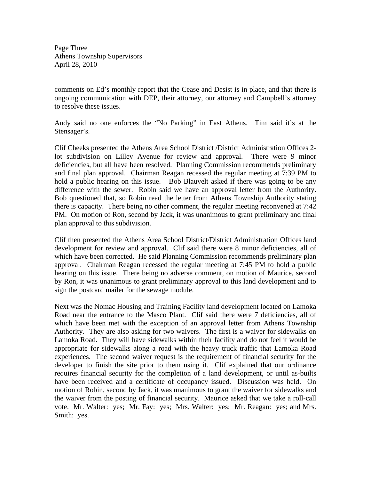Page Three Athens Township Supervisors April 28, 2010

comments on Ed's monthly report that the Cease and Desist is in place, and that there is ongoing communication with DEP, their attorney, our attorney and Campbell's attorney to resolve these issues.

Andy said no one enforces the "No Parking" in East Athens. Tim said it's at the Stensager's.

Clif Cheeks presented the Athens Area School District /District Administration Offices 2 lot subdivision on Lilley Avenue for review and approval. There were 9 minor deficiencies, but all have been resolved. Planning Commission recommends preliminary and final plan approval. Chairman Reagan recessed the regular meeting at 7:39 PM to hold a public hearing on this issue. Bob Blauvelt asked if there was going to be any difference with the sewer. Robin said we have an approval letter from the Authority. Bob questioned that, so Robin read the letter from Athens Township Authority stating there is capacity. There being no other comment, the regular meeting reconvened at 7:42 PM. On motion of Ron, second by Jack, it was unanimous to grant preliminary and final plan approval to this subdivision.

Clif then presented the Athens Area School District/District Administration Offices land development for review and approval. Clif said there were 8 minor deficiencies, all of which have been corrected. He said Planning Commission recommends preliminary plan approval. Chairman Reagan recessed the regular meeting at 7:45 PM to hold a public hearing on this issue. There being no adverse comment, on motion of Maurice, second by Ron, it was unanimous to grant preliminary approval to this land development and to sign the postcard mailer for the sewage module.

Next was the Nomac Housing and Training Facility land development located on Lamoka Road near the entrance to the Masco Plant. Clif said there were 7 deficiencies, all of which have been met with the exception of an approval letter from Athens Township Authority. They are also asking for two waivers. The first is a waiver for sidewalks on Lamoka Road. They will have sidewalks within their facility and do not feel it would be appropriate for sidewalks along a road with the heavy truck traffic that Lamoka Road experiences. The second waiver request is the requirement of financial security for the developer to finish the site prior to them using it. Clif explained that our ordinance requires financial security for the completion of a land development, or until as-builts have been received and a certificate of occupancy issued. Discussion was held. On motion of Robin, second by Jack, it was unanimous to grant the waiver for sidewalks and the waiver from the posting of financial security. Maurice asked that we take a roll-call vote. Mr. Walter: yes; Mr. Fay: yes; Mrs. Walter: yes; Mr. Reagan: yes; and Mrs. Smith: yes.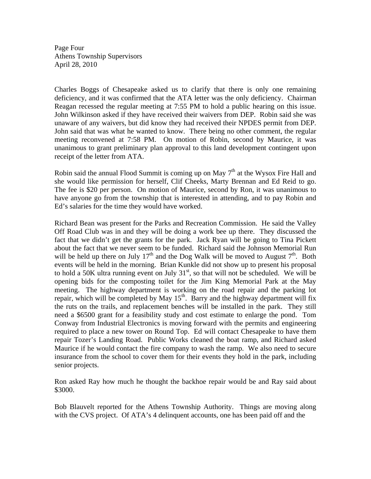Page Four Athens Township Supervisors April 28, 2010

Charles Boggs of Chesapeake asked us to clarify that there is only one remaining deficiency, and it was confirmed that the ATA letter was the only deficiency. Chairman Reagan recessed the regular meeting at 7:55 PM to hold a public hearing on this issue. John Wilkinson asked if they have received their waivers from DEP. Robin said she was unaware of any waivers, but did know they had received their NPDES permit from DEP. John said that was what he wanted to know. There being no other comment, the regular meeting reconvened at 7:58 PM. On motion of Robin, second by Maurice, it was unanimous to grant preliminary plan approval to this land development contingent upon receipt of the letter from ATA.

Robin said the annual Flood Summit is coming up on May  $7<sup>th</sup>$  at the Wysox Fire Hall and she would like permission for herself, Clif Cheeks, Marty Brennan and Ed Reid to go. The fee is \$20 per person. On motion of Maurice, second by Ron, it was unanimous to have anyone go from the township that is interested in attending, and to pay Robin and Ed's salaries for the time they would have worked.

Richard Bean was present for the Parks and Recreation Commission. He said the Valley Off Road Club was in and they will be doing a work bee up there. They discussed the fact that we didn't get the grants for the park. Jack Ryan will be going to Tina Pickett about the fact that we never seem to be funded. Richard said the Johnson Memorial Run will be held up there on July  $17<sup>th</sup>$  and the Dog Walk will be moved to August  $7<sup>th</sup>$ . Both events will be held in the morning. Brian Kunkle did not show up to present his proposal to hold a 50K ultra running event on July  $31<sup>st</sup>$ , so that will not be scheduled. We will be opening bids for the composting toilet for the Jim King Memorial Park at the May meeting. The highway department is working on the road repair and the parking lot repair, which will be completed by May  $15<sup>th</sup>$ . Barry and the highway department will fix the ruts on the trails, and replacement benches will be installed in the park. They still need a \$6500 grant for a feasibility study and cost estimate to enlarge the pond. Tom Conway from Industrial Electronics is moving forward with the permits and engineering required to place a new tower on Round Top. Ed will contact Chesapeake to have them repair Tozer's Landing Road. Public Works cleaned the boat ramp, and Richard asked Maurice if he would contact the fire company to wash the ramp. We also need to secure insurance from the school to cover them for their events they hold in the park, including senior projects.

Ron asked Ray how much he thought the backhoe repair would be and Ray said about \$3000.

Bob Blauvelt reported for the Athens Township Authority. Things are moving along with the CVS project. Of ATA's 4 delinquent accounts, one has been paid off and the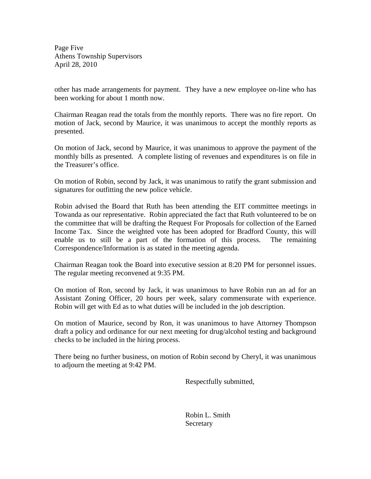Page Five Athens Township Supervisors April 28, 2010

other has made arrangements for payment. They have a new employee on-line who has been working for about 1 month now.

Chairman Reagan read the totals from the monthly reports. There was no fire report. On motion of Jack, second by Maurice, it was unanimous to accept the monthly reports as presented.

On motion of Jack, second by Maurice, it was unanimous to approve the payment of the monthly bills as presented. A complete listing of revenues and expenditures is on file in the Treasurer's office.

On motion of Robin, second by Jack, it was unanimous to ratify the grant submission and signatures for outfitting the new police vehicle.

Robin advised the Board that Ruth has been attending the EIT committee meetings in Towanda as our representative. Robin appreciated the fact that Ruth volunteered to be on the committee that will be drafting the Request For Proposals for collection of the Earned Income Tax. Since the weighted vote has been adopted for Bradford County, this will enable us to still be a part of the formation of this process. The remaining Correspondence/Information is as stated in the meeting agenda.

Chairman Reagan took the Board into executive session at 8:20 PM for personnel issues. The regular meeting reconvened at 9:35 PM.

On motion of Ron, second by Jack, it was unanimous to have Robin run an ad for an Assistant Zoning Officer, 20 hours per week, salary commensurate with experience. Robin will get with Ed as to what duties will be included in the job description.

On motion of Maurice, second by Ron, it was unanimous to have Attorney Thompson draft a policy and ordinance for our next meeting for drug/alcohol testing and background checks to be included in the hiring process.

There being no further business, on motion of Robin second by Cheryl, it was unanimous to adjourn the meeting at 9:42 PM.

Respectfully submitted,

 Robin L. Smith **Secretary**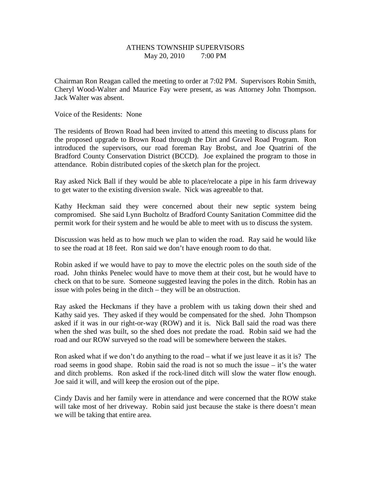# ATHENS TOWNSHIP SUPERVISORS May 20, 2010 7:00 PM

Chairman Ron Reagan called the meeting to order at 7:02 PM. Supervisors Robin Smith, Cheryl Wood-Walter and Maurice Fay were present, as was Attorney John Thompson. Jack Walter was absent.

Voice of the Residents: None

The residents of Brown Road had been invited to attend this meeting to discuss plans for the proposed upgrade to Brown Road through the Dirt and Gravel Road Program. Ron introduced the supervisors, our road foreman Ray Brobst, and Joe Quatrini of the Bradford County Conservation District (BCCD). Joe explained the program to those in attendance. Robin distributed copies of the sketch plan for the project.

Ray asked Nick Ball if they would be able to place/relocate a pipe in his farm driveway to get water to the existing diversion swale. Nick was agreeable to that.

Kathy Heckman said they were concerned about their new septic system being compromised. She said Lynn Bucholtz of Bradford County Sanitation Committee did the permit work for their system and he would be able to meet with us to discuss the system.

Discussion was held as to how much we plan to widen the road. Ray said he would like to see the road at 18 feet. Ron said we don't have enough room to do that.

Robin asked if we would have to pay to move the electric poles on the south side of the road. John thinks Penelec would have to move them at their cost, but he would have to check on that to be sure. Someone suggested leaving the poles in the ditch. Robin has an issue with poles being in the ditch – they will be an obstruction.

Ray asked the Heckmans if they have a problem with us taking down their shed and Kathy said yes. They asked if they would be compensated for the shed. John Thompson asked if it was in our right-or-way (ROW) and it is. Nick Ball said the road was there when the shed was built, so the shed does not predate the road. Robin said we had the road and our ROW surveyed so the road will be somewhere between the stakes.

Ron asked what if we don't do anything to the road – what if we just leave it as it is? The road seems in good shape. Robin said the road is not so much the issue – it's the water and ditch problems. Ron asked if the rock-lined ditch will slow the water flow enough. Joe said it will, and will keep the erosion out of the pipe.

Cindy Davis and her family were in attendance and were concerned that the ROW stake will take most of her driveway. Robin said just because the stake is there doesn't mean we will be taking that entire area.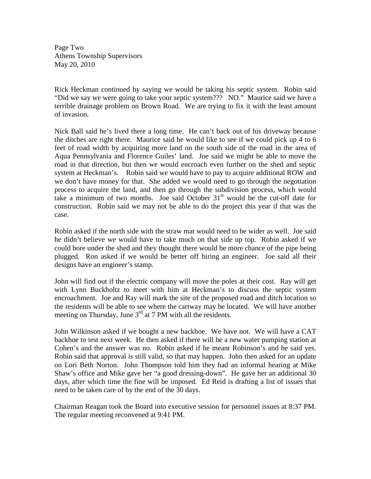Page Two Athens Township Supervisors May 20, 2010

Rick Heckman continued by saying we would be taking his septic system. Robin said "Did we say we were going to take your septic system??? NO." Maurice said we have a terrible drainage problem on Brown Road. We are trying to fix it with the least amount of invasion.

Nick Ball said he's lived there a long time. He can't back out of his driveway because the ditches are right there. Maurice said he would like to see if we could pick up 4 to 6 feet of road width by acquiring more land on the south side of the road in the area of Aqua Pennsylvania and Florence Guiles' land. Joe said we might be able to move the road in that direction, but then we would encroach even further on the shed and septic system at Heckman's. Robin said we would have to pay to acquire additional ROW and we don't have money for that. She added we would need to go through the negotiation process to acquire the land, and then go through the subdivision process, which would take a minimum of two months. Joe said October  $31<sup>st</sup>$  would be the cut-off date for construction. Robin said we may not be able to do the project this year if that was the case.

Robin asked if the north side with the straw mat would need to be wider as well. Joe said he didn't believe we would have to take much on that side up top. Robin asked if we could bore under the shed and they thought there would be more chance of the pipe being plugged. Ron asked if we would be better off hiring an engineer. Joe said all their designs have an engineer's stamp.

John will find out if the electric company will move the poles at their cost. Ray will get with Lynn Buckholtz to meet with him at Heckman's to discuss the septic system encroachment. Joe and Ray will mark the site of the proposed road and ditch location so the residents will be able to see where the cartway may be located. We will have another meeting on Thursday, June  $3<sup>rd</sup>$  at 7 PM with all the residents.

John Wilkinson asked if we bought a new backhoe. We have not. We will have a CAT backhoe to test next week. He then asked if there will be a new water pumping station at Cohen's and the answer was no. Robin asked if he meant Robinson's and he said yes. Robin said that approval is still valid, so that may happen. John then asked for an update on Lori Beth Norton. John Thompson told him they had an informal hearing at Mike Shaw's office and Mike gave her "a good dressing-down". He gave her an additional 30 days, after which time the fine will be imposed. Ed Reid is drafting a list of issues that need to be taken care of by the end of the 30 days.

Chairman Reagan took the Board into executive session for personnel issues at 8:37 PM. The regular meeting reconvened at 9:41 PM.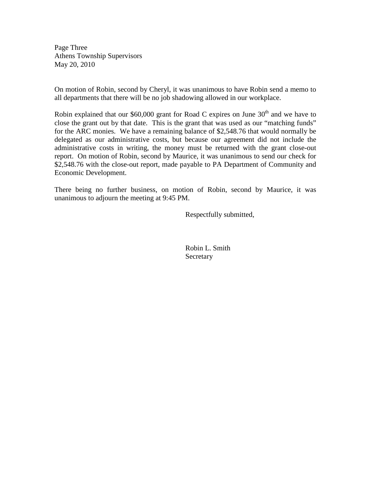Page Three Athens Township Supervisors May 20, 2010

On motion of Robin, second by Cheryl, it was unanimous to have Robin send a memo to all departments that there will be no job shadowing allowed in our workplace.

Robin explained that our \$60,000 grant for Road C expires on June  $30<sup>th</sup>$  and we have to close the grant out by that date. This is the grant that was used as our "matching funds" for the ARC monies. We have a remaining balance of \$2,548.76 that would normally be delegated as our administrative costs, but because our agreement did not include the administrative costs in writing, the money must be returned with the grant close-out report. On motion of Robin, second by Maurice, it was unanimous to send our check for \$2,548.76 with the close-out report, made payable to PA Department of Community and Economic Development.

There being no further business, on motion of Robin, second by Maurice, it was unanimous to adjourn the meeting at 9:45 PM.

Respectfully submitted,

 Robin L. Smith **Secretary**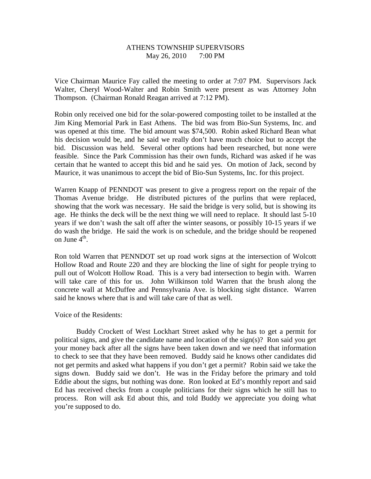# ATHENS TOWNSHIP SUPERVISORS May 26, 2010 7:00 PM

Vice Chairman Maurice Fay called the meeting to order at 7:07 PM. Supervisors Jack Walter, Cheryl Wood-Walter and Robin Smith were present as was Attorney John Thompson. (Chairman Ronald Reagan arrived at 7:12 PM).

Robin only received one bid for the solar-powered composting toilet to be installed at the Jim King Memorial Park in East Athens. The bid was from Bio-Sun Systems, Inc. and was opened at this time. The bid amount was \$74,500. Robin asked Richard Bean what his decision would be, and he said we really don't have much choice but to accept the bid. Discussion was held. Several other options had been researched, but none were feasible. Since the Park Commission has their own funds, Richard was asked if he was certain that he wanted to accept this bid and he said yes. On motion of Jack, second by Maurice, it was unanimous to accept the bid of Bio-Sun Systems, Inc. for this project.

Warren Knapp of PENNDOT was present to give a progress report on the repair of the Thomas Avenue bridge. He distributed pictures of the purlins that were replaced, showing that the work was necessary. He said the bridge is very solid, but is showing its age. He thinks the deck will be the next thing we will need to replace. It should last 5-10 years if we don't wash the salt off after the winter seasons, or possibly 10-15 years if we do wash the bridge. He said the work is on schedule, and the bridge should be reopened on June  $4^{\text{th}}$ .

Ron told Warren that PENNDOT set up road work signs at the intersection of Wolcott Hollow Road and Route 220 and they are blocking the line of sight for people trying to pull out of Wolcott Hollow Road. This is a very bad intersection to begin with. Warren will take care of this for us. John Wilkinson told Warren that the brush along the concrete wall at McDuffee and Pennsylvania Ave. is blocking sight distance. Warren said he knows where that is and will take care of that as well.

#### Voice of the Residents:

 Buddy Crockett of West Lockhart Street asked why he has to get a permit for political signs, and give the candidate name and location of the sign(s)? Ron said you get your money back after all the signs have been taken down and we need that information to check to see that they have been removed. Buddy said he knows other candidates did not get permits and asked what happens if you don't get a permit? Robin said we take the signs down. Buddy said we don't. He was in the Friday before the primary and told Eddie about the signs, but nothing was done. Ron looked at Ed's monthly report and said Ed has received checks from a couple politicians for their signs which he still has to process. Ron will ask Ed about this, and told Buddy we appreciate you doing what you're supposed to do.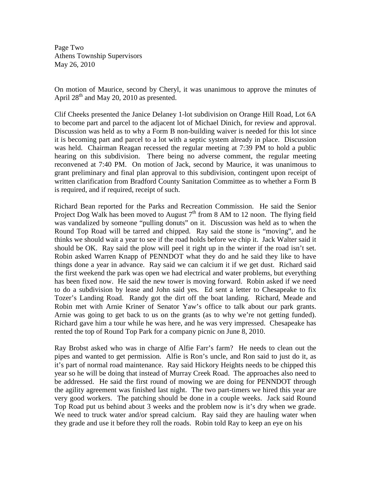Page Two Athens Township Supervisors May 26, 2010

On motion of Maurice, second by Cheryl, it was unanimous to approve the minutes of April  $28<sup>th</sup>$  and May 20, 2010 as presented.

Clif Cheeks presented the Janice Delaney 1-lot subdivision on Orange Hill Road, Lot 6A to become part and parcel to the adjacent lot of Michael Dinich, for review and approval. Discussion was held as to why a Form B non-building waiver is needed for this lot since it is becoming part and parcel to a lot with a septic system already in place. Discussion was held. Chairman Reagan recessed the regular meeting at 7:39 PM to hold a public hearing on this subdivision. There being no adverse comment, the regular meeting reconvened at 7:40 PM. On motion of Jack, second by Maurice, it was unanimous to grant preliminary and final plan approval to this subdivision, contingent upon receipt of written clarification from Bradford County Sanitation Committee as to whether a Form B is required, and if required, receipt of such.

Richard Bean reported for the Parks and Recreation Commission. He said the Senior Project Dog Walk has been moved to August  $7<sup>th</sup>$  from 8 AM to 12 noon. The flying field was vandalized by someone "pulling donuts" on it. Discussion was held as to when the Round Top Road will be tarred and chipped. Ray said the stone is "moving", and he thinks we should wait a year to see if the road holds before we chip it. Jack Walter said it should be OK. Ray said the plow will peel it right up in the winter if the road isn't set. Robin asked Warren Knapp of PENNDOT what they do and he said they like to have things done a year in advance. Ray said we can calcium it if we get dust. Richard said the first weekend the park was open we had electrical and water problems, but everything has been fixed now. He said the new tower is moving forward. Robin asked if we need to do a subdivision by lease and John said yes. Ed sent a letter to Chesapeake to fix Tozer's Landing Road. Randy got the dirt off the boat landing. Richard, Meade and Robin met with Arnie Kriner of Senator Yaw's office to talk about our park grants. Arnie was going to get back to us on the grants (as to why we're not getting funded). Richard gave him a tour while he was here, and he was very impressed. Chesapeake has rented the top of Round Top Park for a company picnic on June 8, 2010.

Ray Brobst asked who was in charge of Alfie Farr's farm? He needs to clean out the pipes and wanted to get permission. Alfie is Ron's uncle, and Ron said to just do it, as it's part of normal road maintenance. Ray said Hickory Heights needs to be chipped this year so he will be doing that instead of Murray Creek Road. The approaches also need to be addressed. He said the first round of mowing we are doing for PENNDOT through the agility agreement was finished last night. The two part-timers we hired this year are very good workers. The patching should be done in a couple weeks. Jack said Round Top Road put us behind about 3 weeks and the problem now is it's dry when we grade. We need to truck water and/or spread calcium. Ray said they are hauling water when they grade and use it before they roll the roads. Robin told Ray to keep an eye on his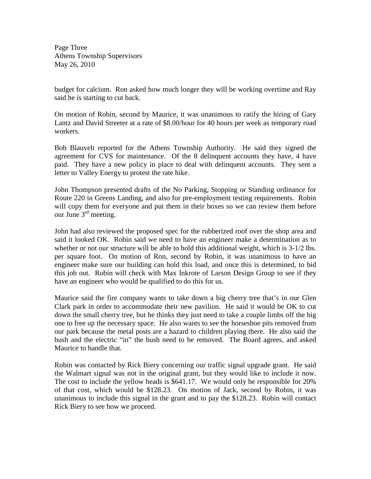Page Three Athens Township Supervisors May 26, 2010

budget for calcium. Ron asked how much longer they will be working overtime and Ray said he is starting to cut back.

On motion of Robin, second by Maurice, it was unanimous to ratify the hiring of Gary Lantz and David Streeter at a rate of \$8.00/hour for 40 hours per week as temporary road workers.

Bob Blauvelt reported for the Athens Township Authority. He said they signed the agreement for CVS for maintenance. Of the 8 delinquent accounts they have, 4 have paid. They have a new policy in place to deal with delinquent accounts. They sent a letter to Valley Energy to protest the rate hike.

John Thompson presented drafts of the No Parking, Stopping or Standing ordinance for Route 220 in Greens Landing, and also for pre-employment testing requirements. Robin will copy them for everyone and put them in their boxes so we can review them before our June  $3<sup>rd</sup>$  meeting.

John had also reviewed the proposed spec for the rubberized roof over the shop area and said it looked OK. Robin said we need to have an engineer make a determination as to whether or not our structure will be able to hold this additional weight, which is  $3-1/2$  lbs. per square foot. On motion of Ron, second by Robin, it was unanimous to have an engineer make sure our building can hold this load, and once this is determined, to bid this job out. Robin will check with Max Inkrote of Larson Design Group to see if they have an engineer who would be qualified to do this for us.

Maurice said the fire company wants to take down a big cherry tree that's in our Glen Clark park in order to accommodate their new pavilion. He said it would be OK to cut down the small cherry tree, but he thinks they just need to take a couple limbs off the big one to free up the necessary space. He also wants to see the horseshoe pits removed from our park because the metal posts are a hazard to children playing there. He also said the bush and the electric "in" the bush need to be removed. The Board agrees, and asked Maurice to handle that.

Robin was contacted by Rick Biery concerning our traffic signal upgrade grant. He said the Walmart signal was not in the original grant, but they would like to include it now. The cost to include the yellow heads is \$641.17. We would only be responsible for 20% of that cost, which would be \$128.23. On motion of Jack, second by Robin, it was unanimous to include this signal in the grant and to pay the \$128.23. Robin will contact Rick Biery to see how we proceed.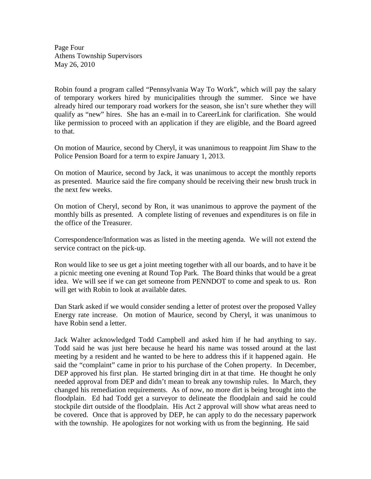Page Four Athens Township Supervisors May 26, 2010

Robin found a program called "Pennsylvania Way To Work", which will pay the salary of temporary workers hired by municipalities through the summer. Since we have already hired our temporary road workers for the season, she isn't sure whether they will qualify as "new" hires. She has an e-mail in to CareerLink for clarification. She would like permission to proceed with an application if they are eligible, and the Board agreed to that.

On motion of Maurice, second by Cheryl, it was unanimous to reappoint Jim Shaw to the Police Pension Board for a term to expire January 1, 2013.

On motion of Maurice, second by Jack, it was unanimous to accept the monthly reports as presented. Maurice said the fire company should be receiving their new brush truck in the next few weeks.

On motion of Cheryl, second by Ron, it was unanimous to approve the payment of the monthly bills as presented. A complete listing of revenues and expenditures is on file in the office of the Treasurer.

Correspondence/Information was as listed in the meeting agenda. We will not extend the service contract on the pick-up.

Ron would like to see us get a joint meeting together with all our boards, and to have it be a picnic meeting one evening at Round Top Park. The Board thinks that would be a great idea. We will see if we can get someone from PENNDOT to come and speak to us. Ron will get with Robin to look at available dates.

Dan Stark asked if we would consider sending a letter of protest over the proposed Valley Energy rate increase. On motion of Maurice, second by Cheryl, it was unanimous to have Robin send a letter.

Jack Walter acknowledged Todd Campbell and asked him if he had anything to say. Todd said he was just here because he heard his name was tossed around at the last meeting by a resident and he wanted to be here to address this if it happened again. He said the "complaint" came in prior to his purchase of the Cohen property. In December, DEP approved his first plan. He started bringing dirt in at that time. He thought he only needed approval from DEP and didn't mean to break any township rules. In March, they changed his remediation requirements. As of now, no more dirt is being brought into the floodplain. Ed had Todd get a surveyor to delineate the floodplain and said he could stockpile dirt outside of the floodplain. His Act 2 approval will show what areas need to be covered. Once that is approved by DEP, he can apply to do the necessary paperwork with the township. He apologizes for not working with us from the beginning. He said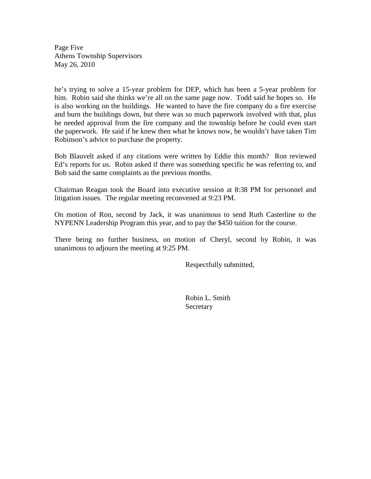Page Five Athens Township Supervisors May 26, 2010

he's trying to solve a 15-year problem for DEP, which has been a 5-year problem for him. Robin said she thinks we're all on the same page now. Todd said he hopes so. He is also working on the buildings. He wanted to have the fire company do a fire exercise and burn the buildings down, but there was so much paperwork involved with that, plus he needed approval from the fire company and the township before he could even start the paperwork. He said if he knew then what he knows now, he wouldn't have taken Tim Robinson's advice to purchase the property.

Bob Blauvelt asked if any citations were written by Eddie this month? Ron reviewed Ed's reports for us. Robin asked if there was something specific he was referring to, and Bob said the same complaints as the previous months.

Chairman Reagan took the Board into executive session at 8:38 PM for personnel and litigation issues. The regular meeting reconvened at 9:23 PM.

On motion of Ron, second by Jack, it was unanimous to send Ruth Casterline to the NYPENN Leadership Program this year, and to pay the \$450 tuition for the course.

There being no further business, on motion of Cheryl, second by Robin, it was unanimous to adjourn the meeting at 9:25 PM.

Respectfully submitted,

 Robin L. Smith Secretary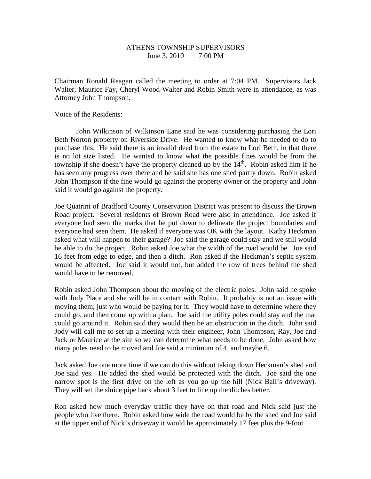# ATHENS TOWNSHIP SUPERVISORS June 3, 2010 7:00 PM

Chairman Ronald Reagan called the meeting to order at 7:04 PM. Supervisors Jack Walter, Maurice Fay, Cheryl Wood-Walter and Robin Smith were in attendance, as was Attorney John Thompson.

Voice of the Residents:

 John Wilkinson of Wilkinson Lane said he was considering purchasing the Lori Beth Norton property on Riverside Drive. He wanted to know what he needed to do to purchase this. He said there is an invalid deed from the estate to Lori Beth, in that there is no lot size listed. He wanted to know what the possible fines would be from the township if she doesn't have the property cleaned up by the  $14<sup>th</sup>$ . Robin asked him if he has seen any progress over there and he said she has one shed partly down. Robin asked John Thompson if the fine would go against the property owner or the property and John said it would go against the property.

Joe Quatrini of Bradford County Conservation District was present to discuss the Brown Road project. Several residents of Brown Road were also in attendance. Joe asked if everyone had seen the marks that he put down to delineate the project boundaries and everyone had seen them. He asked if everyone was OK with the layout. Kathy Heckman asked what will happen to their garage? Joe said the garage could stay and we still would be able to do the project. Robin asked Joe what the width of the road would be. Joe said 16 feet from edge to edge, and then a ditch. Ron asked if the Heckman's septic system would be affected. Joe said it would not, but added the row of trees behind the shed would have to be removed.

Robin asked John Thompson about the moving of the electric poles. John said he spoke with Jody Place and she will be in contact with Robin. It probably is not an issue with moving them, just who would be paying for it. They would have to determine where they could go, and then come up with a plan. Joe said the utility poles could stay and the mat could go around it. Robin said they would then be an obstruction in the ditch. John said Jody will call me to set up a meeting with their engineer, John Thompson, Ray, Joe and Jack or Maurice at the site so we can determine what needs to be done. John asked how many poles need to be moved and Joe said a minimum of 4, and maybe 6.

Jack asked Joe one more time if we can do this without taking down Heckman's shed and Joe said yes. He added the shed would be protected with the ditch. Joe said the one narrow spot is the first drive on the left as you go up the hill (Nick Ball's driveway). They will set the sluice pipe back about 3 feet to line up the ditches better.

Ron asked how much everyday traffic they have on that road and Nick said just the people who live there. Robin asked how wide the road would be by the shed and Joe said at the upper end of Nick's driveway it would be approximately 17 feet plus the 9-foot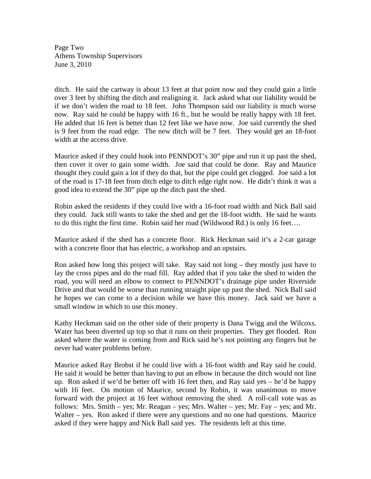Page Two Athens Township Supervisors June 3, 2010

ditch. He said the cartway is about 13 feet at that point now and they could gain a little over 3 feet by shifting the ditch and realigning it. Jack asked what our liability would be if we don't widen the road to 18 feet. John Thompson said our liability is much worse now. Ray said he could be happy with 16 ft., but he would be really happy with 18 feet. He added that 16 feet is better than 12 feet like we have now. Joe said currently the shed is 9 feet from the road edge. The new ditch will be 7 feet. They would get an 18-foot width at the access drive.

Maurice asked if they could hook into PENNDOT's 30" pipe and run it up past the shed, then cover it over to gain some width. Joe said that could be done. Ray and Maurice thought they could gain a lot if they do that, but the pipe could get clogged. Joe said a lot of the road is 17-18 feet from ditch edge to ditch edge right now. He didn't think it was a good idea to extend the 30" pipe up the ditch past the shed.

Robin asked the residents if they could live with a 16-foot road width and Nick Ball said they could. Jack still wants to take the shed and get the 18-foot width. He said he wants to do this right the first time. Robin said her road (Wildwood Rd.) is only 16 feet….

Maurice asked if the shed has a concrete floor. Rick Heckman said it's a 2-car garage with a concrete floor that has electric, a workshop and an upstairs.

Ron asked how long this project will take. Ray said not long – they mostly just have to lay the cross pipes and do the road fill. Ray added that if you take the shed to widen the road, you will need an elbow to connect to PENNDOT's drainage pipe under Riverside Drive and that would be worse than running straight pipe up past the shed. Nick Ball said he hopes we can come to a decision while we have this money. Jack said we have a small window in which to use this money.

Kathy Heckman said on the other side of their property is Dana Twigg and the Wilcoxs. Water has been diverted up top so that it runs on their properties. They get flooded. Ron asked where the water is coming from and Rick said he's not pointing any fingers but he never had water problems before.

Maurice asked Ray Brobst if he could live with a 16-foot width and Ray said he could. He said it would be better than having to put an elbow in because the ditch would not line up. Ron asked if we'd be better off with 16 feet then, and Ray said yes – he'd be happy with 16 feet. On motion of Maurice, second by Robin, it was unanimous to move forward with the project at 16 feet without removing the shed. A roll-call vote was as follows: Mrs. Smith – yes; Mr. Reagan – yes; Mrs. Walter – yes; Mr. Fay – yes; and Mr. Walter – yes. Ron asked if there were any questions and no one had questions. Maurice asked if they were happy and Nick Ball said yes. The residents left at this time.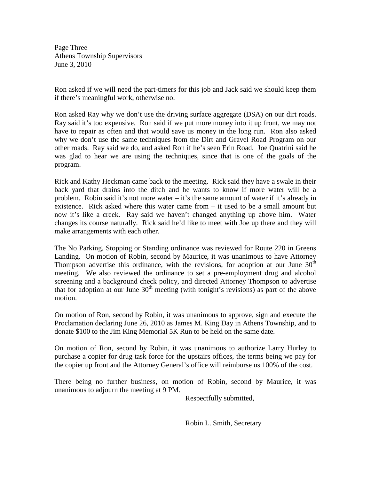Page Three Athens Township Supervisors June 3, 2010

Ron asked if we will need the part-timers for this job and Jack said we should keep them if there's meaningful work, otherwise no.

Ron asked Ray why we don't use the driving surface aggregate (DSA) on our dirt roads. Ray said it's too expensive. Ron said if we put more money into it up front, we may not have to repair as often and that would save us money in the long run. Ron also asked why we don't use the same techniques from the Dirt and Gravel Road Program on our other roads. Ray said we do, and asked Ron if he's seen Erin Road. Joe Quatrini said he was glad to hear we are using the techniques, since that is one of the goals of the program.

Rick and Kathy Heckman came back to the meeting. Rick said they have a swale in their back yard that drains into the ditch and he wants to know if more water will be a problem. Robin said it's not more water – it's the same amount of water if it's already in existence. Rick asked where this water came from – it used to be a small amount but now it's like a creek. Ray said we haven't changed anything up above him. Water changes its course naturally. Rick said he'd like to meet with Joe up there and they will make arrangements with each other.

The No Parking, Stopping or Standing ordinance was reviewed for Route 220 in Greens Landing. On motion of Robin, second by Maurice, it was unanimous to have Attorney Thompson advertise this ordinance, with the revisions, for adoption at our June  $30<sup>th</sup>$ meeting. We also reviewed the ordinance to set a pre-employment drug and alcohol screening and a background check policy, and directed Attorney Thompson to advertise that for adoption at our June  $30<sup>th</sup>$  meeting (with tonight's revisions) as part of the above motion.

On motion of Ron, second by Robin, it was unanimous to approve, sign and execute the Proclamation declaring June 26, 2010 as James M. King Day in Athens Township, and to donate \$100 to the Jim King Memorial 5K Run to be held on the same date.

On motion of Ron, second by Robin, it was unanimous to authorize Larry Hurley to purchase a copier for drug task force for the upstairs offices, the terms being we pay for the copier up front and the Attorney General's office will reimburse us 100% of the cost.

There being no further business, on motion of Robin, second by Maurice, it was unanimous to adjourn the meeting at 9 PM.

Respectfully submitted,

Robin L. Smith, Secretary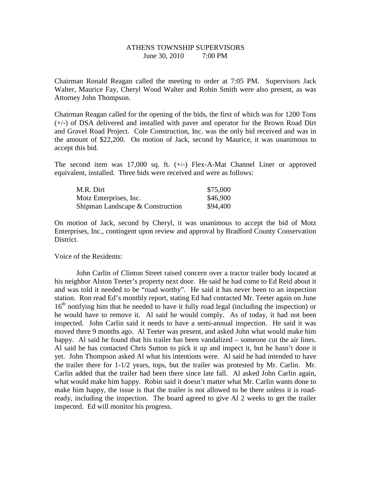#### ATHENS TOWNSHIP SUPERVISORS June 30, 2010 7:00 PM

Chairman Ronald Reagan called the meeting to order at 7:05 PM. Supervisors Jack Walter, Maurice Fay, Cheryl Wood Walter and Robin Smith were also present, as was Attorney John Thompson.

Chairman Reagan called for the opening of the bids, the first of which was for 1200 Tons (+/-) of DSA delivered and installed with paver and operator for the Brown Road Dirt and Gravel Road Project. Cole Construction, Inc. was the only bid received and was in the amount of \$22,200. On motion of Jack, second by Maurice, it was unanimous to accept this bid.

The second item was 17,000 sq. ft.  $(+)$  Flex-A-Mat Channel Liner or approved equivalent, installed. Three bids were received and were as follows:

| M.R. Dirt                        | \$75,000 |
|----------------------------------|----------|
| Motz Enterprises, Inc.           | \$46,900 |
| Shipman Landscape & Construction | \$94,400 |

On motion of Jack, second by Cheryl, it was unanimous to accept the bid of Motz Enterprises, Inc., contingent upon review and approval by Bradford County Conservation District.

Voice of the Residents:

 John Carlin of Clinton Street raised concern over a tractor trailer body located at his neighbor Alston Teeter's property next door. He said he had come to Ed Reid about it and was told it needed to be "road worthy". He said it has never been to an inspection station. Ron read Ed's monthly report, stating Ed had contacted Mr. Teeter again on June 16<sup>th</sup> notifying him that he needed to have it fully road legal (including the inspection) or he would have to remove it. Al said he would comply. As of today, it had not been inspected. John Carlin said it needs to have a semi-annual inspection. He said it was moved there 9 months ago. Al Teeter was present, and asked John what would make him happy. Al said he found that his trailer has been vandalized – someone cut the air lines. Al said he has contacted Chris Sutton to pick it up and inspect it, but he hasn't done it yet. John Thompson asked Al what his intentions were. Al said he had intended to have the trailer there for 1-1/2 years, tops, but the trailer was protested by Mr. Carlin. Mr. Carlin added that the trailer had been there since late fall. Al asked John Carlin again, what would make him happy. Robin said it doesn't matter what Mr. Carlin wants done to make him happy, the issue is that the trailer is not allowed to be there unless it is roadready, including the inspection. The board agreed to give Al 2 weeks to get the trailer inspected. Ed will monitor his progress.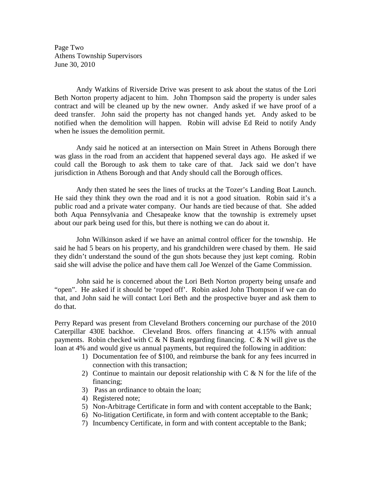Page Two Athens Township Supervisors June 30, 2010

 Andy Watkins of Riverside Drive was present to ask about the status of the Lori Beth Norton property adjacent to him. John Thompson said the property is under sales contract and will be cleaned up by the new owner. Andy asked if we have proof of a deed transfer. John said the property has not changed hands yet. Andy asked to be notified when the demolition will happen. Robin will advise Ed Reid to notify Andy when he issues the demolition permit.

 Andy said he noticed at an intersection on Main Street in Athens Borough there was glass in the road from an accident that happened several days ago. He asked if we could call the Borough to ask them to take care of that. Jack said we don't have jurisdiction in Athens Borough and that Andy should call the Borough offices.

 Andy then stated he sees the lines of trucks at the Tozer's Landing Boat Launch. He said they think they own the road and it is not a good situation. Robin said it's a public road and a private water company. Our hands are tied because of that. She added both Aqua Pennsylvania and Chesapeake know that the township is extremely upset about our park being used for this, but there is nothing we can do about it.

 John Wilkinson asked if we have an animal control officer for the township. He said he had 5 bears on his property, and his grandchildren were chased by them. He said they didn't understand the sound of the gun shots because they just kept coming. Robin said she will advise the police and have them call Joe Wenzel of the Game Commission.

 John said he is concerned about the Lori Beth Norton property being unsafe and "open". He asked if it should be 'roped off'. Robin asked John Thompson if we can do that, and John said he will contact Lori Beth and the prospective buyer and ask them to do that.

Perry Repard was present from Cleveland Brothers concerning our purchase of the 2010 Caterpillar 430E backhoe. Cleveland Bros. offers financing at 4.15% with annual payments. Robin checked with  $C & N$  Bank regarding financing.  $C & N$  will give us the loan at 4% and would give us annual payments, but required the following in addition:

- 1) Documentation fee of \$100, and reimburse the bank for any fees incurred in connection with this transaction;
- 2) Continue to maintain our deposit relationship with  $C \& N$  for the life of the financing;
- 3) Pass an ordinance to obtain the loan;
- 4) Registered note;
- 5) Non-Arbitrage Certificate in form and with content acceptable to the Bank;
- 6) No-litigation Certificate, in form and with content acceptable to the Bank;
- 7) Incumbency Certificate, in form and with content acceptable to the Bank;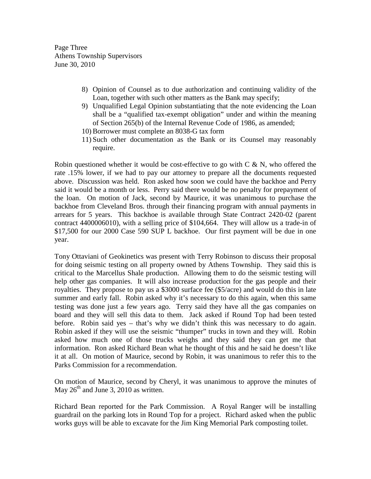Page Three Athens Township Supervisors June 30, 2010

- 8) Opinion of Counsel as to due authorization and continuing validity of the Loan, together with such other matters as the Bank may specify;
- 9) Unqualified Legal Opinion substantiating that the note evidencing the Loan shall be a "qualified tax-exempt obligation" under and within the meaning of Section 265(b) of the Internal Revenue Code of 1986, as amended;
- 10) Borrower must complete an 8038-G tax form
- 11) Such other documentation as the Bank or its Counsel may reasonably require.

Robin questioned whether it would be cost-effective to go with  $C & N$ , who offered the rate .15% lower, if we had to pay our attorney to prepare all the documents requested above. Discussion was held. Ron asked how soon we could have the backhoe and Perry said it would be a month or less. Perry said there would be no penalty for prepayment of the loan. On motion of Jack, second by Maurice, it was unanimous to purchase the backhoe from Cleveland Bros. through their financing program with annual payments in arrears for 5 years. This backhoe is available through State Contract 2420-02 (parent contract 4400006010), with a selling price of \$104,664. They will allow us a trade-in of \$17,500 for our 2000 Case 590 SUP L backhoe. Our first payment will be due in one year.

Tony Ottaviani of Geokinetics was present with Terry Robinson to discuss their proposal for doing seismic testing on all property owned by Athens Township. They said this is critical to the Marcellus Shale production. Allowing them to do the seismic testing will help other gas companies. It will also increase production for the gas people and their royalties. They propose to pay us a \$3000 surface fee (\$5/acre) and would do this in late summer and early fall. Robin asked why it's necessary to do this again, when this same testing was done just a few years ago. Terry said they have all the gas companies on board and they will sell this data to them. Jack asked if Round Top had been tested before. Robin said yes – that's why we didn't think this was necessary to do again. Robin asked if they will use the seismic "thumper" trucks in town and they will. Robin asked how much one of those trucks weighs and they said they can get me that information. Ron asked Richard Bean what he thought of this and he said he doesn't like it at all. On motion of Maurice, second by Robin, it was unanimous to refer this to the Parks Commission for a recommendation.

On motion of Maurice, second by Cheryl, it was unanimous to approve the minutes of May  $26<sup>th</sup>$  and June 3, 2010 as written.

Richard Bean reported for the Park Commission. A Royal Ranger will be installing guardrail on the parking lots in Round Top for a project. Richard asked when the public works guys will be able to excavate for the Jim King Memorial Park composting toilet.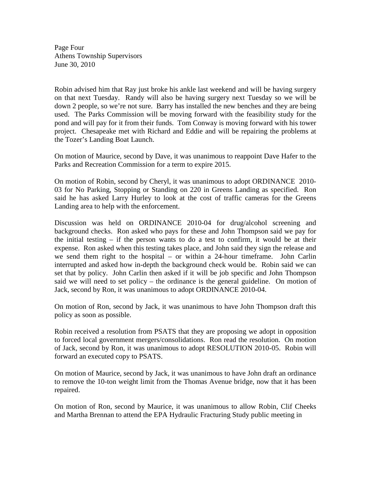Page Four Athens Township Supervisors June 30, 2010

Robin advised him that Ray just broke his ankle last weekend and will be having surgery on that next Tuesday. Randy will also be having surgery next Tuesday so we will be down 2 people, so we're not sure. Barry has installed the new benches and they are being used. The Parks Commission will be moving forward with the feasibility study for the pond and will pay for it from their funds. Tom Conway is moving forward with his tower project. Chesapeake met with Richard and Eddie and will be repairing the problems at the Tozer's Landing Boat Launch.

On motion of Maurice, second by Dave, it was unanimous to reappoint Dave Hafer to the Parks and Recreation Commission for a term to expire 2015.

On motion of Robin, second by Cheryl, it was unanimous to adopt ORDINANCE 2010- 03 for No Parking, Stopping or Standing on 220 in Greens Landing as specified. Ron said he has asked Larry Hurley to look at the cost of traffic cameras for the Greens Landing area to help with the enforcement.

Discussion was held on ORDINANCE 2010-04 for drug/alcohol screening and background checks. Ron asked who pays for these and John Thompson said we pay for the initial testing  $-$  if the person wants to do a test to confirm, it would be at their expense. Ron asked when this testing takes place, and John said they sign the release and we send them right to the hospital – or within a 24-hour timeframe. John Carlin interrupted and asked how in-depth the background check would be. Robin said we can set that by policy. John Carlin then asked if it will be job specific and John Thompson said we will need to set policy – the ordinance is the general guideline. On motion of Jack, second by Ron, it was unanimous to adopt ORDINANCE 2010-04.

On motion of Ron, second by Jack, it was unanimous to have John Thompson draft this policy as soon as possible.

Robin received a resolution from PSATS that they are proposing we adopt in opposition to forced local government mergers/consolidations. Ron read the resolution. On motion of Jack, second by Ron, it was unanimous to adopt RESOLUTION 2010-05. Robin will forward an executed copy to PSATS.

On motion of Maurice, second by Jack, it was unanimous to have John draft an ordinance to remove the 10-ton weight limit from the Thomas Avenue bridge, now that it has been repaired.

On motion of Ron, second by Maurice, it was unanimous to allow Robin, Clif Cheeks and Martha Brennan to attend the EPA Hydraulic Fracturing Study public meeting in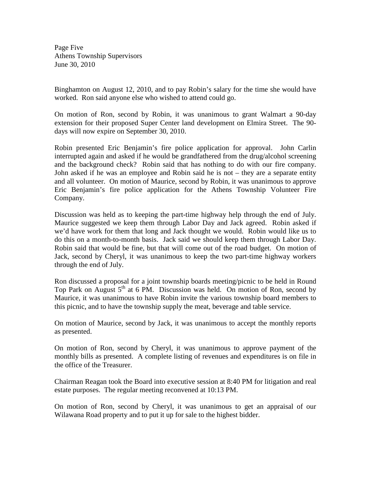Page Five Athens Township Supervisors June 30, 2010

Binghamton on August 12, 2010, and to pay Robin's salary for the time she would have worked. Ron said anyone else who wished to attend could go.

On motion of Ron, second by Robin, it was unanimous to grant Walmart a 90-day extension for their proposed Super Center land development on Elmira Street. The 90 days will now expire on September 30, 2010.

Robin presented Eric Benjamin's fire police application for approval. John Carlin interrupted again and asked if he would be grandfathered from the drug/alcohol screening and the background check? Robin said that has nothing to do with our fire company. John asked if he was an employee and Robin said he is not – they are a separate entity and all volunteer. On motion of Maurice, second by Robin, it was unanimous to approve Eric Benjamin's fire police application for the Athens Township Volunteer Fire Company.

Discussion was held as to keeping the part-time highway help through the end of July. Maurice suggested we keep them through Labor Day and Jack agreed. Robin asked if we'd have work for them that long and Jack thought we would. Robin would like us to do this on a month-to-month basis. Jack said we should keep them through Labor Day. Robin said that would be fine, but that will come out of the road budget. On motion of Jack, second by Cheryl, it was unanimous to keep the two part-time highway workers through the end of July.

Ron discussed a proposal for a joint township boards meeting/picnic to be held in Round Top Park on August  $5<sup>th</sup>$  at 6 PM. Discussion was held. On motion of Ron, second by Maurice, it was unanimous to have Robin invite the various township board members to this picnic, and to have the township supply the meat, beverage and table service.

On motion of Maurice, second by Jack, it was unanimous to accept the monthly reports as presented.

On motion of Ron, second by Cheryl, it was unanimous to approve payment of the monthly bills as presented. A complete listing of revenues and expenditures is on file in the office of the Treasurer.

Chairman Reagan took the Board into executive session at 8:40 PM for litigation and real estate purposes. The regular meeting reconvened at 10:13 PM.

On motion of Ron, second by Cheryl, it was unanimous to get an appraisal of our Wilawana Road property and to put it up for sale to the highest bidder.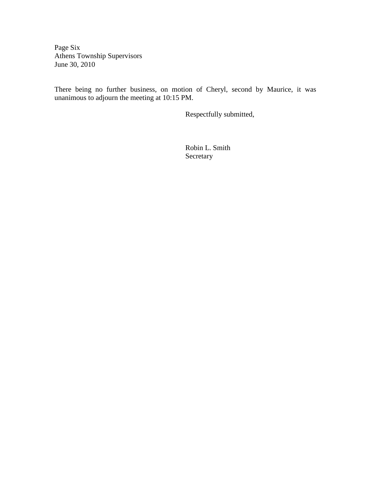Page Six Athens Township Supervisors June 30, 2010

There being no further business, on motion of Cheryl, second by Maurice, it was unanimous to adjourn the meeting at 10:15 PM.

Respectfully submitted,

 Robin L. Smith Secretary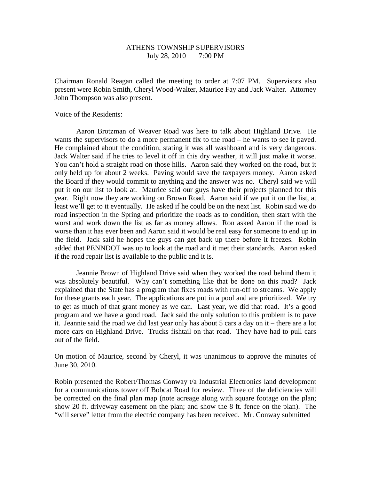### ATHENS TOWNSHIP SUPERVISORS July 28, 2010 7:00 PM

Chairman Ronald Reagan called the meeting to order at 7:07 PM. Supervisors also present were Robin Smith, Cheryl Wood-Walter, Maurice Fay and Jack Walter. Attorney John Thompson was also present.

Voice of the Residents:

 Aaron Brotzman of Weaver Road was here to talk about Highland Drive. He wants the supervisors to do a more permanent fix to the road – he wants to see it paved. He complained about the condition, stating it was all washboard and is very dangerous. Jack Walter said if he tries to level it off in this dry weather, it will just make it worse. You can't hold a straight road on those hills. Aaron said they worked on the road, but it only held up for about 2 weeks. Paving would save the taxpayers money. Aaron asked the Board if they would commit to anything and the answer was no. Cheryl said we will put it on our list to look at. Maurice said our guys have their projects planned for this year. Right now they are working on Brown Road. Aaron said if we put it on the list, at least we'll get to it eventually. He asked if he could be on the next list. Robin said we do road inspection in the Spring and prioritize the roads as to condition, then start with the worst and work down the list as far as money allows. Ron asked Aaron if the road is worse than it has ever been and Aaron said it would be real easy for someone to end up in the field. Jack said he hopes the guys can get back up there before it freezes. Robin added that PENNDOT was up to look at the road and it met their standards. Aaron asked if the road repair list is available to the public and it is.

 Jeannie Brown of Highland Drive said when they worked the road behind them it was absolutely beautiful. Why can't something like that be done on this road? Jack explained that the State has a program that fixes roads with run-off to streams. We apply for these grants each year. The applications are put in a pool and are prioritized. We try to get as much of that grant money as we can. Last year, we did that road. It's a good program and we have a good road. Jack said the only solution to this problem is to pave it. Jeannie said the road we did last year only has about 5 cars a day on it – there are a lot more cars on Highland Drive. Trucks fishtail on that road. They have had to pull cars out of the field.

On motion of Maurice, second by Cheryl, it was unanimous to approve the minutes of June 30, 2010.

Robin presented the Robert/Thomas Conway t/a Industrial Electronics land development for a communications tower off Bobcat Road for review. Three of the deficiencies will be corrected on the final plan map (note acreage along with square footage on the plan; show 20 ft. driveway easement on the plan; and show the 8 ft. fence on the plan). The "will serve" letter from the electric company has been received. Mr. Conway submitted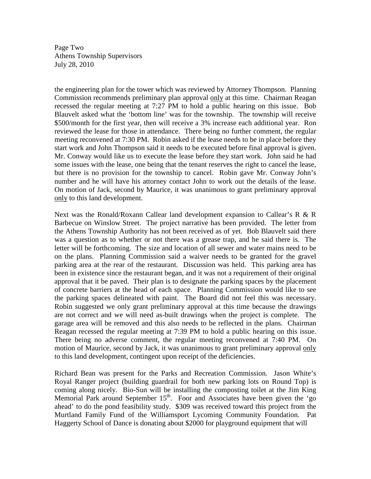Page Two Athens Township Supervisors July 28, 2010

the engineering plan for the tower which was reviewed by Attorney Thompson. Planning Commission recommends preliminary plan approval only at this time. Chairman Reagan recessed the regular meeting at 7:27 PM to hold a public hearing on this issue. Bob Blauvelt asked what the 'bottom line' was for the township. The township will receive \$500/month for the first year, then will receive a 3% increase each additional year. Ron reviewed the lease for those in attendance. There being no further comment, the regular meeting reconvened at 7:30 PM. Robin asked if the lease needs to be in place before they start work and John Thompson said it needs to be executed before final approval is given. Mr. Conway would like us to execute the lease before they start work. John said he had some issues with the lease, one being that the tenant reserves the right to cancel the lease, but there is no provision for the township to cancel. Robin gave Mr. Conway John's number and he will have his attorney contact John to work out the details of the lease. On motion of Jack, second by Maurice, it was unanimous to grant preliminary approval only to this land development.

Next was the Ronald/Roxann Callear land development expansion to Callear's R & R Barbecue on Winslow Street. The project narrative has been provided. The letter from the Athens Township Authority has not been received as of yet. Bob Blauvelt said there was a question as to whether or not there was a grease trap, and he said there is. The letter will be forthcoming. The size and location of all sewer and water mains need to be on the plans. Planning Commission said a waiver needs to be granted for the gravel parking area at the rear of the restaurant. Discussion was held. This parking area has been in existence since the restaurant began, and it was not a requirement of their original approval that it be paved. Their plan is to designate the parking spaces by the placement of concrete barriers at the head of each space. Planning Commission would like to see the parking spaces delineated with paint. The Board did not feel this was necessary. Robin suggested we only grant preliminary approval at this time because the drawings are not correct and we will need as-built drawings when the project is complete. The garage area will be removed and this also needs to be reflected in the plans. Chairman Reagan recessed the regular meeting at 7:39 PM to hold a public hearing on this issue. There being no adverse comment, the regular meeting reconvened at 7:40 PM. On motion of Maurice, second by Jack, it was unanimous to grant preliminary approval only to this land development, contingent upon receipt of the deficiencies.

Richard Bean was present for the Parks and Recreation Commission. Jason White's Royal Ranger project (building guardrail for both new parking lots on Round Top) is coming along nicely. Bio-Sun will be installing the composting toilet at the Jim King Memorial Park around September 15<sup>th</sup>. Foor and Associates have been given the 'go ahead' to do the pond feasibility study. \$309 was received toward this project from the Murtland Family Fund of the Williamsport Lycoming Community Foundation. Pat Haggerty School of Dance is donating about \$2000 for playground equipment that will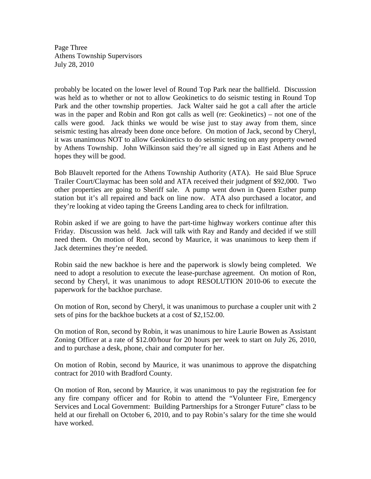Page Three Athens Township Supervisors July 28, 2010

probably be located on the lower level of Round Top Park near the ballfield. Discussion was held as to whether or not to allow Geokinetics to do seismic testing in Round Top Park and the other township properties. Jack Walter said he got a call after the article was in the paper and Robin and Ron got calls as well (re: Geokinetics) – not one of the calls were good. Jack thinks we would be wise just to stay away from them, since seismic testing has already been done once before. On motion of Jack, second by Cheryl, it was unanimous NOT to allow Geokinetics to do seismic testing on any property owned by Athens Township. John Wilkinson said they're all signed up in East Athens and he hopes they will be good.

Bob Blauvelt reported for the Athens Township Authority (ATA). He said Blue Spruce Trailer Court/Claymac has been sold and ATA received their judgment of \$92,000. Two other properties are going to Sheriff sale. A pump went down in Queen Esther pump station but it's all repaired and back on line now. ATA also purchased a locator, and they're looking at video taping the Greens Landing area to check for infiltration.

Robin asked if we are going to have the part-time highway workers continue after this Friday. Discussion was held. Jack will talk with Ray and Randy and decided if we still need them. On motion of Ron, second by Maurice, it was unanimous to keep them if Jack determines they're needed.

Robin said the new backhoe is here and the paperwork is slowly being completed. We need to adopt a resolution to execute the lease-purchase agreement. On motion of Ron, second by Cheryl, it was unanimous to adopt RESOLUTION 2010-06 to execute the paperwork for the backhoe purchase.

On motion of Ron, second by Cheryl, it was unanimous to purchase a coupler unit with 2 sets of pins for the backhoe buckets at a cost of \$2,152.00.

On motion of Ron, second by Robin, it was unanimous to hire Laurie Bowen as Assistant Zoning Officer at a rate of \$12.00/hour for 20 hours per week to start on July 26, 2010, and to purchase a desk, phone, chair and computer for her.

On motion of Robin, second by Maurice, it was unanimous to approve the dispatching contract for 2010 with Bradford County.

On motion of Ron, second by Maurice, it was unanimous to pay the registration fee for any fire company officer and for Robin to attend the "Volunteer Fire, Emergency Services and Local Government: Building Partnerships for a Stronger Future" class to be held at our firehall on October 6, 2010, and to pay Robin's salary for the time she would have worked.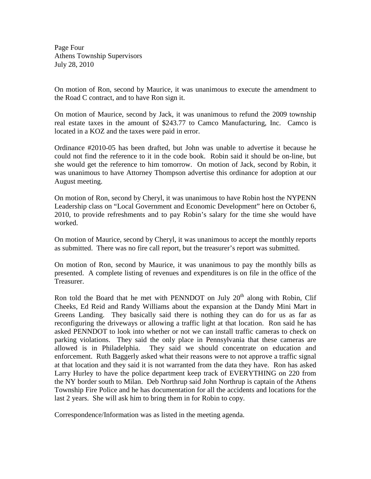Page Four Athens Township Supervisors July 28, 2010

On motion of Ron, second by Maurice, it was unanimous to execute the amendment to the Road C contract, and to have Ron sign it.

On motion of Maurice, second by Jack, it was unanimous to refund the 2009 township real estate taxes in the amount of \$243.77 to Camco Manufacturing, Inc. Camco is located in a KOZ and the taxes were paid in error.

Ordinance #2010-05 has been drafted, but John was unable to advertise it because he could not find the reference to it in the code book. Robin said it should be on-line, but she would get the reference to him tomorrow. On motion of Jack, second by Robin, it was unanimous to have Attorney Thompson advertise this ordinance for adoption at our August meeting.

On motion of Ron, second by Cheryl, it was unanimous to have Robin host the NYPENN Leadership class on "Local Government and Economic Development" here on October 6, 2010, to provide refreshments and to pay Robin's salary for the time she would have worked.

On motion of Maurice, second by Cheryl, it was unanimous to accept the monthly reports as submitted. There was no fire call report, but the treasurer's report was submitted.

On motion of Ron, second by Maurice, it was unanimous to pay the monthly bills as presented. A complete listing of revenues and expenditures is on file in the office of the Treasurer.

Ron told the Board that he met with PENNDOT on July  $20<sup>th</sup>$  along with Robin, Clif Cheeks, Ed Reid and Randy Williams about the expansion at the Dandy Mini Mart in Greens Landing. They basically said there is nothing they can do for us as far as reconfiguring the driveways or allowing a traffic light at that location. Ron said he has asked PENNDOT to look into whether or not we can install traffic cameras to check on parking violations. They said the only place in Pennsylvania that these cameras are allowed is in Philadelphia. They said we should concentrate on education and enforcement. Ruth Baggerly asked what their reasons were to not approve a traffic signal at that location and they said it is not warranted from the data they have. Ron has asked Larry Hurley to have the police department keep track of EVERYTHING on 220 from the NY border south to Milan. Deb Northrup said John Northrup is captain of the Athens Township Fire Police and he has documentation for all the accidents and locations for the last 2 years. She will ask him to bring them in for Robin to copy.

Correspondence/Information was as listed in the meeting agenda.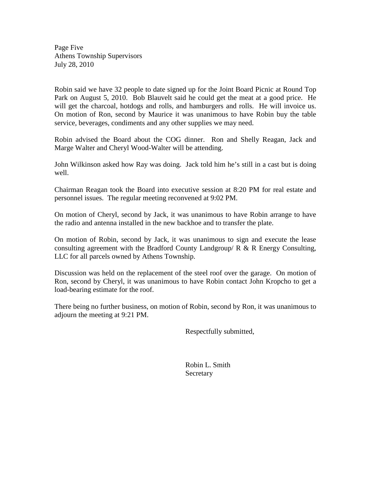Page Five Athens Township Supervisors July 28, 2010

Robin said we have 32 people to date signed up for the Joint Board Picnic at Round Top Park on August 5, 2010. Bob Blauvelt said he could get the meat at a good price. He will get the charcoal, hotdogs and rolls, and hamburgers and rolls. He will invoice us. On motion of Ron, second by Maurice it was unanimous to have Robin buy the table service, beverages, condiments and any other supplies we may need.

Robin advised the Board about the COG dinner. Ron and Shelly Reagan, Jack and Marge Walter and Cheryl Wood-Walter will be attending.

John Wilkinson asked how Ray was doing. Jack told him he's still in a cast but is doing well.

Chairman Reagan took the Board into executive session at 8:20 PM for real estate and personnel issues. The regular meeting reconvened at 9:02 PM.

On motion of Cheryl, second by Jack, it was unanimous to have Robin arrange to have the radio and antenna installed in the new backhoe and to transfer the plate.

On motion of Robin, second by Jack, it was unanimous to sign and execute the lease consulting agreement with the Bradford County Landgroup/  $R \& R$  Energy Consulting, LLC for all parcels owned by Athens Township.

Discussion was held on the replacement of the steel roof over the garage. On motion of Ron, second by Cheryl, it was unanimous to have Robin contact John Kropcho to get a load-bearing estimate for the roof.

There being no further business, on motion of Robin, second by Ron, it was unanimous to adjourn the meeting at 9:21 PM.

Respectfully submitted,

 Robin L. Smith Secretary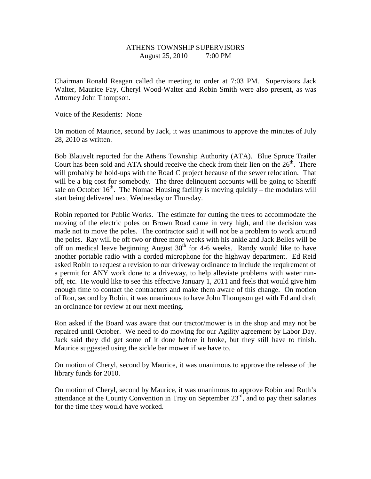# ATHENS TOWNSHIP SUPERVISORS August 25, 2010 7:00 PM

Chairman Ronald Reagan called the meeting to order at 7:03 PM. Supervisors Jack Walter, Maurice Fay, Cheryl Wood-Walter and Robin Smith were also present, as was Attorney John Thompson.

Voice of the Residents: None

On motion of Maurice, second by Jack, it was unanimous to approve the minutes of July 28, 2010 as written.

Bob Blauvelt reported for the Athens Township Authority (ATA). Blue Spruce Trailer Court has been sold and ATA should receive the check from their lien on the  $26<sup>th</sup>$ . There will probably be hold-ups with the Road C project because of the sewer relocation. That will be a big cost for somebody. The three delinquent accounts will be going to Sheriff sale on October  $16<sup>th</sup>$ . The Nomac Housing facility is moving quickly – the modulars will start being delivered next Wednesday or Thursday.

Robin reported for Public Works. The estimate for cutting the trees to accommodate the moving of the electric poles on Brown Road came in very high, and the decision was made not to move the poles. The contractor said it will not be a problem to work around the poles. Ray will be off two or three more weeks with his ankle and Jack Belles will be off on medical leave beginning August  $30<sup>th</sup>$  for 4-6 weeks. Randy would like to have another portable radio with a corded microphone for the highway department. Ed Reid asked Robin to request a revision to our driveway ordinance to include the requirement of a permit for ANY work done to a driveway, to help alleviate problems with water runoff, etc. He would like to see this effective January 1, 2011 and feels that would give him enough time to contact the contractors and make them aware of this change. On motion of Ron, second by Robin, it was unanimous to have John Thompson get with Ed and draft an ordinance for review at our next meeting.

Ron asked if the Board was aware that our tractor/mower is in the shop and may not be repaired until October. We need to do mowing for our Agility agreement by Labor Day. Jack said they did get some of it done before it broke, but they still have to finish. Maurice suggested using the sickle bar mower if we have to.

On motion of Cheryl, second by Maurice, it was unanimous to approve the release of the library funds for 2010.

On motion of Cheryl, second by Maurice, it was unanimous to approve Robin and Ruth's attendance at the County Convention in Troy on September  $23<sup>rd</sup>$ , and to pay their salaries for the time they would have worked.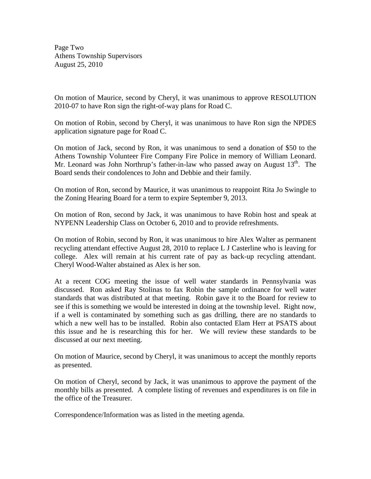Page Two Athens Township Supervisors August 25, 2010

On motion of Maurice, second by Cheryl, it was unanimous to approve RESOLUTION 2010-07 to have Ron sign the right-of-way plans for Road C.

On motion of Robin, second by Cheryl, it was unanimous to have Ron sign the NPDES application signature page for Road C.

On motion of Jack, second by Ron, it was unanimous to send a donation of \$50 to the Athens Township Volunteer Fire Company Fire Police in memory of William Leonard. Mr. Leonard was John Northrup's father-in-law who passed away on August  $13<sup>th</sup>$ . The Board sends their condolences to John and Debbie and their family.

On motion of Ron, second by Maurice, it was unanimous to reappoint Rita Jo Swingle to the Zoning Hearing Board for a term to expire September 9, 2013.

On motion of Ron, second by Jack, it was unanimous to have Robin host and speak at NYPENN Leadership Class on October 6, 2010 and to provide refreshments.

On motion of Robin, second by Ron, it was unanimous to hire Alex Walter as permanent recycling attendant effective August 28, 2010 to replace L J Casterline who is leaving for college. Alex will remain at his current rate of pay as back-up recycling attendant. Cheryl Wood-Walter abstained as Alex is her son.

At a recent COG meeting the issue of well water standards in Pennsylvania was discussed. Ron asked Ray Stolinas to fax Robin the sample ordinance for well water standards that was distributed at that meeting. Robin gave it to the Board for review to see if this is something we would be interested in doing at the township level. Right now, if a well is contaminated by something such as gas drilling, there are no standards to which a new well has to be installed. Robin also contacted Elam Herr at PSATS about this issue and he is researching this for her. We will review these standards to be discussed at our next meeting.

On motion of Maurice, second by Cheryl, it was unanimous to accept the monthly reports as presented.

On motion of Cheryl, second by Jack, it was unanimous to approve the payment of the monthly bills as presented. A complete listing of revenues and expenditures is on file in the office of the Treasurer.

Correspondence/Information was as listed in the meeting agenda.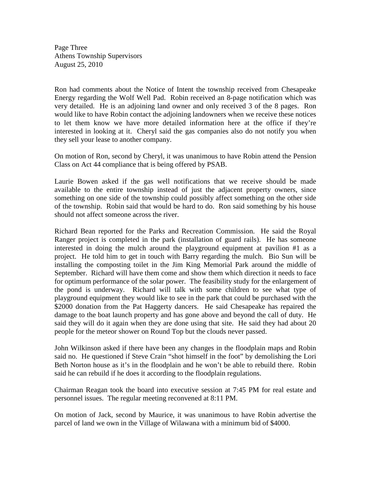Page Three Athens Township Supervisors August 25, 2010

Ron had comments about the Notice of Intent the township received from Chesapeake Energy regarding the Wolf Well Pad. Robin received an 8-page notification which was very detailed. He is an adjoining land owner and only received 3 of the 8 pages. Ron would like to have Robin contact the adjoining landowners when we receive these notices to let them know we have more detailed information here at the office if they're interested in looking at it. Cheryl said the gas companies also do not notify you when they sell your lease to another company.

On motion of Ron, second by Cheryl, it was unanimous to have Robin attend the Pension Class on Act 44 compliance that is being offered by PSAB.

Laurie Bowen asked if the gas well notifications that we receive should be made available to the entire township instead of just the adjacent property owners, since something on one side of the township could possibly affect something on the other side of the township. Robin said that would be hard to do. Ron said something by his house should not affect someone across the river.

Richard Bean reported for the Parks and Recreation Commission. He said the Royal Ranger project is completed in the park (installation of guard rails). He has someone interested in doing the mulch around the playground equipment at pavilion #1 as a project. He told him to get in touch with Barry regarding the mulch. Bio Sun will be installing the composting toilet in the Jim King Memorial Park around the middle of September. Richard will have them come and show them which direction it needs to face for optimum performance of the solar power. The feasibility study for the enlargement of the pond is underway. Richard will talk with some children to see what type of playground equipment they would like to see in the park that could be purchased with the \$2000 donation from the Pat Haggerty dancers. He said Chesapeake has repaired the damage to the boat launch property and has gone above and beyond the call of duty. He said they will do it again when they are done using that site. He said they had about 20 people for the meteor shower on Round Top but the clouds never passed.

John Wilkinson asked if there have been any changes in the floodplain maps and Robin said no. He questioned if Steve Crain "shot himself in the foot" by demolishing the Lori Beth Norton house as it's in the floodplain and he won't be able to rebuild there. Robin said he can rebuild if he does it according to the floodplain regulations.

Chairman Reagan took the board into executive session at 7:45 PM for real estate and personnel issues. The regular meeting reconvened at 8:11 PM.

On motion of Jack, second by Maurice, it was unanimous to have Robin advertise the parcel of land we own in the Village of Wilawana with a minimum bid of \$4000.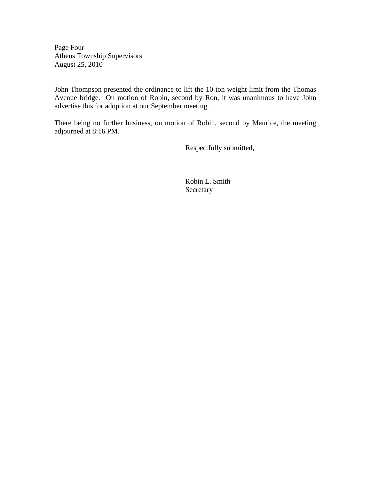Page Four Athens Township Supervisors August 25, 2010

John Thompson presented the ordinance to lift the 10-ton weight limit from the Thomas Avenue bridge. On motion of Robin, second by Ron, it was unanimous to have John advertise this for adoption at our September meeting.

There being no further business, on motion of Robin, second by Maurice, the meeting adjourned at 8:16 PM.

Respectfully submitted,

 Robin L. Smith **Secretary**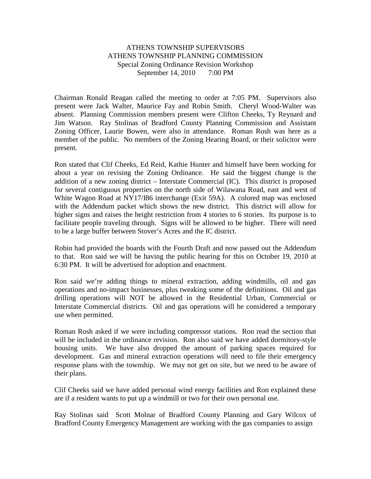# ATHENS TOWNSHIP SUPERVISORS ATHENS TOWNSHIP PLANNING COMMISSION Special Zoning Ordinance Revision Workshop September 14, 2010 7:00 PM

Chairman Ronald Reagan called the meeting to order at 7:05 PM. Supervisors also present were Jack Walter, Maurice Fay and Robin Smith. Cheryl Wood-Walter was absent. Planning Commission members present were Clifton Cheeks, Ty Reynard and Jim Watson. Ray Stolinas of Bradford County Planning Commission and Assistant Zoning Officer, Laurie Bowen, were also in attendance. Roman Rosh was here as a member of the public. No members of the Zoning Hearing Board, or their solicitor were present.

Ron stated that Clif Cheeks, Ed Reid, Kathie Hunter and himself have been working for about a year on revising the Zoning Ordinance. He said the biggest change is the addition of a new zoning district – Interstate Commercial (IC). This district is proposed for several contiguous properties on the north side of Wilawana Road, east and west of White Wagon Road at NY17/I86 interchange (Exit 59A). A colored map was enclosed with the Addendum packet which shows the new district. This district will allow for higher signs and raises the height restriction from 4 stories to 6 stories. Its purpose is to facilitate people traveling through. Signs will be allowed to be higher. There will need to be a large buffer between Stover's Acres and the IC district.

Robin had provided the boards with the Fourth Draft and now passed out the Addendum to that. Ron said we will be having the public hearing for this on October 19, 2010 at 6:30 PM. It will be advertised for adoption and enactment.

Ron said we're adding things to mineral extraction, adding windmills, oil and gas operations and no-impact businesses, plus tweaking some of the definitions. Oil and gas drilling operations will NOT be allowed in the Residential Urban, Commercial or Interstate Commercial districts. Oil and gas operations will be considered a temporary use when permitted.

Roman Rosh asked if we were including compressor stations. Ron read the section that will be included in the ordinance revision. Ron also said we have added dormitory-style housing units. We have also dropped the amount of parking spaces required for development. Gas and mineral extraction operations will need to file their emergency response plans with the township. We may not get on site, but we need to be aware of their plans.

Clif Cheeks said we have added personal wind energy facilities and Ron explained these are if a resident wants to put up a windmill or two for their own personal use.

Ray Stolinas said Scott Molnar of Bradford County Planning and Gary Wilcox of Bradford County Emergency Management are working with the gas companies to assign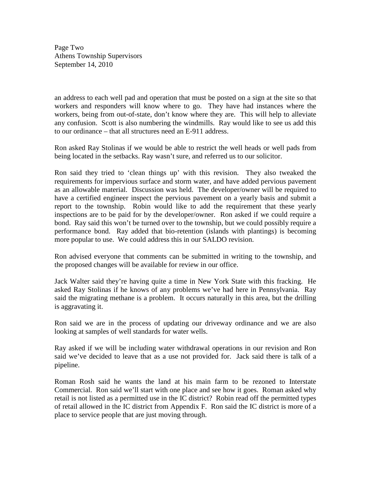Page Two Athens Township Supervisors September 14, 2010

an address to each well pad and operation that must be posted on a sign at the site so that workers and responders will know where to go. They have had instances where the workers, being from out-of-state, don't know where they are. This will help to alleviate any confusion. Scott is also numbering the windmills. Ray would like to see us add this to our ordinance – that all structures need an E-911 address.

Ron asked Ray Stolinas if we would be able to restrict the well heads or well pads from being located in the setbacks. Ray wasn't sure, and referred us to our solicitor.

Ron said they tried to 'clean things up' with this revision. They also tweaked the requirements for impervious surface and storm water, and have added pervious pavement as an allowable material. Discussion was held. The developer/owner will be required to have a certified engineer inspect the pervious pavement on a yearly basis and submit a report to the township. Robin would like to add the requirement that these yearly inspections are to be paid for by the developer/owner. Ron asked if we could require a bond. Ray said this won't be turned over to the township, but we could possibly require a performance bond. Ray added that bio-retention (islands with plantings) is becoming more popular to use. We could address this in our SALDO revision.

Ron advised everyone that comments can be submitted in writing to the township, and the proposed changes will be available for review in our office.

Jack Walter said they're having quite a time in New York State with this fracking. He asked Ray Stolinas if he knows of any problems we've had here in Pennsylvania. Ray said the migrating methane is a problem. It occurs naturally in this area, but the drilling is aggravating it.

Ron said we are in the process of updating our driveway ordinance and we are also looking at samples of well standards for water wells.

Ray asked if we will be including water withdrawal operations in our revision and Ron said we've decided to leave that as a use not provided for. Jack said there is talk of a pipeline.

Roman Rosh said he wants the land at his main farm to be rezoned to Interstate Commercial. Ron said we'll start with one place and see how it goes. Roman asked why retail is not listed as a permitted use in the IC district? Robin read off the permitted types of retail allowed in the IC district from Appendix F. Ron said the IC district is more of a place to service people that are just moving through.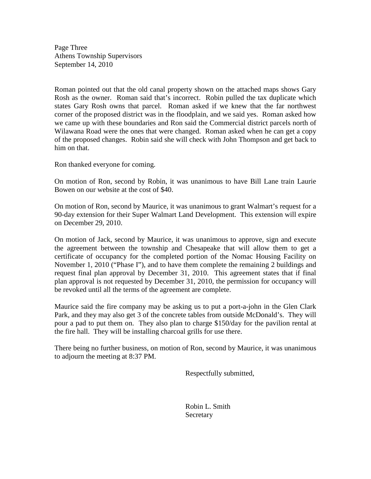Page Three Athens Township Supervisors September 14, 2010

Roman pointed out that the old canal property shown on the attached maps shows Gary Rosh as the owner. Roman said that's incorrect. Robin pulled the tax duplicate which states Gary Rosh owns that parcel. Roman asked if we knew that the far northwest corner of the proposed district was in the floodplain, and we said yes. Roman asked how we came up with these boundaries and Ron said the Commercial district parcels north of Wilawana Road were the ones that were changed. Roman asked when he can get a copy of the proposed changes. Robin said she will check with John Thompson and get back to him on that.

Ron thanked everyone for coming.

On motion of Ron, second by Robin, it was unanimous to have Bill Lane train Laurie Bowen on our website at the cost of \$40.

On motion of Ron, second by Maurice, it was unanimous to grant Walmart's request for a 90-day extension for their Super Walmart Land Development. This extension will expire on December 29, 2010.

On motion of Jack, second by Maurice, it was unanimous to approve, sign and execute the agreement between the township and Chesapeake that will allow them to get a certificate of occupancy for the completed portion of the Nomac Housing Facility on November 1, 2010 ("Phase I"), and to have them complete the remaining 2 buildings and request final plan approval by December 31, 2010. This agreement states that if final plan approval is not requested by December 31, 2010, the permission for occupancy will be revoked until all the terms of the agreement are complete.

Maurice said the fire company may be asking us to put a port-a-john in the Glen Clark Park, and they may also get 3 of the concrete tables from outside McDonald's. They will pour a pad to put them on. They also plan to charge \$150/day for the pavilion rental at the fire hall. They will be installing charcoal grills for use there.

There being no further business, on motion of Ron, second by Maurice, it was unanimous to adjourn the meeting at 8:37 PM.

Respectfully submitted,

 Robin L. Smith Secretary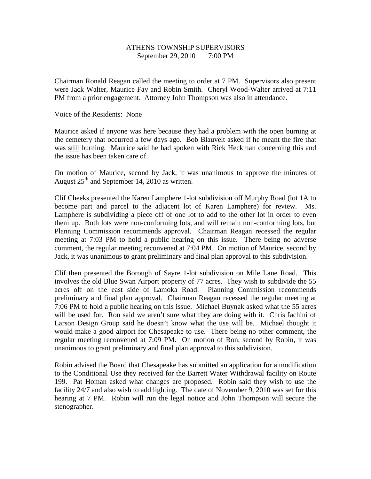# ATHENS TOWNSHIP SUPERVISORS September 29, 2010 7:00 PM

Chairman Ronald Reagan called the meeting to order at 7 PM. Supervisors also present were Jack Walter, Maurice Fay and Robin Smith. Cheryl Wood-Walter arrived at 7:11 PM from a prior engagement. Attorney John Thompson was also in attendance.

Voice of the Residents: None

Maurice asked if anyone was here because they had a problem with the open burning at the cemetery that occurred a few days ago. Bob Blauvelt asked if he meant the fire that was still burning. Maurice said he had spoken with Rick Heckman concerning this and the issue has been taken care of.

On motion of Maurice, second by Jack, it was unanimous to approve the minutes of August  $25<sup>th</sup>$  and September 14, 2010 as written.

Clif Cheeks presented the Karen Lamphere 1-lot subdivision off Murphy Road (lot 1A to become part and parcel to the adjacent lot of Karen Lamphere) for review. Ms. Lamphere is subdividing a piece off of one lot to add to the other lot in order to even them up. Both lots were non-conforming lots, and will remain non-conforming lots, but Planning Commission recommends approval. Chairman Reagan recessed the regular meeting at 7:03 PM to hold a public hearing on this issue. There being no adverse comment, the regular meeting reconvened at 7:04 PM. On motion of Maurice, second by Jack, it was unanimous to grant preliminary and final plan approval to this subdivision.

Clif then presented the Borough of Sayre 1-lot subdivision on Mile Lane Road. This involves the old Blue Swan Airport property of 77 acres. They wish to subdivide the 55 acres off on the east side of Lamoka Road. Planning Commission recommends preliminary and final plan approval. Chairman Reagan recessed the regular meeting at 7:06 PM to hold a public hearing on this issue. Michael Buynak asked what the 55 acres will be used for. Ron said we aren't sure what they are doing with it. Chris Iachini of Larson Design Group said he doesn't know what the use will be. Michael thought it would make a good airport for Chesapeake to use. There being no other comment, the regular meeting reconvened at 7:09 PM. On motion of Ron, second by Robin, it was unanimous to grant preliminary and final plan approval to this subdivision.

Robin advised the Board that Chesapeake has submitted an application for a modification to the Conditional Use they received for the Barrett Water Withdrawal facility on Route 199. Pat Homan asked what changes are proposed. Robin said they wish to use the facility 24/7 and also wish to add lighting. The date of November 9, 2010 was set for this hearing at 7 PM. Robin will run the legal notice and John Thompson will secure the stenographer.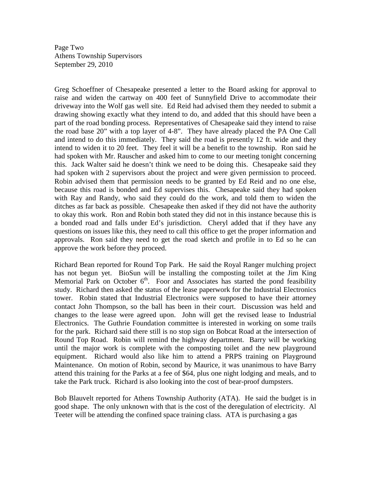Page Two Athens Township Supervisors September 29, 2010

Greg Schoeffner of Chesapeake presented a letter to the Board asking for approval to raise and widen the cartway on 400 feet of Sunnyfield Drive to accommodate their driveway into the Wolf gas well site. Ed Reid had advised them they needed to submit a drawing showing exactly what they intend to do, and added that this should have been a part of the road bonding process. Representatives of Chesapeake said they intend to raise the road base 20" with a top layer of 4-8". They have already placed the PA One Call and intend to do this immediately. They said the road is presently 12 ft. wide and they intend to widen it to 20 feet. They feel it will be a benefit to the township. Ron said he had spoken with Mr. Rauscher and asked him to come to our meeting tonight concerning this. Jack Walter said he doesn't think we need to be doing this. Chesapeake said they had spoken with 2 supervisors about the project and were given permission to proceed. Robin advised them that permission needs to be granted by Ed Reid and no one else, because this road is bonded and Ed supervises this. Chesapeake said they had spoken with Ray and Randy, who said they could do the work, and told them to widen the ditches as far back as possible. Chesapeake then asked if they did not have the authority to okay this work. Ron and Robin both stated they did not in this instance because this is a bonded road and falls under Ed's jurisdiction. Cheryl added that if they have any questions on issues like this, they need to call this office to get the proper information and approvals. Ron said they need to get the road sketch and profile in to Ed so he can approve the work before they proceed.

Richard Bean reported for Round Top Park. He said the Royal Ranger mulching project has not begun yet. BioSun will be installing the composting toilet at the Jim King Memorial Park on October  $6<sup>th</sup>$ . Foor and Associates has started the pond feasibility study. Richard then asked the status of the lease paperwork for the Industrial Electronics tower. Robin stated that Industrial Electronics were supposed to have their attorney contact John Thompson, so the ball has been in their court. Discussion was held and changes to the lease were agreed upon. John will get the revised lease to Industrial Electronics. The Guthrie Foundation committee is interested in working on some trails for the park. Richard said there still is no stop sign on Bobcat Road at the intersection of Round Top Road. Robin will remind the highway department. Barry will be working until the major work is complete with the composting toilet and the new playground equipment. Richard would also like him to attend a PRPS training on Playground Maintenance. On motion of Robin, second by Maurice, it was unanimous to have Barry attend this training for the Parks at a fee of \$64, plus one night lodging and meals, and to take the Park truck. Richard is also looking into the cost of bear-proof dumpsters.

Bob Blauvelt reported for Athens Township Authority (ATA). He said the budget is in good shape. The only unknown with that is the cost of the deregulation of electricity. Al Teeter will be attending the confined space training class. ATA is purchasing a gas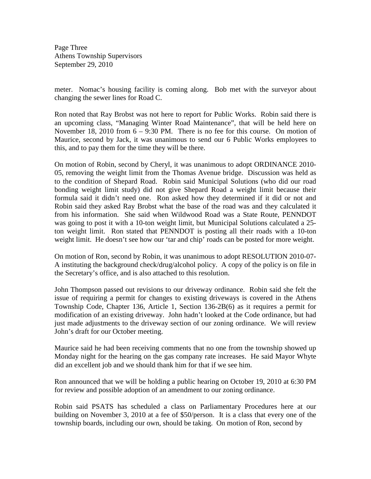Page Three Athens Township Supervisors September 29, 2010

meter. Nomac's housing facility is coming along. Bob met with the surveyor about changing the sewer lines for Road C.

Ron noted that Ray Brobst was not here to report for Public Works. Robin said there is an upcoming class, "Managing Winter Road Maintenance", that will be held here on November 18, 2010 from  $6 - 9:30$  PM. There is no fee for this course. On motion of Maurice, second by Jack, it was unanimous to send our 6 Public Works employees to this, and to pay them for the time they will be there.

On motion of Robin, second by Cheryl, it was unanimous to adopt ORDINANCE 2010- 05, removing the weight limit from the Thomas Avenue bridge. Discussion was held as to the condition of Shepard Road. Robin said Municipal Solutions (who did our road bonding weight limit study) did not give Shepard Road a weight limit because their formula said it didn't need one. Ron asked how they determined if it did or not and Robin said they asked Ray Brobst what the base of the road was and they calculated it from his information. She said when Wildwood Road was a State Route, PENNDOT was going to post it with a 10-ton weight limit, but Municipal Solutions calculated a 25 ton weight limit. Ron stated that PENNDOT is posting all their roads with a 10-ton weight limit. He doesn't see how our 'tar and chip' roads can be posted for more weight.

On motion of Ron, second by Robin, it was unanimous to adopt RESOLUTION 2010-07- A instituting the background check/drug/alcohol policy. A copy of the policy is on file in the Secretary's office, and is also attached to this resolution.

John Thompson passed out revisions to our driveway ordinance. Robin said she felt the issue of requiring a permit for changes to existing driveways is covered in the Athens Township Code, Chapter 136, Article 1, Section 136-2B(6) as it requires a permit for modification of an existing driveway. John hadn't looked at the Code ordinance, but had just made adjustments to the driveway section of our zoning ordinance. We will review John's draft for our October meeting.

Maurice said he had been receiving comments that no one from the township showed up Monday night for the hearing on the gas company rate increases. He said Mayor Whyte did an excellent job and we should thank him for that if we see him.

Ron announced that we will be holding a public hearing on October 19, 2010 at 6:30 PM for review and possible adoption of an amendment to our zoning ordinance.

Robin said PSATS has scheduled a class on Parliamentary Procedures here at our building on November 3, 2010 at a fee of \$50/person. It is a class that every one of the township boards, including our own, should be taking. On motion of Ron, second by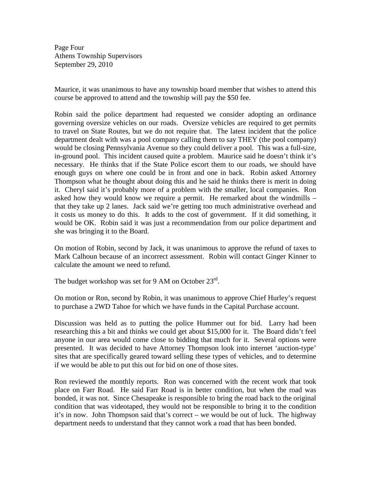Page Four Athens Township Supervisors September 29, 2010

Maurice, it was unanimous to have any township board member that wishes to attend this course be approved to attend and the township will pay the \$50 fee.

Robin said the police department had requested we consider adopting an ordinance governing oversize vehicles on our roads. Oversize vehicles are required to get permits to travel on State Routes, but we do not require that. The latest incident that the police department dealt with was a pool company calling them to say THEY (the pool company) would be closing Pennsylvania Avenue so they could deliver a pool. This was a full-size, in-ground pool. This incident caused quite a problem. Maurice said he doesn't think it's necessary. He thinks that if the State Police escort them to our roads, we should have enough guys on where one could be in front and one in back. Robin asked Attorney Thompson what he thought about doing this and he said he thinks there is merit in doing it. Cheryl said it's probably more of a problem with the smaller, local companies. Ron asked how they would know we require a permit. He remarked about the windmills – that they take up 2 lanes. Jack said we're getting too much administrative overhead and it costs us money to do this. It adds to the cost of government. If it did something, it would be OK. Robin said it was just a recommendation from our police department and she was bringing it to the Board.

On motion of Robin, second by Jack, it was unanimous to approve the refund of taxes to Mark Calhoun because of an incorrect assessment. Robin will contact Ginger Kinner to calculate the amount we need to refund.

The budget workshop was set for 9 AM on October  $23^{\text{rd}}$ .

On motion or Ron, second by Robin, it was unanimous to approve Chief Hurley's request to purchase a 2WD Tahoe for which we have funds in the Capital Purchase account.

Discussion was held as to putting the police Hummer out for bid. Larry had been researching this a bit and thinks we could get about \$15,000 for it. The Board didn't feel anyone in our area would come close to bidding that much for it. Several options were presented. It was decided to have Attorney Thompson look into internet 'auction-type' sites that are specifically geared toward selling these types of vehicles, and to determine if we would be able to put this out for bid on one of those sites.

Ron reviewed the monthly reports. Ron was concerned with the recent work that took place on Farr Road. He said Farr Road is in better condition, but when the road was bonded, it was not. Since Chesapeake is responsible to bring the road back to the original condition that was videotaped, they would not be responsible to bring it to the condition it's in now. John Thompson said that's correct – we would be out of luck. The highway department needs to understand that they cannot work a road that has been bonded.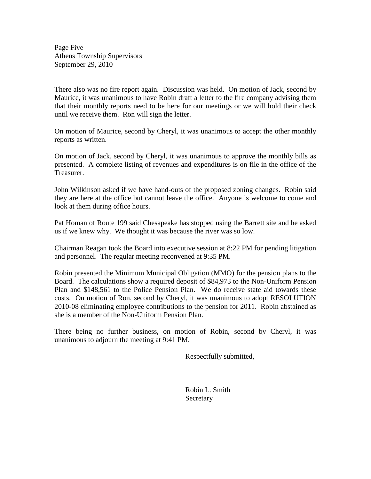Page Five Athens Township Supervisors September 29, 2010

There also was no fire report again. Discussion was held. On motion of Jack, second by Maurice, it was unanimous to have Robin draft a letter to the fire company advising them that their monthly reports need to be here for our meetings or we will hold their check until we receive them. Ron will sign the letter.

On motion of Maurice, second by Cheryl, it was unanimous to accept the other monthly reports as written.

On motion of Jack, second by Cheryl, it was unanimous to approve the monthly bills as presented. A complete listing of revenues and expenditures is on file in the office of the Treasurer.

John Wilkinson asked if we have hand-outs of the proposed zoning changes. Robin said they are here at the office but cannot leave the office. Anyone is welcome to come and look at them during office hours.

Pat Homan of Route 199 said Chesapeake has stopped using the Barrett site and he asked us if we knew why. We thought it was because the river was so low.

Chairman Reagan took the Board into executive session at 8:22 PM for pending litigation and personnel. The regular meeting reconvened at 9:35 PM.

Robin presented the Minimum Municipal Obligation (MMO) for the pension plans to the Board. The calculations show a required deposit of \$84,973 to the Non-Uniform Pension Plan and \$148,561 to the Police Pension Plan. We do receive state aid towards these costs. On motion of Ron, second by Cheryl, it was unanimous to adopt RESOLUTION 2010-08 eliminating employee contributions to the pension for 2011. Robin abstained as she is a member of the Non-Uniform Pension Plan.

There being no further business, on motion of Robin, second by Cheryl, it was unanimous to adjourn the meeting at 9:41 PM.

Respectfully submitted,

 Robin L. Smith Secretary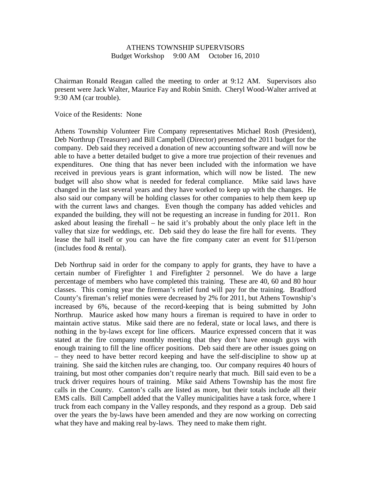### ATHENS TOWNSHIP SUPERVISORS Budget Workshop 9:00 AM October 16, 2010

Chairman Ronald Reagan called the meeting to order at 9:12 AM. Supervisors also present were Jack Walter, Maurice Fay and Robin Smith. Cheryl Wood-Walter arrived at 9:30 AM (car trouble).

Voice of the Residents: None

Athens Township Volunteer Fire Company representatives Michael Rosh (President), Deb Northrup (Treasurer) and Bill Campbell (Director) presented the 2011 budget for the company. Deb said they received a donation of new accounting software and will now be able to have a better detailed budget to give a more true projection of their revenues and expenditures. One thing that has never been included with the information we have received in previous years is grant information, which will now be listed. The new budget will also show what is needed for federal compliance. Mike said laws have changed in the last several years and they have worked to keep up with the changes. He also said our company will be holding classes for other companies to help them keep up with the current laws and changes. Even though the company has added vehicles and expanded the building, they will not be requesting an increase in funding for 2011. Ron asked about leasing the firehall – he said it's probably about the only place left in the valley that size for weddings, etc. Deb said they do lease the fire hall for events. They lease the hall itself or you can have the fire company cater an event for \$11/person (includes food & rental).

Deb Northrup said in order for the company to apply for grants, they have to have a certain number of Firefighter 1 and Firefighter 2 personnel. We do have a large percentage of members who have completed this training. These are 40, 60 and 80 hour classes. This coming year the fireman's relief fund will pay for the training. Bradford County's fireman's relief monies were decreased by 2% for 2011, but Athens Township's increased by 6%, because of the record-keeping that is being submitted by John Northrup. Maurice asked how many hours a fireman is required to have in order to maintain active status. Mike said there are no federal, state or local laws, and there is nothing in the by-laws except for line officers. Maurice expressed concern that it was stated at the fire company monthly meeting that they don't have enough guys with enough training to fill the line officer positions. Deb said there are other issues going on – they need to have better record keeping and have the self-discipline to show up at training. She said the kitchen rules are changing, too. Our company requires 40 hours of training, but most other companies don't require nearly that much. Bill said even to be a truck driver requires hours of training. Mike said Athens Township has the most fire calls in the County. Canton's calls are listed as more, but their totals include all their EMS calls. Bill Campbell added that the Valley municipalities have a task force, where 1 truck from each company in the Valley responds, and they respond as a group. Deb said over the years the by-laws have been amended and they are now working on correcting what they have and making real by-laws. They need to make them right.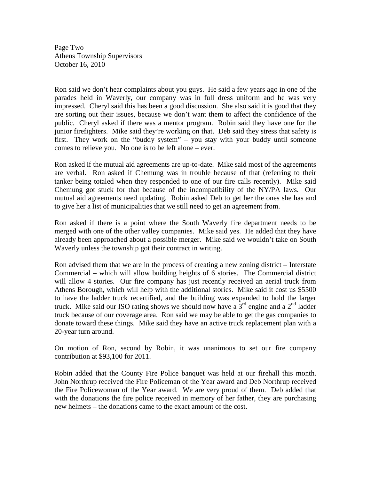Page Two Athens Township Supervisors October 16, 2010

Ron said we don't hear complaints about you guys. He said a few years ago in one of the parades held in Waverly, our company was in full dress uniform and he was very impressed. Cheryl said this has been a good discussion. She also said it is good that they are sorting out their issues, because we don't want them to affect the confidence of the public. Cheryl asked if there was a mentor program. Robin said they have one for the junior firefighters. Mike said they're working on that. Deb said they stress that safety is first. They work on the "buddy system" – you stay with your buddy until someone comes to relieve you. No one is to be left alone – ever.

Ron asked if the mutual aid agreements are up-to-date. Mike said most of the agreements are verbal. Ron asked if Chemung was in trouble because of that (referring to their tanker being totaled when they responded to one of our fire calls recently). Mike said Chemung got stuck for that because of the incompatibility of the NY/PA laws. Our mutual aid agreements need updating. Robin asked Deb to get her the ones she has and to give her a list of municipalities that we still need to get an agreement from.

Ron asked if there is a point where the South Waverly fire department needs to be merged with one of the other valley companies. Mike said yes. He added that they have already been approached about a possible merger. Mike said we wouldn't take on South Waverly unless the township got their contract in writing.

Ron advised them that we are in the process of creating a new zoning district – Interstate Commercial – which will allow building heights of 6 stories. The Commercial district will allow 4 stories. Our fire company has just recently received an aerial truck from Athens Borough, which will help with the additional stories. Mike said it cost us \$5500 to have the ladder truck recertified, and the building was expanded to hold the larger truck. Mike said our ISO rating shows we should now have a  $3<sup>rd</sup>$  engine and a  $2<sup>nd</sup>$  ladder truck because of our coverage area. Ron said we may be able to get the gas companies to donate toward these things. Mike said they have an active truck replacement plan with a 20-year turn around.

On motion of Ron, second by Robin, it was unanimous to set our fire company contribution at \$93,100 for 2011.

Robin added that the County Fire Police banquet was held at our firehall this month. John Northrup received the Fire Policeman of the Year award and Deb Northrup received the Fire Policewoman of the Year award. We are very proud of them. Deb added that with the donations the fire police received in memory of her father, they are purchasing new helmets – the donations came to the exact amount of the cost.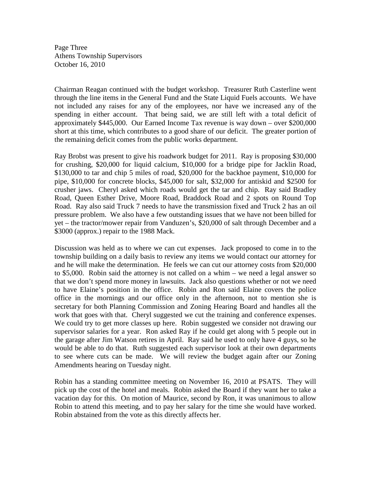Page Three Athens Township Supervisors October 16, 2010

Chairman Reagan continued with the budget workshop. Treasurer Ruth Casterline went through the line items in the General Fund and the State Liquid Fuels accounts. We have not included any raises for any of the employees, nor have we increased any of the spending in either account. That being said, we are still left with a total deficit of approximately \$445,000. Our Earned Income Tax revenue is way down – over \$200,000 short at this time, which contributes to a good share of our deficit. The greater portion of the remaining deficit comes from the public works department.

Ray Brobst was present to give his roadwork budget for 2011. Ray is proposing \$30,000 for crushing, \$20,000 for liquid calcium, \$10,000 for a bridge pipe for Jacklin Road, \$130,000 to tar and chip 5 miles of road, \$20,000 for the backhoe payment, \$10,000 for pipe, \$10,000 for concrete blocks, \$45,000 for salt, \$32,000 for antiskid and \$2500 for crusher jaws. Cheryl asked which roads would get the tar and chip. Ray said Bradley Road, Queen Esther Drive, Moore Road, Braddock Road and 2 spots on Round Top Road. Ray also said Truck 7 needs to have the transmission fixed and Truck 2 has an oil pressure problem. We also have a few outstanding issues that we have not been billed for yet – the tractor/mower repair from Vanduzen's, \$20,000 of salt through December and a \$3000 (approx.) repair to the 1988 Mack.

Discussion was held as to where we can cut expenses. Jack proposed to come in to the township building on a daily basis to review any items we would contact our attorney for and he will make the determination. He feels we can cut our attorney costs from \$20,000 to \$5,000. Robin said the attorney is not called on a whim – we need a legal answer so that we don't spend more money in lawsuits. Jack also questions whether or not we need to have Elaine's position in the office. Robin and Ron said Elaine covers the police office in the mornings and our office only in the afternoon, not to mention she is secretary for both Planning Commission and Zoning Hearing Board and handles all the work that goes with that. Cheryl suggested we cut the training and conference expenses. We could try to get more classes up here. Robin suggested we consider not drawing our supervisor salaries for a year. Ron asked Ray if he could get along with 5 people out in the garage after Jim Watson retires in April. Ray said he used to only have 4 guys, so he would be able to do that. Ruth suggested each supervisor look at their own departments to see where cuts can be made. We will review the budget again after our Zoning Amendments hearing on Tuesday night.

Robin has a standing committee meeting on November 16, 2010 at PSATS. They will pick up the cost of the hotel and meals. Robin asked the Board if they want her to take a vacation day for this. On motion of Maurice, second by Ron, it was unanimous to allow Robin to attend this meeting, and to pay her salary for the time she would have worked. Robin abstained from the vote as this directly affects her.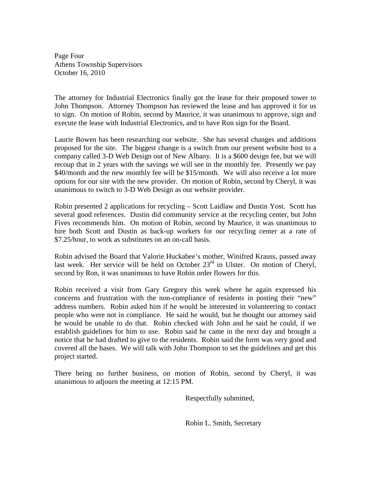Page Four Athens Township Supervisors October 16, 2010

The attorney for Industrial Electronics finally got the lease for their proposed tower to John Thompson. Attorney Thompson has reviewed the lease and has approved it for us to sign. On motion of Robin, second by Maurice, it was unanimous to approve, sign and execute the lease with Industrial Electronics, and to have Ron sign for the Board.

Laurie Bowen has been researching our website. She has several changes and additions proposed for the site. The biggest change is a switch from our present website host to a company called 3-D Web Design out of New Albany. It is a \$600 design fee, but we will recoup that in 2 years with the savings we will see in the monthly fee. Presently we pay \$40/month and the new monthly fee will be \$15/month. We will also receive a lot more options for our site with the new provider. On motion of Robin, second by Cheryl, it was unanimous to switch to 3-D Web Design as our website provider.

Robin presented 2 applications for recycling – Scott Laidlaw and Dustin Yost. Scott has several good references. Dustin did community service at the recycling center, but John Fives recommends him. On motion of Robin, second by Maurice, it was unanimous to hire both Scott and Dustin as back-up workers for our recycling center at a rate of \$7.25/hour, to work as substitutes on an on-call basis.

Robin advised the Board that Valorie Huckabee's mother, Winifred Krauss, passed away last week. Her service will be held on October  $23<sup>rd</sup>$  in Ulster. On motion of Cheryl, second by Ron, it was unanimous to have Robin order flowers for this.

Robin received a visit from Gary Gregory this week where he again expressed his concerns and frustration with the non-compliance of residents in posting their "new" address numbers. Robin asked him if he would be interested in volunteering to contact people who were not in compliance. He said he would, but he thought our attorney said he would be unable to do that. Robin checked with John and he said he could, if we establish guidelines for him to use. Robin said he came in the next day and brought a notice that he had drafted to give to the residents. Robin said the form was very good and covered all the bases. We will talk with John Thompson to set the guidelines and get this project started.

There being no further business, on motion of Robin, second by Cheryl, it was unanimous to adjourn the meeting at 12:15 PM.

Respectfully submitted,

Robin L. Smith, Secretary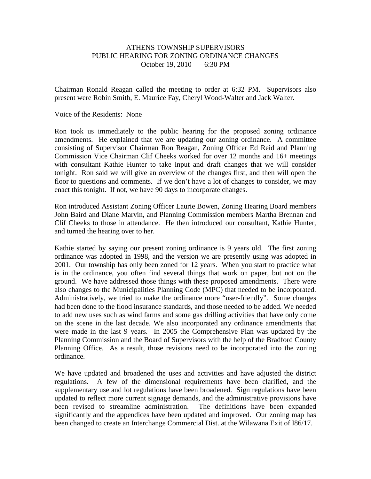# ATHENS TOWNSHIP SUPERVISORS PUBLIC HEARING FOR ZONING ORDINANCE CHANGES October 19, 2010 6:30 PM

Chairman Ronald Reagan called the meeting to order at 6:32 PM. Supervisors also present were Robin Smith, E. Maurice Fay, Cheryl Wood-Walter and Jack Walter.

#### Voice of the Residents: None

Ron took us immediately to the public hearing for the proposed zoning ordinance amendments. He explained that we are updating our zoning ordinance. A committee consisting of Supervisor Chairman Ron Reagan, Zoning Officer Ed Reid and Planning Commission Vice Chairman Clif Cheeks worked for over 12 months and 16+ meetings with consultant Kathie Hunter to take input and draft changes that we will consider tonight. Ron said we will give an overview of the changes first, and then will open the floor to questions and comments. If we don't have a lot of changes to consider, we may enact this tonight. If not, we have 90 days to incorporate changes.

Ron introduced Assistant Zoning Officer Laurie Bowen, Zoning Hearing Board members John Baird and Diane Marvin, and Planning Commission members Martha Brennan and Clif Cheeks to those in attendance. He then introduced our consultant, Kathie Hunter, and turned the hearing over to her.

Kathie started by saying our present zoning ordinance is 9 years old. The first zoning ordinance was adopted in 1998, and the version we are presently using was adopted in 2001. Our township has only been zoned for 12 years. When you start to practice what is in the ordinance, you often find several things that work on paper, but not on the ground. We have addressed those things with these proposed amendments. There were also changes to the Municipalities Planning Code (MPC) that needed to be incorporated. Administratively, we tried to make the ordinance more "user-friendly". Some changes had been done to the flood insurance standards, and those needed to be added. We needed to add new uses such as wind farms and some gas drilling activities that have only come on the scene in the last decade. We also incorporated any ordinance amendments that were made in the last 9 years. In 2005 the Comprehensive Plan was updated by the Planning Commission and the Board of Supervisors with the help of the Bradford County Planning Office. As a result, those revisions need to be incorporated into the zoning ordinance.

We have updated and broadened the uses and activities and have adjusted the district regulations. A few of the dimensional requirements have been clarified, and the supplementary use and lot regulations have been broadened. Sign regulations have been updated to reflect more current signage demands, and the administrative provisions have been revised to streamline administration. The definitions have been expanded significantly and the appendices have been updated and improved. Our zoning map has been changed to create an Interchange Commercial Dist. at the Wilawana Exit of I86/17.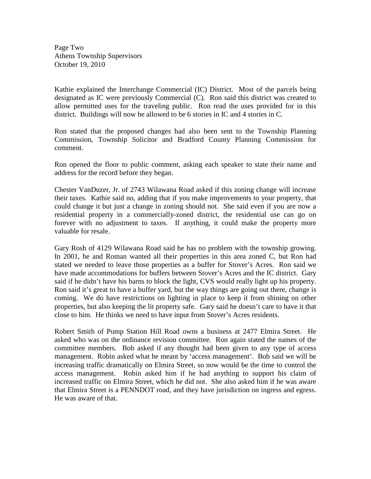Page Two Athens Township Supervisors October 19, 2010

Kathie explained the Interchange Commercial (IC) District. Most of the parcels being designated as IC were previously Commercial (C). Ron said this district was created to allow permitted uses for the traveling public. Ron read the uses provided for in this district. Buildings will now be allowed to be 6 stories in IC and 4 stories in C.

Ron stated that the proposed changes had also been sent to the Township Planning Commission, Township Solicitor and Bradford County Planning Commission for comment.

Ron opened the floor to public comment, asking each speaker to state their name and address for the record before they began.

Chester VanDuzer, Jr. of 2743 Wilawana Road asked if this zoning change will increase their taxes. Kathie said no, adding that if you make improvements to your property, that could change it but just a change in zoning should not. She said even if you are now a residential property in a commercially-zoned district, the residential use can go on forever with no adjustment to taxes. If anything, it could make the property more valuable for resale.

Gary Rosh of 4129 Wilawana Road said he has no problem with the township growing. In 2001, he and Roman wanted all their properties in this area zoned C, but Ron had stated we needed to leave those properties as a buffer for Stover's Acres. Ron said we have made accommodations for buffers between Stover's Acres and the IC district. Gary said if he didn't have his barns to block the light, CVS would really light up his property. Ron said it's great to have a buffer yard, but the way things are going out there, change is coming. We do have restrictions on lighting in place to keep it from shining on other properties, but also keeping the lit property safe. Gary said he doesn't care to have it that close to him. He thinks we need to have input from Stover's Acres residents.

Robert Smith of Pump Station Hill Road owns a business at 2477 Elmira Street. He asked who was on the ordinance revision committee. Ron again stated the names of the committee members. Bob asked if any thought had been given to any type of access management. Robin asked what he meant by 'access management'. Bob said we will be increasing traffic dramatically on Elmira Street, so now would be the time to control the access management. Robin asked him if he had anything to support his claim of increased traffic on Elmira Street, which he did not. She also asked him if he was aware that Elmira Street is a PENNDOT road, and they have jurisdiction on ingress and egress. He was aware of that.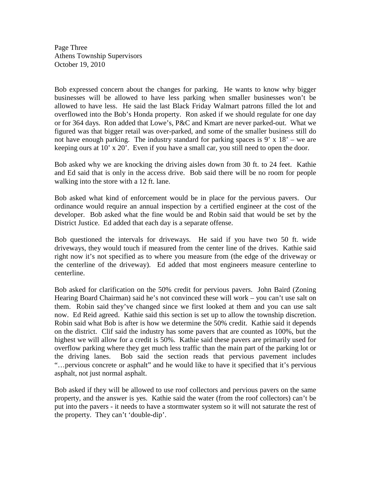Page Three Athens Township Supervisors October 19, 2010

Bob expressed concern about the changes for parking. He wants to know why bigger businesses will be allowed to have less parking when smaller businesses won't be allowed to have less. He said the last Black Friday Walmart patrons filled the lot and overflowed into the Bob's Honda property. Ron asked if we should regulate for one day or for 364 days. Ron added that Lowe's, P&C and Kmart are never parked-out. What we figured was that bigger retail was over-parked, and some of the smaller business still do not have enough parking. The industry standard for parking spaces is 9' x 18' – we are keeping ours at 10' x 20'. Even if you have a small car, you still need to open the door.

Bob asked why we are knocking the driving aisles down from 30 ft. to 24 feet. Kathie and Ed said that is only in the access drive. Bob said there will be no room for people walking into the store with a 12 ft. lane.

Bob asked what kind of enforcement would be in place for the pervious pavers. Our ordinance would require an annual inspection by a certified engineer at the cost of the developer. Bob asked what the fine would be and Robin said that would be set by the District Justice. Ed added that each day is a separate offense.

Bob questioned the intervals for driveways. He said if you have two 50 ft. wide driveways, they would touch if measured from the center line of the drives. Kathie said right now it's not specified as to where you measure from (the edge of the driveway or the centerline of the driveway). Ed added that most engineers measure centerline to centerline.

Bob asked for clarification on the 50% credit for pervious pavers. John Baird (Zoning Hearing Board Chairman) said he's not convinced these will work – you can't use salt on them. Robin said they've changed since we first looked at them and you can use salt now. Ed Reid agreed. Kathie said this section is set up to allow the township discretion. Robin said what Bob is after is how we determine the 50% credit. Kathie said it depends on the district. Clif said the industry has some pavers that are counted as 100%, but the highest we will allow for a credit is 50%. Kathie said these pavers are primarily used for overflow parking where they get much less traffic than the main part of the parking lot or the driving lanes. Bob said the section reads that pervious pavement includes "…pervious concrete or asphalt" and he would like to have it specified that it's pervious asphalt, not just normal asphalt.

Bob asked if they will be allowed to use roof collectors and pervious pavers on the same property, and the answer is yes. Kathie said the water (from the roof collectors) can't be put into the pavers - it needs to have a stormwater system so it will not saturate the rest of the property. They can't 'double-dip'.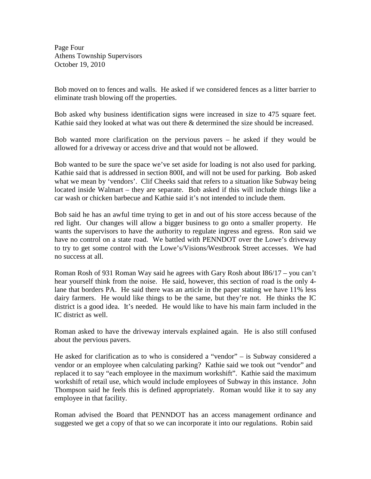Page Four Athens Township Supervisors October 19, 2010

Bob moved on to fences and walls. He asked if we considered fences as a litter barrier to eliminate trash blowing off the properties.

Bob asked why business identification signs were increased in size to 475 square feet. Kathie said they looked at what was out there & determined the size should be increased.

Bob wanted more clarification on the pervious pavers – he asked if they would be allowed for a driveway or access drive and that would not be allowed.

Bob wanted to be sure the space we've set aside for loading is not also used for parking. Kathie said that is addressed in section 800I, and will not be used for parking. Bob asked what we mean by 'vendors'. Clif Cheeks said that refers to a situation like Subway being located inside Walmart – they are separate. Bob asked if this will include things like a car wash or chicken barbecue and Kathie said it's not intended to include them.

Bob said he has an awful time trying to get in and out of his store access because of the red light. Our changes will allow a bigger business to go onto a smaller property. He wants the supervisors to have the authority to regulate ingress and egress. Ron said we have no control on a state road. We battled with PENNDOT over the Lowe's driveway to try to get some control with the Lowe's/Visions/Westbrook Street accesses. We had no success at all.

Roman Rosh of 931 Roman Way said he agrees with Gary Rosh about I86/17 – you can't hear yourself think from the noise. He said, however, this section of road is the only 4 lane that borders PA. He said there was an article in the paper stating we have 11% less dairy farmers. He would like things to be the same, but they're not. He thinks the IC district is a good idea. It's needed. He would like to have his main farm included in the IC district as well.

Roman asked to have the driveway intervals explained again. He is also still confused about the pervious pavers.

He asked for clarification as to who is considered a "vendor" – is Subway considered a vendor or an employee when calculating parking? Kathie said we took out "vendor" and replaced it to say "each employee in the maximum workshift". Kathie said the maximum workshift of retail use, which would include employees of Subway in this instance. John Thompson said he feels this is defined appropriately. Roman would like it to say any employee in that facility.

Roman advised the Board that PENNDOT has an access management ordinance and suggested we get a copy of that so we can incorporate it into our regulations. Robin said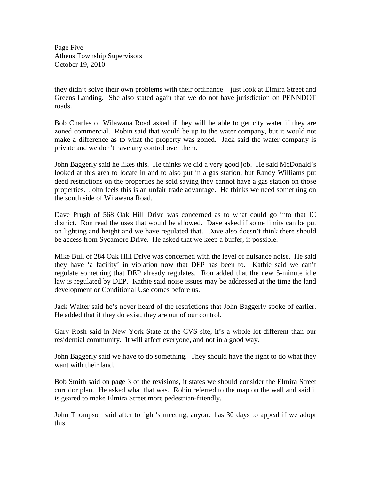Page Five Athens Township Supervisors October 19, 2010

they didn't solve their own problems with their ordinance – just look at Elmira Street and Greens Landing. She also stated again that we do not have jurisdiction on PENNDOT roads.

Bob Charles of Wilawana Road asked if they will be able to get city water if they are zoned commercial. Robin said that would be up to the water company, but it would not make a difference as to what the property was zoned. Jack said the water company is private and we don't have any control over them.

John Baggerly said he likes this. He thinks we did a very good job. He said McDonald's looked at this area to locate in and to also put in a gas station, but Randy Williams put deed restrictions on the properties he sold saying they cannot have a gas station on those properties. John feels this is an unfair trade advantage. He thinks we need something on the south side of Wilawana Road.

Dave Prugh of 568 Oak Hill Drive was concerned as to what could go into that IC district. Ron read the uses that would be allowed. Dave asked if some limits can be put on lighting and height and we have regulated that. Dave also doesn't think there should be access from Sycamore Drive. He asked that we keep a buffer, if possible.

Mike Bull of 284 Oak Hill Drive was concerned with the level of nuisance noise. He said they have 'a facility' in violation now that DEP has been to. Kathie said we can't regulate something that DEP already regulates. Ron added that the new 5-minute idle law is regulated by DEP. Kathie said noise issues may be addressed at the time the land development or Conditional Use comes before us.

Jack Walter said he's never heard of the restrictions that John Baggerly spoke of earlier. He added that if they do exist, they are out of our control.

Gary Rosh said in New York State at the CVS site, it's a whole lot different than our residential community. It will affect everyone, and not in a good way.

John Baggerly said we have to do something. They should have the right to do what they want with their land.

Bob Smith said on page 3 of the revisions, it states we should consider the Elmira Street corridor plan. He asked what that was. Robin referred to the map on the wall and said it is geared to make Elmira Street more pedestrian-friendly.

John Thompson said after tonight's meeting, anyone has 30 days to appeal if we adopt this.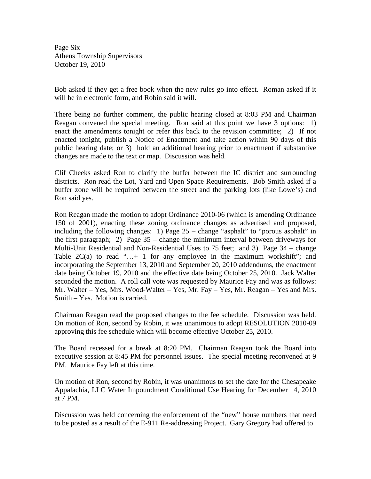Page Six Athens Township Supervisors October 19, 2010

Bob asked if they get a free book when the new rules go into effect. Roman asked if it will be in electronic form, and Robin said it will.

There being no further comment, the public hearing closed at 8:03 PM and Chairman Reagan convened the special meeting. Ron said at this point we have 3 options: 1) enact the amendments tonight or refer this back to the revision committee; 2) If not enacted tonight, publish a Notice of Enactment and take action within 90 days of this public hearing date; or 3) hold an additional hearing prior to enactment if substantive changes are made to the text or map. Discussion was held.

Clif Cheeks asked Ron to clarify the buffer between the IC district and surrounding districts. Ron read the Lot, Yard and Open Space Requirements. Bob Smith asked if a buffer zone will be required between the street and the parking lots (like Lowe's) and Ron said yes.

Ron Reagan made the motion to adopt Ordinance 2010-06 (which is amending Ordinance 150 of 2001), enacting these zoning ordinance changes as advertised and proposed, including the following changes: 1) Page 25 – change "asphalt" to "porous asphalt" in the first paragraph; 2) Page 35 – change the minimum interval between driveways for Multi-Unit Residential and Non-Residential Uses to 75 feet; and 3) Page 34 – change Table  $2C(a)$  to read "...+ 1 for any employee in the maximum workshift"; and incorporating the September 13, 2010 and September 20, 2010 addendums, the enactment date being October 19, 2010 and the effective date being October 25, 2010. Jack Walter seconded the motion. A roll call vote was requested by Maurice Fay and was as follows: Mr. Walter – Yes, Mrs. Wood-Walter – Yes, Mr. Fay – Yes, Mr. Reagan – Yes and Mrs. Smith – Yes. Motion is carried.

Chairman Reagan read the proposed changes to the fee schedule. Discussion was held. On motion of Ron, second by Robin, it was unanimous to adopt RESOLUTION 2010-09 approving this fee schedule which will become effective October 25, 2010.

The Board recessed for a break at 8:20 PM. Chairman Reagan took the Board into executive session at 8:45 PM for personnel issues. The special meeting reconvened at 9 PM. Maurice Fay left at this time.

On motion of Ron, second by Robin, it was unanimous to set the date for the Chesapeake Appalachia, LLC Water Impoundment Conditional Use Hearing for December 14, 2010 at 7 PM.

Discussion was held concerning the enforcement of the "new" house numbers that need to be posted as a result of the E-911 Re-addressing Project. Gary Gregory had offered to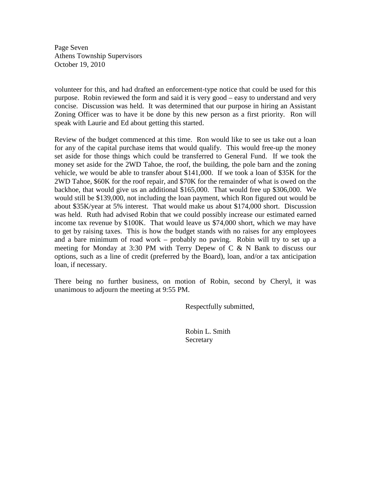Page Seven Athens Township Supervisors October 19, 2010

volunteer for this, and had drafted an enforcement-type notice that could be used for this purpose. Robin reviewed the form and said it is very good – easy to understand and very concise. Discussion was held. It was determined that our purpose in hiring an Assistant Zoning Officer was to have it be done by this new person as a first priority. Ron will speak with Laurie and Ed about getting this started.

Review of the budget commenced at this time. Ron would like to see us take out a loan for any of the capital purchase items that would qualify. This would free-up the money set aside for those things which could be transferred to General Fund. If we took the money set aside for the 2WD Tahoe, the roof, the building, the pole barn and the zoning vehicle, we would be able to transfer about \$141,000. If we took a loan of \$35K for the 2WD Tahoe, \$60K for the roof repair, and \$70K for the remainder of what is owed on the backhoe, that would give us an additional \$165,000. That would free up \$306,000. We would still be \$139,000, not including the loan payment, which Ron figured out would be about \$35K/year at 5% interest. That would make us about \$174,000 short. Discussion was held. Ruth had advised Robin that we could possibly increase our estimated earned income tax revenue by \$100K. That would leave us \$74,000 short, which we may have to get by raising taxes. This is how the budget stands with no raises for any employees and a bare minimum of road work – probably no paving. Robin will try to set up a meeting for Monday at 3:30 PM with Terry Depew of C  $\&$  N Bank to discuss our options, such as a line of credit (preferred by the Board), loan, and/or a tax anticipation loan, if necessary.

There being no further business, on motion of Robin, second by Cheryl, it was unanimous to adjourn the meeting at 9:55 PM.

Respectfully submitted,

 Robin L. Smith **Secretary**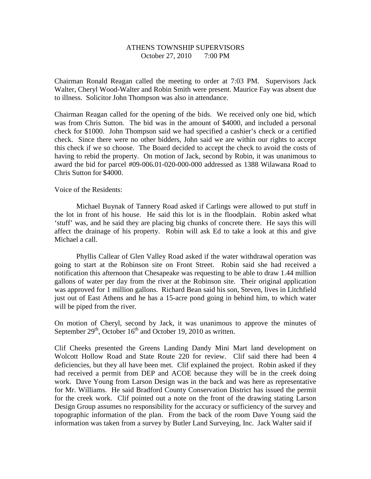### ATHENS TOWNSHIP SUPERVISORS October 27, 2010 7:00 PM

Chairman Ronald Reagan called the meeting to order at 7:03 PM. Supervisors Jack Walter, Cheryl Wood-Walter and Robin Smith were present. Maurice Fay was absent due to illness. Solicitor John Thompson was also in attendance.

Chairman Reagan called for the opening of the bids. We received only one bid, which was from Chris Sutton. The bid was in the amount of \$4000, and included a personal check for \$1000. John Thompson said we had specified a cashier's check or a certified check. Since there were no other bidders, John said we are within our rights to accept this check if we so choose. The Board decided to accept the check to avoid the costs of having to rebid the property. On motion of Jack, second by Robin, it was unanimous to award the bid for parcel #09-006.01-020-000-000 addressed as 1388 Wilawana Road to Chris Sutton for \$4000.

Voice of the Residents:

 Michael Buynak of Tannery Road asked if Carlings were allowed to put stuff in the lot in front of his house. He said this lot is in the floodplain. Robin asked what 'stuff' was, and he said they are placing big chunks of concrete there. He says this will affect the drainage of his property. Robin will ask Ed to take a look at this and give Michael a call.

 Phyllis Callear of Glen Valley Road asked if the water withdrawal operation was going to start at the Robinson site on Front Street. Robin said she had received a notification this afternoon that Chesapeake was requesting to be able to draw 1.44 million gallons of water per day from the river at the Robinson site. Their original application was approved for 1 million gallons. Richard Bean said his son, Steven, lives in Litchfield just out of East Athens and he has a 15-acre pond going in behind him, to which water will be piped from the river.

On motion of Cheryl, second by Jack, it was unanimous to approve the minutes of September  $29<sup>th</sup>$ , October 16<sup>th</sup> and October 19, 2010 as written.

Clif Cheeks presented the Greens Landing Dandy Mini Mart land development on Wolcott Hollow Road and State Route 220 for review. Clif said there had been 4 deficiencies, but they all have been met. Clif explained the project. Robin asked if they had received a permit from DEP and ACOE because they will be in the creek doing work. Dave Young from Larson Design was in the back and was here as representative for Mr. Williams. He said Bradford County Conservation District has issued the permit for the creek work. Clif pointed out a note on the front of the drawing stating Larson Design Group assumes no responsibility for the accuracy or sufficiency of the survey and topographic information of the plan. From the back of the room Dave Young said the information was taken from a survey by Butler Land Surveying, Inc. Jack Walter said if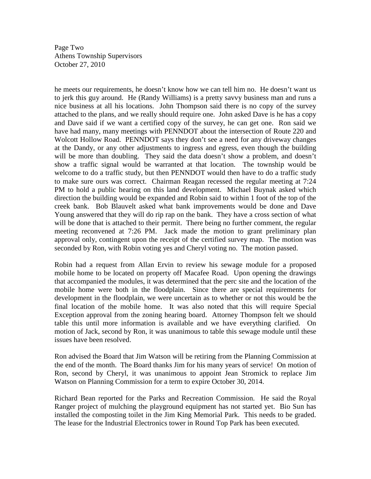Page Two Athens Township Supervisors October 27, 2010

he meets our requirements, he doesn't know how we can tell him no. He doesn't want us to jerk this guy around. He (Randy Williams) is a pretty savvy business man and runs a nice business at all his locations. John Thompson said there is no copy of the survey attached to the plans, and we really should require one. John asked Dave is he has a copy and Dave said if we want a certified copy of the survey, he can get one. Ron said we have had many, many meetings with PENNDOT about the intersection of Route 220 and Wolcott Hollow Road. PENNDOT says they don't see a need for any driveway changes at the Dandy, or any other adjustments to ingress and egress, even though the building will be more than doubling. They said the data doesn't show a problem, and doesn't show a traffic signal would be warranted at that location. The township would be welcome to do a traffic study, but then PENNDOT would then have to do a traffic study to make sure ours was correct. Chairman Reagan recessed the regular meeting at 7:24 PM to hold a public hearing on this land development. Michael Buynak asked which direction the building would be expanded and Robin said to within 1 foot of the top of the creek bank. Bob Blauvelt asked what bank improvements would be done and Dave Young answered that they will do rip rap on the bank. They have a cross section of what will be done that is attached to their permit. There being no further comment, the regular meeting reconvened at 7:26 PM. Jack made the motion to grant preliminary plan approval only, contingent upon the receipt of the certified survey map. The motion was seconded by Ron, with Robin voting yes and Cheryl voting no. The motion passed.

Robin had a request from Allan Ervin to review his sewage module for a proposed mobile home to be located on property off Macafee Road. Upon opening the drawings that accompanied the modules, it was determined that the perc site and the location of the mobile home were both in the floodplain. Since there are special requirements for development in the floodplain, we were uncertain as to whether or not this would be the final location of the mobile home. It was also noted that this will require Special Exception approval from the zoning hearing board. Attorney Thompson felt we should table this until more information is available and we have everything clarified. On motion of Jack, second by Ron, it was unanimous to table this sewage module until these issues have been resolved.

Ron advised the Board that Jim Watson will be retiring from the Planning Commission at the end of the month. The Board thanks Jim for his many years of service! On motion of Ron, second by Cheryl, it was unanimous to appoint Jean Stromick to replace Jim Watson on Planning Commission for a term to expire October 30, 2014.

Richard Bean reported for the Parks and Recreation Commission. He said the Royal Ranger project of mulching the playground equipment has not started yet. Bio Sun has installed the composting toilet in the Jim King Memorial Park. This needs to be graded. The lease for the Industrial Electronics tower in Round Top Park has been executed.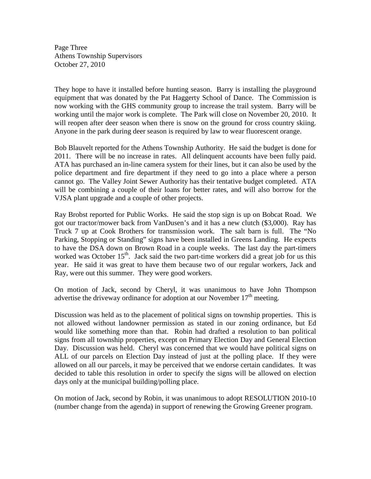Page Three Athens Township Supervisors October 27, 2010

They hope to have it installed before hunting season. Barry is installing the playground equipment that was donated by the Pat Haggerty School of Dance. The Commission is now working with the GHS community group to increase the trail system. Barry will be working until the major work is complete. The Park will close on November 20, 2010. It will reopen after deer season when there is snow on the ground for cross country skiing. Anyone in the park during deer season is required by law to wear fluorescent orange.

Bob Blauvelt reported for the Athens Township Authority. He said the budget is done for 2011. There will be no increase in rates. All delinquent accounts have been fully paid. ATA has purchased an in-line camera system for their lines, but it can also be used by the police department and fire department if they need to go into a place where a person cannot go. The Valley Joint Sewer Authority has their tentative budget completed. ATA will be combining a couple of their loans for better rates, and will also borrow for the VJSA plant upgrade and a couple of other projects.

Ray Brobst reported for Public Works. He said the stop sign is up on Bobcat Road. We got our tractor/mower back from VanDusen's and it has a new clutch (\$3,000). Ray has Truck 7 up at Cook Brothers for transmission work. The salt barn is full. The "No Parking, Stopping or Standing" signs have been installed in Greens Landing. He expects to have the DSA down on Brown Road in a couple weeks. The last day the part-timers worked was October  $15<sup>th</sup>$ . Jack said the two part-time workers did a great job for us this year. He said it was great to have them because two of our regular workers, Jack and Ray, were out this summer. They were good workers.

On motion of Jack, second by Cheryl, it was unanimous to have John Thompson advertise the driveway ordinance for adoption at our November  $17<sup>th</sup>$  meeting.

Discussion was held as to the placement of political signs on township properties. This is not allowed without landowner permission as stated in our zoning ordinance, but Ed would like something more than that. Robin had drafted a resolution to ban political signs from all township properties, except on Primary Election Day and General Election Day. Discussion was held. Cheryl was concerned that we would have political signs on ALL of our parcels on Election Day instead of just at the polling place. If they were allowed on all our parcels, it may be perceived that we endorse certain candidates. It was decided to table this resolution in order to specify the signs will be allowed on election days only at the municipal building/polling place.

On motion of Jack, second by Robin, it was unanimous to adopt RESOLUTION 2010-10 (number change from the agenda) in support of renewing the Growing Greener program.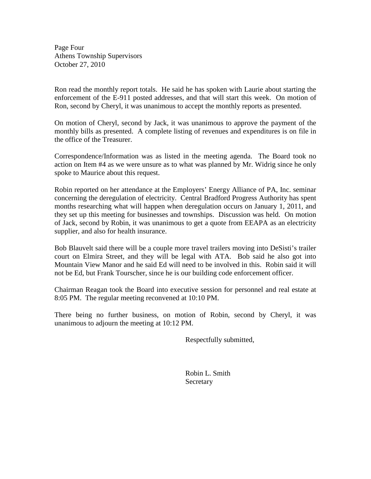Page Four Athens Township Supervisors October 27, 2010

Ron read the monthly report totals. He said he has spoken with Laurie about starting the enforcement of the E-911 posted addresses, and that will start this week. On motion of Ron, second by Cheryl, it was unanimous to accept the monthly reports as presented.

On motion of Cheryl, second by Jack, it was unanimous to approve the payment of the monthly bills as presented. A complete listing of revenues and expenditures is on file in the office of the Treasurer.

Correspondence/Information was as listed in the meeting agenda. The Board took no action on Item #4 as we were unsure as to what was planned by Mr. Widrig since he only spoke to Maurice about this request.

Robin reported on her attendance at the Employers' Energy Alliance of PA, Inc. seminar concerning the deregulation of electricity. Central Bradford Progress Authority has spent months researching what will happen when deregulation occurs on January 1, 2011, and they set up this meeting for businesses and townships. Discussion was held. On motion of Jack, second by Robin, it was unanimous to get a quote from EEAPA as an electricity supplier, and also for health insurance.

Bob Blauvelt said there will be a couple more travel trailers moving into DeSisti's trailer court on Elmira Street, and they will be legal with ATA. Bob said he also got into Mountain View Manor and he said Ed will need to be involved in this. Robin said it will not be Ed, but Frank Tourscher, since he is our building code enforcement officer.

Chairman Reagan took the Board into executive session for personnel and real estate at 8:05 PM. The regular meeting reconvened at 10:10 PM.

There being no further business, on motion of Robin, second by Cheryl, it was unanimous to adjourn the meeting at 10:12 PM.

Respectfully submitted,

 Robin L. Smith **Secretary**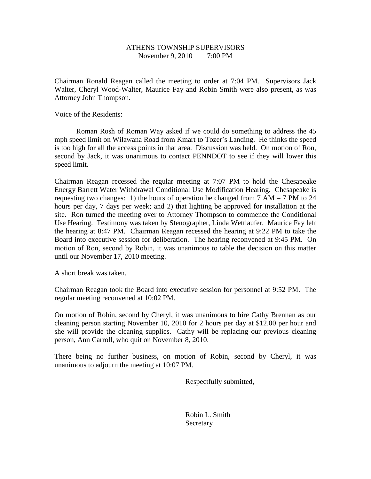# ATHENS TOWNSHIP SUPERVISORS November 9, 2010 7:00 PM

Chairman Ronald Reagan called the meeting to order at 7:04 PM. Supervisors Jack Walter, Cheryl Wood-Walter, Maurice Fay and Robin Smith were also present, as was Attorney John Thompson.

Voice of the Residents:

 Roman Rosh of Roman Way asked if we could do something to address the 45 mph speed limit on Wilawana Road from Kmart to Tozer's Landing. He thinks the speed is too high for all the access points in that area. Discussion was held. On motion of Ron, second by Jack, it was unanimous to contact PENNDOT to see if they will lower this speed limit.

Chairman Reagan recessed the regular meeting at 7:07 PM to hold the Chesapeake Energy Barrett Water Withdrawal Conditional Use Modification Hearing. Chesapeake is requesting two changes: 1) the hours of operation be changed from 7 AM – 7 PM to 24 hours per day, 7 days per week; and 2) that lighting be approved for installation at the site. Ron turned the meeting over to Attorney Thompson to commence the Conditional Use Hearing. Testimony was taken by Stenographer, Linda Wettlaufer. Maurice Fay left the hearing at 8:47 PM. Chairman Reagan recessed the hearing at 9:22 PM to take the Board into executive session for deliberation. The hearing reconvened at 9:45 PM. On motion of Ron, second by Robin, it was unanimous to table the decision on this matter until our November 17, 2010 meeting.

A short break was taken.

Chairman Reagan took the Board into executive session for personnel at 9:52 PM. The regular meeting reconvened at 10:02 PM.

On motion of Robin, second by Cheryl, it was unanimous to hire Cathy Brennan as our cleaning person starting November 10, 2010 for 2 hours per day at \$12.00 per hour and she will provide the cleaning supplies. Cathy will be replacing our previous cleaning person, Ann Carroll, who quit on November 8, 2010.

There being no further business, on motion of Robin, second by Cheryl, it was unanimous to adjourn the meeting at 10:07 PM.

Respectfully submitted,

 Robin L. Smith **Secretary**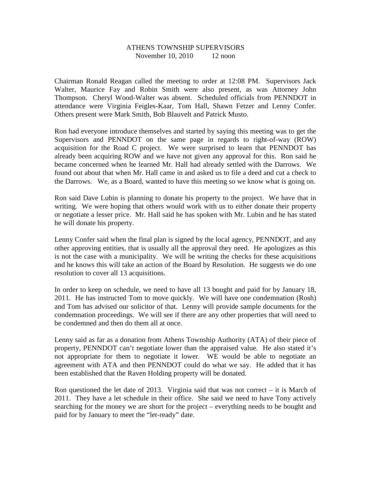### ATHENS TOWNSHIP SUPERVISORS November 10, 2010 12 noon

Chairman Ronald Reagan called the meeting to order at 12:08 PM. Supervisors Jack Walter, Maurice Fay and Robin Smith were also present, as was Attorney John Thompson. Cheryl Wood-Walter was absent. Scheduled officials from PENNDOT in attendance were Virginia Feigles-Kaar, Tom Hall, Shawn Fetzer and Lenny Confer. Others present were Mark Smith, Bob Blauvelt and Patrick Musto.

Ron had everyone introduce themselves and started by saying this meeting was to get the Supervisors and PENNDOT on the same page in regards to right-of-way (ROW) acquisition for the Road C project. We were surprised to learn that PENNDOT has already been acquiring ROW and we have not given any approval for this. Ron said he became concerned when he learned Mr. Hall had already settled with the Darrows. We found out about that when Mr. Hall came in and asked us to file a deed and cut a check to the Darrows. We, as a Board, wanted to have this meeting so we know what is going on.

Ron said Dave Lubin is planning to donate his property to the project. We have that in writing. We were hoping that others would work with us to either donate their property or negotiate a lesser price. Mr. Hall said he has spoken with Mr. Lubin and he has stated he will donate his property.

Lenny Confer said when the final plan is signed by the local agency, PENNDOT, and any other approving entities, that is usually all the approval they need. He apologizes as this is not the case with a municipality. We will be writing the checks for these acquisitions and he knows this will take an action of the Board by Resolution. He suggests we do one resolution to cover all 13 acquisitions.

In order to keep on schedule, we need to have all 13 bought and paid for by January 18, 2011. He has instructed Tom to move quickly. We will have one condemnation (Rosh) and Tom has advised our solicitor of that. Lenny will provide sample documents for the condemnation proceedings. We will see if there are any other properties that will need to be condemned and then do them all at once.

Lenny said as far as a donation from Athens Township Authority (ATA) of their piece of property, PENNDOT can't negotiate lower than the appraised value. He also stated it's not appropriate for them to negotiate it lower. WE would be able to negotiate an agreement with ATA and then PENNDOT could do what we say. He added that it has been established that the Raven Holding property will be donated.

Ron questioned the let date of 2013. Virginia said that was not correct – it is March of 2011. They have a let schedule in their office. She said we need to have Tony actively searching for the money we are short for the project – everything needs to be bought and paid for by January to meet the "let-ready" date.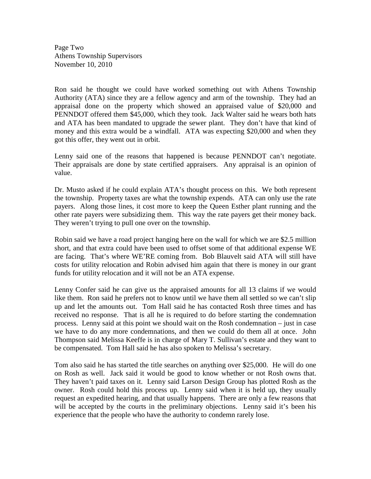Page Two Athens Township Supervisors November 10, 2010

Ron said he thought we could have worked something out with Athens Township Authority (ATA) since they are a fellow agency and arm of the township. They had an appraisal done on the property which showed an appraised value of \$20,000 and PENNDOT offered them \$45,000, which they took. Jack Walter said he wears both hats and ATA has been mandated to upgrade the sewer plant. They don't have that kind of money and this extra would be a windfall. ATA was expecting \$20,000 and when they got this offer, they went out in orbit.

Lenny said one of the reasons that happened is because PENNDOT can't negotiate. Their appraisals are done by state certified appraisers. Any appraisal is an opinion of value.

Dr. Musto asked if he could explain ATA's thought process on this. We both represent the township. Property taxes are what the township expends. ATA can only use the rate payers. Along those lines, it cost more to keep the Queen Esther plant running and the other rate payers were subsidizing them. This way the rate payers get their money back. They weren't trying to pull one over on the township.

Robin said we have a road project hanging here on the wall for which we are \$2.5 million short, and that extra could have been used to offset some of that additional expense WE are facing. That's where WE'RE coming from. Bob Blauvelt said ATA will still have costs for utility relocation and Robin advised him again that there is money in our grant funds for utility relocation and it will not be an ATA expense.

Lenny Confer said he can give us the appraised amounts for all 13 claims if we would like them. Ron said he prefers not to know until we have them all settled so we can't slip up and let the amounts out. Tom Hall said he has contacted Rosh three times and has received no response. That is all he is required to do before starting the condemnation process. Lenny said at this point we should wait on the Rosh condemnation – just in case we have to do any more condemnations, and then we could do them all at once. John Thompson said Melissa Keeffe is in charge of Mary T. Sullivan's estate and they want to be compensated. Tom Hall said he has also spoken to Melissa's secretary.

Tom also said he has started the title searches on anything over \$25,000. He will do one on Rosh as well. Jack said it would be good to know whether or not Rosh owns that. They haven't paid taxes on it. Lenny said Larson Design Group has plotted Rosh as the owner. Rosh could hold this process up. Lenny said when it is held up, they usually request an expedited hearing, and that usually happens. There are only a few reasons that will be accepted by the courts in the preliminary objections. Lenny said it's been his experience that the people who have the authority to condemn rarely lose.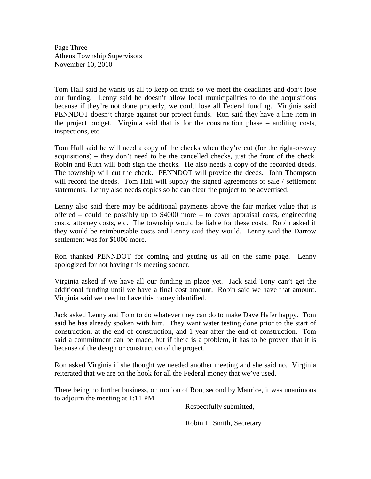Page Three Athens Township Supervisors November 10, 2010

Tom Hall said he wants us all to keep on track so we meet the deadlines and don't lose our funding. Lenny said he doesn't allow local municipalities to do the acquisitions because if they're not done properly, we could lose all Federal funding. Virginia said PENNDOT doesn't charge against our project funds. Ron said they have a line item in the project budget. Virginia said that is for the construction phase – auditing costs, inspections, etc.

Tom Hall said he will need a copy of the checks when they're cut (for the right-or-way acquisitions) – they don't need to be the cancelled checks, just the front of the check. Robin and Ruth will both sign the checks. He also needs a copy of the recorded deeds. The township will cut the check. PENNDOT will provide the deeds. John Thompson will record the deeds. Tom Hall will supply the signed agreements of sale / settlement statements. Lenny also needs copies so he can clear the project to be advertised.

Lenny also said there may be additional payments above the fair market value that is offered – could be possibly up to \$4000 more – to cover appraisal costs, engineering costs, attorney costs, etc. The township would be liable for these costs. Robin asked if they would be reimbursable costs and Lenny said they would. Lenny said the Darrow settlement was for \$1000 more.

Ron thanked PENNDOT for coming and getting us all on the same page. Lenny apologized for not having this meeting sooner.

Virginia asked if we have all our funding in place yet. Jack said Tony can't get the additional funding until we have a final cost amount. Robin said we have that amount. Virginia said we need to have this money identified.

Jack asked Lenny and Tom to do whatever they can do to make Dave Hafer happy. Tom said he has already spoken with him. They want water testing done prior to the start of construction, at the end of construction, and 1 year after the end of construction. Tom said a commitment can be made, but if there is a problem, it has to be proven that it is because of the design or construction of the project.

Ron asked Virginia if she thought we needed another meeting and she said no. Virginia reiterated that we are on the hook for all the Federal money that we've used.

There being no further business, on motion of Ron, second by Maurice, it was unanimous to adjourn the meeting at 1:11 PM.

Respectfully submitted,

Robin L. Smith, Secretary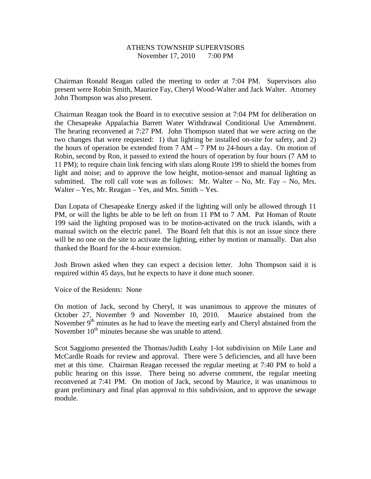# ATHENS TOWNSHIP SUPERVISORS November 17, 2010 7:00 PM

Chairman Ronald Reagan called the meeting to order at 7:04 PM. Supervisors also present were Robin Smith, Maurice Fay, Cheryl Wood-Walter and Jack Walter. Attorney John Thompson was also present.

Chairman Reagan took the Board in to executive session at 7:04 PM for deliberation on the Chesapeake Appalachia Barrett Water Withdrawal Conditional Use Amendment. The hearing reconvened at 7:27 PM. John Thompson stated that we were acting on the two changes that were requested: 1) that lighting be installed on-site for safety, and 2) the hours of operation be extended from  $7 AM - 7 PM$  to 24-hours a day. On motion of Robin, second by Ron, it passed to extend the hours of operation by four hours (7 AM to 11 PM); to require chain link fencing with slats along Route 199 to shield the homes from light and noise; and to approve the low height, motion-sensor and manual lighting as submitted. The roll call vote was as follows: Mr. Walter – No, Mr. Fay – No, Mrs. Walter – Yes, Mr. Reagan – Yes, and Mrs. Smith – Yes.

Dan Lopata of Chesapeake Energy asked if the lighting will only be allowed through 11 PM, or will the lights be able to be left on from 11 PM to 7 AM. Pat Homan of Route 199 said the lighting proposed was to be motion-activated on the truck islands, with a manual switch on the electric panel. The Board felt that this is not an issue since there will be no one on the site to activate the lighting, either by motion or manually. Dan also thanked the Board for the 4-hour extension.

Josh Brown asked when they can expect a decision letter. John Thompson said it is required within 45 days, but he expects to have it done much sooner.

Voice of the Residents: None

On motion of Jack, second by Cheryl, it was unanimous to approve the minutes of October 27, November 9 and November 10, 2010. Maurice abstained from the November  $9<sup>th</sup>$  minutes as he had to leave the meeting early and Cheryl abstained from the November  $10^{th}$  minutes because she was unable to attend.

Scot Saggiomo presented the Thomas/Judith Leahy 1-lot subdivision on Mile Lane and McCardle Roads for review and approval. There were 5 deficiencies, and all have been met at this time. Chairman Reagan recessed the regular meeting at 7:40 PM to hold a public hearing on this issue. There being no adverse comment, the regular meeting reconvened at 7:41 PM. On motion of Jack, second by Maurice, it was unanimous to grant preliminary and final plan approval to this subdivision, and to approve the sewage module.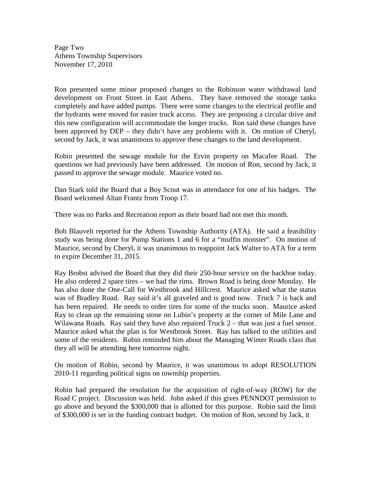Page Two Athens Township Supervisors November 17, 2010

Ron presented some minor proposed changes to the Robinson water withdrawal land development on Front Street in East Athens. They have removed the storage tanks completely and have added pumps. There were some changes to the electrical profile and the hydrants were moved for easier truck access. They are proposing a circular drive and this new configuration will accommodate the longer trucks. Ron said these changes have been approved by DEP – they didn't have any problems with it. On motion of Cheryl, second by Jack, it was unanimous to approve these changes to the land development.

Robin presented the sewage module for the Ervin property on Macafee Road. The questions we had previously have been addressed. On motion of Ron, second by Jack, it passed to approve the sewage module. Maurice voted no.

Dan Stark told the Board that a Boy Scout was in attendance for one of his badges. The Board welcomed Altan Frantz from Troop 17.

There was no Parks and Recreation report as their board had not met this month.

Bob Blauvelt reported for the Athens Township Authority (ATA). He said a feasibility study was being done for Pump Stations 1 and 6 for a "muffin monster". On motion of Maurice, second by Cheryl, it was unanimous to reappoint Jack Walter to ATA for a term to expire December 31, 2015.

Ray Brobst advised the Board that they did their 250-hour service on the backhoe today. He also ordered 2 spare tires – we had the rims. Brown Road is being done Monday. He has also done the One-Call for Westbrook and Hillcrest. Maurice asked what the status was of Bradley Road. Ray said it's all graveled and is good now. Truck 7 is back and has been repaired. He needs to order tires for some of the trucks soon. Maurice asked Ray to clean up the remaining stone on Lubin's property at the corner of Mile Lane and Wilawana Roads. Ray said they have also repaired Truck 2 – that was just a fuel sensor. Maurice asked what the plan is for Westbrook Street. Ray has talked to the utilities and some of the residents. Robin reminded him about the Managing Winter Roads class that they all will be attending here tomorrow night.

On motion of Robin, second by Maurice, it was unanimous to adopt RESOLUTION 2010-11 regarding political signs on township properties.

Robin had prepared the resolution for the acquisition of right-of-way (ROW) for the Road C project. Discussion was held. John asked if this gives PENNDOT permission to go above and beyond the \$300,000 that is allotted for this purpose. Robin said the limit of \$300,000 is set in the funding contract budget. On motion of Ron, second by Jack, it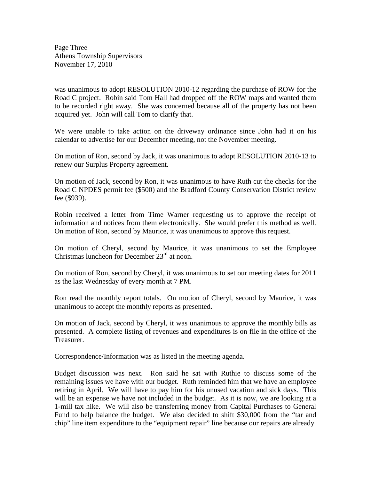Page Three Athens Township Supervisors November 17, 2010

was unanimous to adopt RESOLUTION 2010-12 regarding the purchase of ROW for the Road C project. Robin said Tom Hall had dropped off the ROW maps and wanted them to be recorded right away. She was concerned because all of the property has not been acquired yet. John will call Tom to clarify that.

We were unable to take action on the driveway ordinance since John had it on his calendar to advertise for our December meeting, not the November meeting.

On motion of Ron, second by Jack, it was unanimous to adopt RESOLUTION 2010-13 to renew our Surplus Property agreement.

On motion of Jack, second by Ron, it was unanimous to have Ruth cut the checks for the Road C NPDES permit fee (\$500) and the Bradford County Conservation District review fee (\$939).

Robin received a letter from Time Warner requesting us to approve the receipt of information and notices from them electronically. She would prefer this method as well. On motion of Ron, second by Maurice, it was unanimous to approve this request.

On motion of Cheryl, second by Maurice, it was unanimous to set the Employee Christmas luncheon for December  $23<sup>rd</sup>$  at noon.

On motion of Ron, second by Cheryl, it was unanimous to set our meeting dates for 2011 as the last Wednesday of every month at 7 PM.

Ron read the monthly report totals. On motion of Cheryl, second by Maurice, it was unanimous to accept the monthly reports as presented.

On motion of Jack, second by Cheryl, it was unanimous to approve the monthly bills as presented. A complete listing of revenues and expenditures is on file in the office of the Treasurer.

Correspondence/Information was as listed in the meeting agenda.

Budget discussion was next. Ron said he sat with Ruthie to discuss some of the remaining issues we have with our budget. Ruth reminded him that we have an employee retiring in April. We will have to pay him for his unused vacation and sick days. This will be an expense we have not included in the budget. As it is now, we are looking at a 1-mill tax hike. We will also be transferring money from Capital Purchases to General Fund to help balance the budget. We also decided to shift \$30,000 from the "tar and chip" line item expenditure to the "equipment repair" line because our repairs are already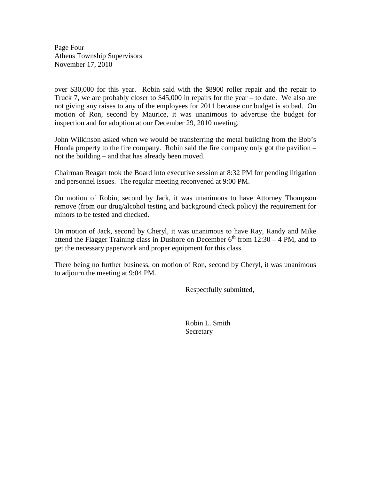Page Four Athens Township Supervisors November 17, 2010

over \$30,000 for this year. Robin said with the \$8900 roller repair and the repair to Truck 7, we are probably closer to \$45,000 in repairs for the year – to date. We also are not giving any raises to any of the employees for 2011 because our budget is so bad. On motion of Ron, second by Maurice, it was unanimous to advertise the budget for inspection and for adoption at our December 29, 2010 meeting.

John Wilkinson asked when we would be transferring the metal building from the Bob's Honda property to the fire company. Robin said the fire company only got the pavilion – not the building – and that has already been moved.

Chairman Reagan took the Board into executive session at 8:32 PM for pending litigation and personnel issues. The regular meeting reconvened at 9:00 PM.

On motion of Robin, second by Jack, it was unanimous to have Attorney Thompson remove (from our drug/alcohol testing and background check policy) the requirement for minors to be tested and checked.

On motion of Jack, second by Cheryl, it was unanimous to have Ray, Randy and Mike attend the Flagger Training class in Dushore on December  $6<sup>th</sup>$  from  $12:30 - 4$  PM, and to get the necessary paperwork and proper equipment for this class.

There being no further business, on motion of Ron, second by Cheryl, it was unanimous to adjourn the meeting at 9:04 PM.

Respectfully submitted,

 Robin L. Smith **Secretary**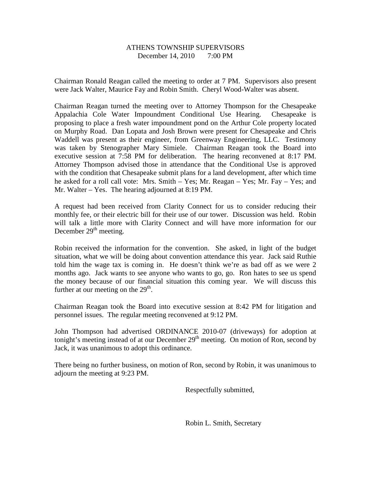# ATHENS TOWNSHIP SUPERVISORS December 14, 2010 7:00 PM

Chairman Ronald Reagan called the meeting to order at 7 PM. Supervisors also present were Jack Walter, Maurice Fay and Robin Smith. Cheryl Wood-Walter was absent.

Chairman Reagan turned the meeting over to Attorney Thompson for the Chesapeake Appalachia Cole Water Impoundment Conditional Use Hearing. Chesapeake is proposing to place a fresh water impoundment pond on the Arthur Cole property located on Murphy Road. Dan Lopata and Josh Brown were present for Chesapeake and Chris Waddell was present as their engineer, from Greenway Engineering, LLC. Testimony was taken by Stenographer Mary Simiele. Chairman Reagan took the Board into executive session at 7:58 PM for deliberation. The hearing reconvened at 8:17 PM. Attorney Thompson advised those in attendance that the Conditional Use is approved with the condition that Chesapeake submit plans for a land development, after which time he asked for a roll call vote: Mrs. Smith – Yes; Mr. Reagan – Yes; Mr. Fay – Yes; and Mr. Walter – Yes. The hearing adjourned at 8:19 PM.

A request had been received from Clarity Connect for us to consider reducing their monthly fee, or their electric bill for their use of our tower. Discussion was held. Robin will talk a little more with Clarity Connect and will have more information for our December  $29<sup>th</sup>$  meeting.

Robin received the information for the convention. She asked, in light of the budget situation, what we will be doing about convention attendance this year. Jack said Ruthie told him the wage tax is coming in. He doesn't think we're as bad off as we were 2 months ago. Jack wants to see anyone who wants to go, go. Ron hates to see us spend the money because of our financial situation this coming year. We will discuss this further at our meeting on the  $29<sup>th</sup>$ .

Chairman Reagan took the Board into executive session at 8:42 PM for litigation and personnel issues. The regular meeting reconvened at 9:12 PM.

John Thompson had advertised ORDINANCE 2010-07 (driveways) for adoption at tonight's meeting instead of at our December  $29<sup>th</sup>$  meeting. On motion of Ron, second by Jack, it was unanimous to adopt this ordinance.

There being no further business, on motion of Ron, second by Robin, it was unanimous to adjourn the meeting at 9:23 PM.

Respectfully submitted,

Robin L. Smith, Secretary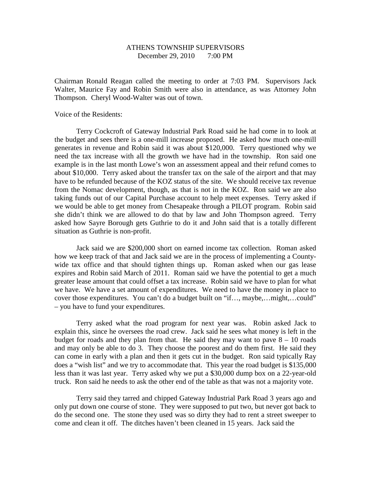# ATHENS TOWNSHIP SUPERVISORS December 29, 2010 7:00 PM

Chairman Ronald Reagan called the meeting to order at 7:03 PM. Supervisors Jack Walter, Maurice Fay and Robin Smith were also in attendance, as was Attorney John Thompson. Cheryl Wood-Walter was out of town.

Voice of the Residents:

 Terry Cockcroft of Gateway Industrial Park Road said he had come in to look at the budget and sees there is a one-mill increase proposed. He asked how much one-mill generates in revenue and Robin said it was about \$120,000. Terry questioned why we need the tax increase with all the growth we have had in the township. Ron said one example is in the last month Lowe's won an assessment appeal and their refund comes to about \$10,000. Terry asked about the transfer tax on the sale of the airport and that may have to be refunded because of the KOZ status of the site. We should receive tax revenue from the Nomac development, though, as that is not in the KOZ. Ron said we are also taking funds out of our Capital Purchase account to help meet expenses. Terry asked if we would be able to get money from Chesapeake through a PILOT program. Robin said she didn't think we are allowed to do that by law and John Thompson agreed. Terry asked how Sayre Borough gets Guthrie to do it and John said that is a totally different situation as Guthrie is non-profit.

 Jack said we are \$200,000 short on earned income tax collection. Roman asked how we keep track of that and Jack said we are in the process of implementing a Countywide tax office and that should tighten things up. Roman asked when our gas lease expires and Robin said March of 2011. Roman said we have the potential to get a much greater lease amount that could offset a tax increase. Robin said we have to plan for what we have. We have a set amount of expenditures. We need to have the money in place to cover those expenditures. You can't do a budget built on "if…, maybe,…might,…could" – you have to fund your expenditures.

 Terry asked what the road program for next year was. Robin asked Jack to explain this, since he oversees the road crew. Jack said he sees what money is left in the budget for roads and they plan from that. He said they may want to pave  $8 - 10$  roads and may only be able to do 3. They choose the poorest and do them first. He said they can come in early with a plan and then it gets cut in the budget. Ron said typically Ray does a "wish list" and we try to accommodate that. This year the road budget is \$135,000 less than it was last year. Terry asked why we put a \$30,000 dump box on a 22-year-old truck. Ron said he needs to ask the other end of the table as that was not a majority vote.

 Terry said they tarred and chipped Gateway Industrial Park Road 3 years ago and only put down one course of stone. They were supposed to put two, but never got back to do the second one. The stone they used was so dirty they had to rent a street sweeper to come and clean it off. The ditches haven't been cleaned in 15 years. Jack said the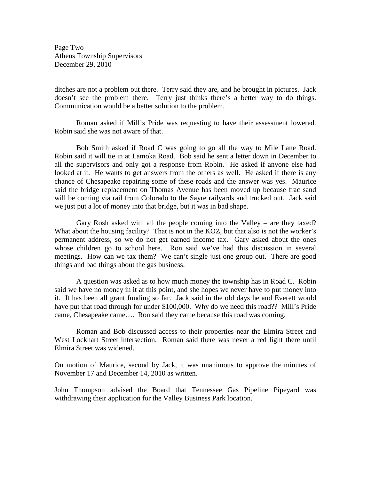Page Two Athens Township Supervisors December 29, 2010

ditches are not a problem out there. Terry said they are, and he brought in pictures. Jack doesn't see the problem there. Terry just thinks there's a better way to do things. Communication would be a better solution to the problem.

Roman asked if Mill's Pride was requesting to have their assessment lowered. Robin said she was not aware of that.

Bob Smith asked if Road C was going to go all the way to Mile Lane Road. Robin said it will tie in at Lamoka Road. Bob said he sent a letter down in December to all the supervisors and only got a response from Robin. He asked if anyone else had looked at it. He wants to get answers from the others as well. He asked if there is any chance of Chesapeake repairing some of these roads and the answer was yes. Maurice said the bridge replacement on Thomas Avenue has been moved up because frac sand will be coming via rail from Colorado to the Sayre railyards and trucked out. Jack said we just put a lot of money into that bridge, but it was in bad shape.

 Gary Rosh asked with all the people coming into the Valley – are they taxed? What about the housing facility? That is not in the KOZ, but that also is not the worker's permanent address, so we do not get earned income tax. Gary asked about the ones whose children go to school here. Ron said we've had this discussion in several meetings. How can we tax them? We can't single just one group out. There are good things and bad things about the gas business.

 A question was asked as to how much money the township has in Road C. Robin said we have no money in it at this point, and she hopes we never have to put money into it. It has been all grant funding so far. Jack said in the old days he and Everett would have put that road through for under \$100,000. Why do we need this road?? Mill's Pride came, Chesapeake came…. Ron said they came because this road was coming.

 Roman and Bob discussed access to their properties near the Elmira Street and West Lockhart Street intersection. Roman said there was never a red light there until Elmira Street was widened.

On motion of Maurice, second by Jack, it was unanimous to approve the minutes of November 17 and December 14, 2010 as written.

John Thompson advised the Board that Tennessee Gas Pipeline Pipeyard was withdrawing their application for the Valley Business Park location.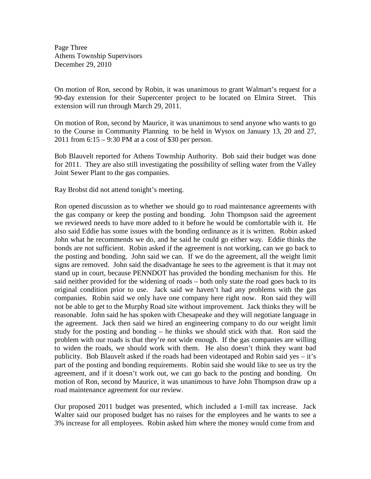Page Three Athens Township Supervisors December 29, 2010

On motion of Ron, second by Robin, it was unanimous to grant Walmart's request for a 90-day extension for their Supercenter project to be located on Elmira Street. This extension will run through March 29, 2011.

On motion of Ron, second by Maurice, it was unanimous to send anyone who wants to go to the Course in Community Planning to be held in Wysox on January 13, 20 and 27, 2011 from 6:15 – 9:30 PM at a cost of \$30 per person.

Bob Blauvelt reported for Athens Township Authority. Bob said their budget was done for 2011. They are also still investigating the possibility of selling water from the Valley Joint Sewer Plant to the gas companies.

Ray Brobst did not attend tonight's meeting.

Ron opened discussion as to whether we should go to road maintenance agreements with the gas company or keep the posting and bonding. John Thompson said the agreement we reviewed needs to have more added to it before he would be comfortable with it. He also said Eddie has some issues with the bonding ordinance as it is written. Robin asked John what he recommends we do, and he said he could go either way. Eddie thinks the bonds are not sufficient. Robin asked if the agreement is not working, can we go back to the posting and bonding. John said we can. If we do the agreement, all the weight limit signs are removed. John said the disadvantage he sees to the agreement is that it may not stand up in court, because PENNDOT has provided the bonding mechanism for this. He said neither provided for the widening of roads – both only state the road goes back to its original condition prior to use. Jack said we haven't had any problems with the gas companies. Robin said we only have one company here right now. Ron said they will not be able to get to the Murphy Road site without improvement. Jack thinks they will be reasonable. John said he has spoken with Chesapeake and they will negotiate language in the agreement. Jack then said we hired an engineering company to do our weight limit study for the posting and bonding – he thinks we should stick with that. Ron said the problem with our roads is that they're not wide enough. If the gas companies are willing to widen the roads, we should work with them. He also doesn't think they want bad publicity. Bob Blauvelt asked if the roads had been videotaped and Robin said yes – it's part of the posting and bonding requirements. Robin said she would like to see us try the agreement, and if it doesn't work out, we can go back to the posting and bonding. On motion of Ron, second by Maurice, it was unanimous to have John Thompson draw up a road maintenance agreement for our review.

Our proposed 2011 budget was presented, which included a 1-mill tax increase. Jack Walter said our proposed budget has no raises for the employees and he wants to see a 3% increase for all employees. Robin asked him where the money would come from and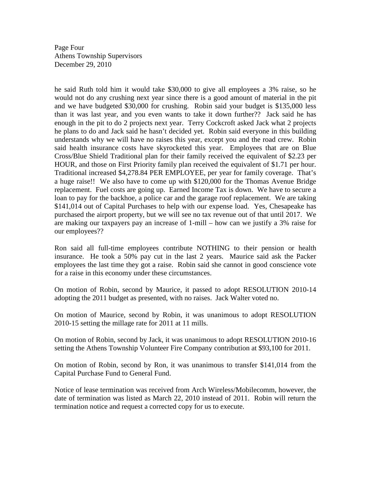Page Four Athens Township Supervisors December 29, 2010

he said Ruth told him it would take \$30,000 to give all employees a 3% raise, so he would not do any crushing next year since there is a good amount of material in the pit and we have budgeted \$30,000 for crushing. Robin said your budget is \$135,000 less than it was last year, and you even wants to take it down further?? Jack said he has enough in the pit to do 2 projects next year. Terry Cockcroft asked Jack what 2 projects he plans to do and Jack said he hasn't decided yet. Robin said everyone in this building understands why we will have no raises this year, except you and the road crew. Robin said health insurance costs have skyrocketed this year. Employees that are on Blue Cross/Blue Shield Traditional plan for their family received the equivalent of \$2.23 per HOUR, and those on First Priority family plan received the equivalent of \$1.71 per hour. Traditional increased \$4,278.84 PER EMPLOYEE, per year for family coverage. That's a huge raise!! We also have to come up with \$120,000 for the Thomas Avenue Bridge replacement. Fuel costs are going up. Earned Income Tax is down. We have to secure a loan to pay for the backhoe, a police car and the garage roof replacement. We are taking \$141,014 out of Capital Purchases to help with our expense load. Yes, Chesapeake has purchased the airport property, but we will see no tax revenue out of that until 2017. We are making our taxpayers pay an increase of 1-mill – how can we justify a 3% raise for our employees??

Ron said all full-time employees contribute NOTHING to their pension or health insurance. He took a 50% pay cut in the last 2 years. Maurice said ask the Packer employees the last time they got a raise. Robin said she cannot in good conscience vote for a raise in this economy under these circumstances.

On motion of Robin, second by Maurice, it passed to adopt RESOLUTION 2010-14 adopting the 2011 budget as presented, with no raises. Jack Walter voted no.

On motion of Maurice, second by Robin, it was unanimous to adopt RESOLUTION 2010-15 setting the millage rate for 2011 at 11 mills.

On motion of Robin, second by Jack, it was unanimous to adopt RESOLUTION 2010-16 setting the Athens Township Volunteer Fire Company contribution at \$93,100 for 2011.

On motion of Robin, second by Ron, it was unanimous to transfer \$141,014 from the Capital Purchase Fund to General Fund.

Notice of lease termination was received from Arch Wireless/Mobilecomm, however, the date of termination was listed as March 22, 2010 instead of 2011. Robin will return the termination notice and request a corrected copy for us to execute.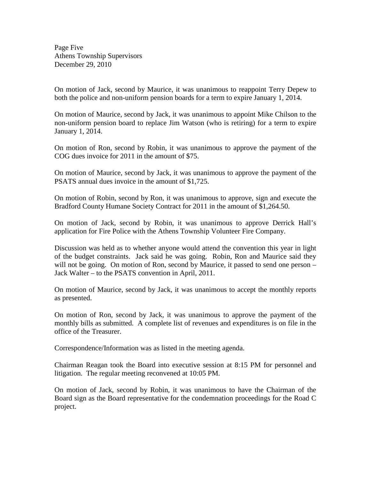Page Five Athens Township Supervisors December 29, 2010

On motion of Jack, second by Maurice, it was unanimous to reappoint Terry Depew to both the police and non-uniform pension boards for a term to expire January 1, 2014.

On motion of Maurice, second by Jack, it was unanimous to appoint Mike Chilson to the non-uniform pension board to replace Jim Watson (who is retiring) for a term to expire January 1, 2014.

On motion of Ron, second by Robin, it was unanimous to approve the payment of the COG dues invoice for 2011 in the amount of \$75.

On motion of Maurice, second by Jack, it was unanimous to approve the payment of the PSATS annual dues invoice in the amount of \$1,725.

On motion of Robin, second by Ron, it was unanimous to approve, sign and execute the Bradford County Humane Society Contract for 2011 in the amount of \$1,264.50.

On motion of Jack, second by Robin, it was unanimous to approve Derrick Hall's application for Fire Police with the Athens Township Volunteer Fire Company.

Discussion was held as to whether anyone would attend the convention this year in light of the budget constraints. Jack said he was going. Robin, Ron and Maurice said they will not be going. On motion of Ron, second by Maurice, it passed to send one person – Jack Walter – to the PSATS convention in April, 2011.

On motion of Maurice, second by Jack, it was unanimous to accept the monthly reports as presented.

On motion of Ron, second by Jack, it was unanimous to approve the payment of the monthly bills as submitted. A complete list of revenues and expenditures is on file in the office of the Treasurer.

Correspondence/Information was as listed in the meeting agenda.

Chairman Reagan took the Board into executive session at 8:15 PM for personnel and litigation. The regular meeting reconvened at 10:05 PM.

On motion of Jack, second by Robin, it was unanimous to have the Chairman of the Board sign as the Board representative for the condemnation proceedings for the Road C project.